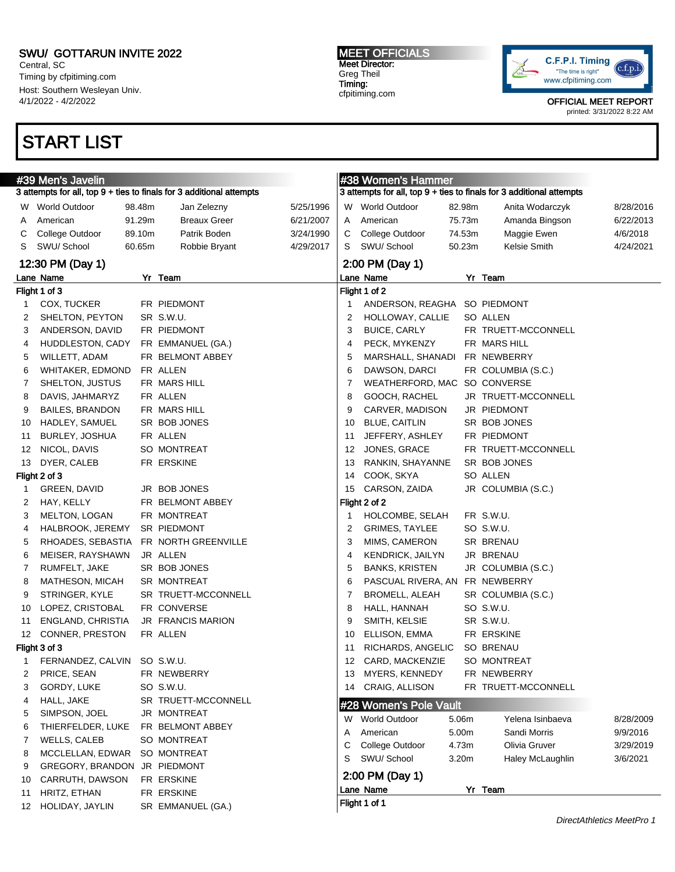Central, SC Timing by cfpitiming.com Host: Southern Wesleyan Univ. 4/1/2022 - 4/2/2022

## START LIST

MEET OFFICIALS Meet Director: Greg Theil Timing: cfpitiming.com



OFFICIAL MEET REPORT

printed: 3/31/2022 8:22 AM

| 3 attempts for all, top 9 + ties to finals for 3 additional attempts<br>3 attempts for all, top 9 + ties to finals for 3 additional attempts<br><b>World Outdoor</b><br>98.48m<br>5/25/1996<br>W World Outdoor<br>82.98m<br>8/28/2016<br>Jan Zelezny<br>Anita Wodarczyk<br>W.<br>91.29m<br><b>Breaux Greer</b><br>75.73m<br>American<br>6/21/2007<br>American<br>Amanda Bingson<br>6/22/2013<br>A<br>A<br>89.10m<br>Patrik Boden<br>College Outdoor<br>74.53m<br>College Outdoor<br>3/24/1990<br>C<br>Maggie Ewen<br>4/6/2018<br>С<br>SWU/ School<br>SWU/ School<br>50.23m<br>Kelsie Smith<br>S<br>60.65m<br>Robbie Bryant<br>4/29/2017<br>S<br>4/24/2021<br>12:30 PM (Day 1)<br>2:00 PM (Day 1)<br>Lane Name<br>Lane Name<br>Yr Team<br>Yr Team<br>Flight 1 of 3<br>Flight 1 of 2<br>COX, TUCKER<br>FR PIEDMONT<br>ANDERSON, REAGHA SO PIEDMONT<br>1<br>1<br>SR S.W.U.<br>SO ALLEN<br>SHELTON, PEYTON<br>2<br>HOLLOWAY, CALLIE<br>2<br>3<br>ANDERSON, DAVID<br>FR PIEDMONT<br><b>BUICE, CARLY</b><br>FR TRUETT-MCCONNELL<br>3<br>HUDDLESTON, CADY<br>FR EMMANUEL (GA.)<br>PECK, MYKENZY<br>FR MARS HILL<br>4<br>4<br>WILLETT, ADAM<br>FR BELMONT ABBEY<br>5<br>MARSHALL, SHANADI<br>FR NEWBERRY<br>5<br>WHITAKER, EDMOND<br>FR ALLEN<br>6<br>DAWSON, DARCI<br>FR COLUMBIA (S.C.)<br>6<br>SO CONVERSE<br>SHELTON, JUSTUS<br>FR MARS HILL<br>7<br>WEATHERFORD, MAC<br>7<br>DAVIS, JAHMARYZ<br>FR ALLEN<br>8<br>GOOCH, RACHEL<br>JR TRUETT-MCCONNELL<br>8<br><b>BAILES, BRANDON</b><br>FR MARS HILL<br>CARVER, MADISON<br>JR PIEDMONT<br>9<br>9<br>HADLEY, SAMUEL<br>SR BOB JONES<br><b>BLUE, CAITLIN</b><br>SR BOB JONES<br>10<br>10<br>BURLEY, JOSHUA<br>FR ALLEN<br>JEFFERY, ASHLEY<br>FR PIEDMONT<br>11<br>11<br>NICOL, DAVIS<br>SO MONTREAT<br>JONES, GRACE<br>FR TRUETT-MCCONNELL<br>12<br>12<br>DYER, CALEB<br>FR ERSKINE<br>RANKIN, SHAYANNE<br>SR BOB JONES<br>13<br>13<br>Flight 2 of 3<br>COOK, SKYA<br>SO ALLEN<br>14<br>CARSON, ZAIDA<br>GREEN, DAVID<br>JR BOB JONES<br>JR COLUMBIA (S.C.)<br>15<br>1<br>HAY, KELLY<br>FR BELMONT ABBEY<br>Flight 2 of 2<br>2<br>FR S.W.U.<br>MELTON, LOGAN<br>FR MONTREAT<br>HOLCOMBE, SELAH<br>З<br>1<br>SO S.W.U.<br>HALBROOK, JEREMY<br>SR PIEDMONT<br>2<br>GRIMES, TAYLEE<br>4<br>RHOADES, SEBASTIA<br>FR NORTH GREENVILLE<br>3<br>MIMS, CAMERON<br>SR BRENAU<br>5<br>MEISER, RAYSHAWN<br>JR ALLEN<br>KENDRICK, JAILYN<br>JR BRENAU<br>6<br>4<br>RUMFELT, JAKE<br>SR BOB JONES<br>5<br><b>BANKS, KRISTEN</b><br>JR COLUMBIA (S.C.)<br>7<br>MATHESON, MICAH<br>SR MONTREAT<br>6<br>FR NEWBERRY<br>8<br>PASCUAL RIVERA, AN<br>7<br>STRINGER, KYLE<br>SR TRUETT-MCCONNELL<br><b>BROMELL, ALEAH</b><br>SR COLUMBIA (S.C.)<br>9<br>LOPEZ, CRISTOBAL<br>FR CONVERSE<br>8<br>HALL, HANNAH<br>SO S.W.U.<br>10<br>ENGLAND, CHRISTIA<br><b>JR FRANCIS MARION</b><br>9<br>SMITH, KELSIE<br>SR S.W.U.<br>11<br>CONNER, PRESTON<br>FR ALLEN<br>ELLISON, EMMA<br>FR ERSKINE<br>12<br>10<br>Flight 3 of 3<br>RICHARDS, ANGELIC<br>SO BRENAU<br>11<br>FERNANDEZ, CALVIN SO S.W.U.<br>CARD, MACKENZIE<br>SO MONTREAT<br>12<br>$\mathbf 1$<br>PRICE, SEAN<br>FR NEWBERRY<br>MYERS, KENNEDY<br>FR NEWBERRY<br>2<br>13<br>CRAIG, ALLISON<br>GORDY, LUKE<br>SO S.W.U.<br>FR TRUETT-MCCONNELL<br>3<br>14<br>HALL, JAKE<br>SR TRUETT-MCCONNELL<br>4<br>#28 Women's Pole Vault<br>SIMPSON, JOEL<br>JR MONTREAT<br>5<br>W World Outdoor<br>5.06m<br>Yelena Isinbaeva<br>8/28/2009<br>THIERFELDER, LUKE<br>FR BELMONT ABBEY<br>6<br>American<br>5.00m<br>Sandi Morris<br>9/9/2016<br>Α<br>WELLS, CALEB<br>SO MONTREAT<br>7<br>С<br>College Outdoor<br>4.73m<br>Olivia Gruver<br>3/29/2019<br>MCCLELLAN, EDWAR<br>SO MONTREAT<br>8<br>SWU/ School<br>S<br>3.20m<br>Haley McLaughlin<br>3/6/2021<br>GREGORY, BRANDON JR PIEDMONT<br>9<br>2:00 PM (Day 1)<br>CARRUTH, DAWSON<br>FR ERSKINE<br>10<br>Lane Name<br>Yr Team<br>HRITZ, ETHAN<br>FR ERSKINE<br>11<br>Flight 1 of 1<br>SR EMMANUEL (GA.)<br>HOLIDAY, JAYLIN<br>12 | #39 Men's Javelin |  |  |  |  | #38 Women's Hammer |  |  |  |  |  |
|-------------------------------------------------------------------------------------------------------------------------------------------------------------------------------------------------------------------------------------------------------------------------------------------------------------------------------------------------------------------------------------------------------------------------------------------------------------------------------------------------------------------------------------------------------------------------------------------------------------------------------------------------------------------------------------------------------------------------------------------------------------------------------------------------------------------------------------------------------------------------------------------------------------------------------------------------------------------------------------------------------------------------------------------------------------------------------------------------------------------------------------------------------------------------------------------------------------------------------------------------------------------------------------------------------------------------------------------------------------------------------------------------------------------------------------------------------------------------------------------------------------------------------------------------------------------------------------------------------------------------------------------------------------------------------------------------------------------------------------------------------------------------------------------------------------------------------------------------------------------------------------------------------------------------------------------------------------------------------------------------------------------------------------------------------------------------------------------------------------------------------------------------------------------------------------------------------------------------------------------------------------------------------------------------------------------------------------------------------------------------------------------------------------------------------------------------------------------------------------------------------------------------------------------------------------------------------------------------------------------------------------------------------------------------------------------------------------------------------------------------------------------------------------------------------------------------------------------------------------------------------------------------------------------------------------------------------------------------------------------------------------------------------------------------------------------------------------------------------------------------------------------------------------------------------------------------------------------------------------------------------------------------------------------------------------------------------------------------------------------------------------------------------------------------------------------------------------------------------------------------------------------------------------------------------------------------------------------------------------------------------------------------------------------------------------------------------------------------------------------------------------------------------------------------------------------------------------------------------------------------------------------------------------------------------------------------|-------------------|--|--|--|--|--------------------|--|--|--|--|--|
|                                                                                                                                                                                                                                                                                                                                                                                                                                                                                                                                                                                                                                                                                                                                                                                                                                                                                                                                                                                                                                                                                                                                                                                                                                                                                                                                                                                                                                                                                                                                                                                                                                                                                                                                                                                                                                                                                                                                                                                                                                                                                                                                                                                                                                                                                                                                                                                                                                                                                                                                                                                                                                                                                                                                                                                                                                                                                                                                                                                                                                                                                                                                                                                                                                                                                                                                                                                                                                                                                                                                                                                                                                                                                                                                                                                                                                                                                                                                                 |                   |  |  |  |  |                    |  |  |  |  |  |
|                                                                                                                                                                                                                                                                                                                                                                                                                                                                                                                                                                                                                                                                                                                                                                                                                                                                                                                                                                                                                                                                                                                                                                                                                                                                                                                                                                                                                                                                                                                                                                                                                                                                                                                                                                                                                                                                                                                                                                                                                                                                                                                                                                                                                                                                                                                                                                                                                                                                                                                                                                                                                                                                                                                                                                                                                                                                                                                                                                                                                                                                                                                                                                                                                                                                                                                                                                                                                                                                                                                                                                                                                                                                                                                                                                                                                                                                                                                                                 |                   |  |  |  |  |                    |  |  |  |  |  |
|                                                                                                                                                                                                                                                                                                                                                                                                                                                                                                                                                                                                                                                                                                                                                                                                                                                                                                                                                                                                                                                                                                                                                                                                                                                                                                                                                                                                                                                                                                                                                                                                                                                                                                                                                                                                                                                                                                                                                                                                                                                                                                                                                                                                                                                                                                                                                                                                                                                                                                                                                                                                                                                                                                                                                                                                                                                                                                                                                                                                                                                                                                                                                                                                                                                                                                                                                                                                                                                                                                                                                                                                                                                                                                                                                                                                                                                                                                                                                 |                   |  |  |  |  |                    |  |  |  |  |  |
|                                                                                                                                                                                                                                                                                                                                                                                                                                                                                                                                                                                                                                                                                                                                                                                                                                                                                                                                                                                                                                                                                                                                                                                                                                                                                                                                                                                                                                                                                                                                                                                                                                                                                                                                                                                                                                                                                                                                                                                                                                                                                                                                                                                                                                                                                                                                                                                                                                                                                                                                                                                                                                                                                                                                                                                                                                                                                                                                                                                                                                                                                                                                                                                                                                                                                                                                                                                                                                                                                                                                                                                                                                                                                                                                                                                                                                                                                                                                                 |                   |  |  |  |  |                    |  |  |  |  |  |
|                                                                                                                                                                                                                                                                                                                                                                                                                                                                                                                                                                                                                                                                                                                                                                                                                                                                                                                                                                                                                                                                                                                                                                                                                                                                                                                                                                                                                                                                                                                                                                                                                                                                                                                                                                                                                                                                                                                                                                                                                                                                                                                                                                                                                                                                                                                                                                                                                                                                                                                                                                                                                                                                                                                                                                                                                                                                                                                                                                                                                                                                                                                                                                                                                                                                                                                                                                                                                                                                                                                                                                                                                                                                                                                                                                                                                                                                                                                                                 |                   |  |  |  |  |                    |  |  |  |  |  |
|                                                                                                                                                                                                                                                                                                                                                                                                                                                                                                                                                                                                                                                                                                                                                                                                                                                                                                                                                                                                                                                                                                                                                                                                                                                                                                                                                                                                                                                                                                                                                                                                                                                                                                                                                                                                                                                                                                                                                                                                                                                                                                                                                                                                                                                                                                                                                                                                                                                                                                                                                                                                                                                                                                                                                                                                                                                                                                                                                                                                                                                                                                                                                                                                                                                                                                                                                                                                                                                                                                                                                                                                                                                                                                                                                                                                                                                                                                                                                 |                   |  |  |  |  |                    |  |  |  |  |  |
|                                                                                                                                                                                                                                                                                                                                                                                                                                                                                                                                                                                                                                                                                                                                                                                                                                                                                                                                                                                                                                                                                                                                                                                                                                                                                                                                                                                                                                                                                                                                                                                                                                                                                                                                                                                                                                                                                                                                                                                                                                                                                                                                                                                                                                                                                                                                                                                                                                                                                                                                                                                                                                                                                                                                                                                                                                                                                                                                                                                                                                                                                                                                                                                                                                                                                                                                                                                                                                                                                                                                                                                                                                                                                                                                                                                                                                                                                                                                                 |                   |  |  |  |  |                    |  |  |  |  |  |
|                                                                                                                                                                                                                                                                                                                                                                                                                                                                                                                                                                                                                                                                                                                                                                                                                                                                                                                                                                                                                                                                                                                                                                                                                                                                                                                                                                                                                                                                                                                                                                                                                                                                                                                                                                                                                                                                                                                                                                                                                                                                                                                                                                                                                                                                                                                                                                                                                                                                                                                                                                                                                                                                                                                                                                                                                                                                                                                                                                                                                                                                                                                                                                                                                                                                                                                                                                                                                                                                                                                                                                                                                                                                                                                                                                                                                                                                                                                                                 |                   |  |  |  |  |                    |  |  |  |  |  |
|                                                                                                                                                                                                                                                                                                                                                                                                                                                                                                                                                                                                                                                                                                                                                                                                                                                                                                                                                                                                                                                                                                                                                                                                                                                                                                                                                                                                                                                                                                                                                                                                                                                                                                                                                                                                                                                                                                                                                                                                                                                                                                                                                                                                                                                                                                                                                                                                                                                                                                                                                                                                                                                                                                                                                                                                                                                                                                                                                                                                                                                                                                                                                                                                                                                                                                                                                                                                                                                                                                                                                                                                                                                                                                                                                                                                                                                                                                                                                 |                   |  |  |  |  |                    |  |  |  |  |  |
|                                                                                                                                                                                                                                                                                                                                                                                                                                                                                                                                                                                                                                                                                                                                                                                                                                                                                                                                                                                                                                                                                                                                                                                                                                                                                                                                                                                                                                                                                                                                                                                                                                                                                                                                                                                                                                                                                                                                                                                                                                                                                                                                                                                                                                                                                                                                                                                                                                                                                                                                                                                                                                                                                                                                                                                                                                                                                                                                                                                                                                                                                                                                                                                                                                                                                                                                                                                                                                                                                                                                                                                                                                                                                                                                                                                                                                                                                                                                                 |                   |  |  |  |  |                    |  |  |  |  |  |
|                                                                                                                                                                                                                                                                                                                                                                                                                                                                                                                                                                                                                                                                                                                                                                                                                                                                                                                                                                                                                                                                                                                                                                                                                                                                                                                                                                                                                                                                                                                                                                                                                                                                                                                                                                                                                                                                                                                                                                                                                                                                                                                                                                                                                                                                                                                                                                                                                                                                                                                                                                                                                                                                                                                                                                                                                                                                                                                                                                                                                                                                                                                                                                                                                                                                                                                                                                                                                                                                                                                                                                                                                                                                                                                                                                                                                                                                                                                                                 |                   |  |  |  |  |                    |  |  |  |  |  |
|                                                                                                                                                                                                                                                                                                                                                                                                                                                                                                                                                                                                                                                                                                                                                                                                                                                                                                                                                                                                                                                                                                                                                                                                                                                                                                                                                                                                                                                                                                                                                                                                                                                                                                                                                                                                                                                                                                                                                                                                                                                                                                                                                                                                                                                                                                                                                                                                                                                                                                                                                                                                                                                                                                                                                                                                                                                                                                                                                                                                                                                                                                                                                                                                                                                                                                                                                                                                                                                                                                                                                                                                                                                                                                                                                                                                                                                                                                                                                 |                   |  |  |  |  |                    |  |  |  |  |  |
|                                                                                                                                                                                                                                                                                                                                                                                                                                                                                                                                                                                                                                                                                                                                                                                                                                                                                                                                                                                                                                                                                                                                                                                                                                                                                                                                                                                                                                                                                                                                                                                                                                                                                                                                                                                                                                                                                                                                                                                                                                                                                                                                                                                                                                                                                                                                                                                                                                                                                                                                                                                                                                                                                                                                                                                                                                                                                                                                                                                                                                                                                                                                                                                                                                                                                                                                                                                                                                                                                                                                                                                                                                                                                                                                                                                                                                                                                                                                                 |                   |  |  |  |  |                    |  |  |  |  |  |
|                                                                                                                                                                                                                                                                                                                                                                                                                                                                                                                                                                                                                                                                                                                                                                                                                                                                                                                                                                                                                                                                                                                                                                                                                                                                                                                                                                                                                                                                                                                                                                                                                                                                                                                                                                                                                                                                                                                                                                                                                                                                                                                                                                                                                                                                                                                                                                                                                                                                                                                                                                                                                                                                                                                                                                                                                                                                                                                                                                                                                                                                                                                                                                                                                                                                                                                                                                                                                                                                                                                                                                                                                                                                                                                                                                                                                                                                                                                                                 |                   |  |  |  |  |                    |  |  |  |  |  |
|                                                                                                                                                                                                                                                                                                                                                                                                                                                                                                                                                                                                                                                                                                                                                                                                                                                                                                                                                                                                                                                                                                                                                                                                                                                                                                                                                                                                                                                                                                                                                                                                                                                                                                                                                                                                                                                                                                                                                                                                                                                                                                                                                                                                                                                                                                                                                                                                                                                                                                                                                                                                                                                                                                                                                                                                                                                                                                                                                                                                                                                                                                                                                                                                                                                                                                                                                                                                                                                                                                                                                                                                                                                                                                                                                                                                                                                                                                                                                 |                   |  |  |  |  |                    |  |  |  |  |  |
|                                                                                                                                                                                                                                                                                                                                                                                                                                                                                                                                                                                                                                                                                                                                                                                                                                                                                                                                                                                                                                                                                                                                                                                                                                                                                                                                                                                                                                                                                                                                                                                                                                                                                                                                                                                                                                                                                                                                                                                                                                                                                                                                                                                                                                                                                                                                                                                                                                                                                                                                                                                                                                                                                                                                                                                                                                                                                                                                                                                                                                                                                                                                                                                                                                                                                                                                                                                                                                                                                                                                                                                                                                                                                                                                                                                                                                                                                                                                                 |                   |  |  |  |  |                    |  |  |  |  |  |
|                                                                                                                                                                                                                                                                                                                                                                                                                                                                                                                                                                                                                                                                                                                                                                                                                                                                                                                                                                                                                                                                                                                                                                                                                                                                                                                                                                                                                                                                                                                                                                                                                                                                                                                                                                                                                                                                                                                                                                                                                                                                                                                                                                                                                                                                                                                                                                                                                                                                                                                                                                                                                                                                                                                                                                                                                                                                                                                                                                                                                                                                                                                                                                                                                                                                                                                                                                                                                                                                                                                                                                                                                                                                                                                                                                                                                                                                                                                                                 |                   |  |  |  |  |                    |  |  |  |  |  |
|                                                                                                                                                                                                                                                                                                                                                                                                                                                                                                                                                                                                                                                                                                                                                                                                                                                                                                                                                                                                                                                                                                                                                                                                                                                                                                                                                                                                                                                                                                                                                                                                                                                                                                                                                                                                                                                                                                                                                                                                                                                                                                                                                                                                                                                                                                                                                                                                                                                                                                                                                                                                                                                                                                                                                                                                                                                                                                                                                                                                                                                                                                                                                                                                                                                                                                                                                                                                                                                                                                                                                                                                                                                                                                                                                                                                                                                                                                                                                 |                   |  |  |  |  |                    |  |  |  |  |  |
|                                                                                                                                                                                                                                                                                                                                                                                                                                                                                                                                                                                                                                                                                                                                                                                                                                                                                                                                                                                                                                                                                                                                                                                                                                                                                                                                                                                                                                                                                                                                                                                                                                                                                                                                                                                                                                                                                                                                                                                                                                                                                                                                                                                                                                                                                                                                                                                                                                                                                                                                                                                                                                                                                                                                                                                                                                                                                                                                                                                                                                                                                                                                                                                                                                                                                                                                                                                                                                                                                                                                                                                                                                                                                                                                                                                                                                                                                                                                                 |                   |  |  |  |  |                    |  |  |  |  |  |
|                                                                                                                                                                                                                                                                                                                                                                                                                                                                                                                                                                                                                                                                                                                                                                                                                                                                                                                                                                                                                                                                                                                                                                                                                                                                                                                                                                                                                                                                                                                                                                                                                                                                                                                                                                                                                                                                                                                                                                                                                                                                                                                                                                                                                                                                                                                                                                                                                                                                                                                                                                                                                                                                                                                                                                                                                                                                                                                                                                                                                                                                                                                                                                                                                                                                                                                                                                                                                                                                                                                                                                                                                                                                                                                                                                                                                                                                                                                                                 |                   |  |  |  |  |                    |  |  |  |  |  |
|                                                                                                                                                                                                                                                                                                                                                                                                                                                                                                                                                                                                                                                                                                                                                                                                                                                                                                                                                                                                                                                                                                                                                                                                                                                                                                                                                                                                                                                                                                                                                                                                                                                                                                                                                                                                                                                                                                                                                                                                                                                                                                                                                                                                                                                                                                                                                                                                                                                                                                                                                                                                                                                                                                                                                                                                                                                                                                                                                                                                                                                                                                                                                                                                                                                                                                                                                                                                                                                                                                                                                                                                                                                                                                                                                                                                                                                                                                                                                 |                   |  |  |  |  |                    |  |  |  |  |  |
|                                                                                                                                                                                                                                                                                                                                                                                                                                                                                                                                                                                                                                                                                                                                                                                                                                                                                                                                                                                                                                                                                                                                                                                                                                                                                                                                                                                                                                                                                                                                                                                                                                                                                                                                                                                                                                                                                                                                                                                                                                                                                                                                                                                                                                                                                                                                                                                                                                                                                                                                                                                                                                                                                                                                                                                                                                                                                                                                                                                                                                                                                                                                                                                                                                                                                                                                                                                                                                                                                                                                                                                                                                                                                                                                                                                                                                                                                                                                                 |                   |  |  |  |  |                    |  |  |  |  |  |
|                                                                                                                                                                                                                                                                                                                                                                                                                                                                                                                                                                                                                                                                                                                                                                                                                                                                                                                                                                                                                                                                                                                                                                                                                                                                                                                                                                                                                                                                                                                                                                                                                                                                                                                                                                                                                                                                                                                                                                                                                                                                                                                                                                                                                                                                                                                                                                                                                                                                                                                                                                                                                                                                                                                                                                                                                                                                                                                                                                                                                                                                                                                                                                                                                                                                                                                                                                                                                                                                                                                                                                                                                                                                                                                                                                                                                                                                                                                                                 |                   |  |  |  |  |                    |  |  |  |  |  |
|                                                                                                                                                                                                                                                                                                                                                                                                                                                                                                                                                                                                                                                                                                                                                                                                                                                                                                                                                                                                                                                                                                                                                                                                                                                                                                                                                                                                                                                                                                                                                                                                                                                                                                                                                                                                                                                                                                                                                                                                                                                                                                                                                                                                                                                                                                                                                                                                                                                                                                                                                                                                                                                                                                                                                                                                                                                                                                                                                                                                                                                                                                                                                                                                                                                                                                                                                                                                                                                                                                                                                                                                                                                                                                                                                                                                                                                                                                                                                 |                   |  |  |  |  |                    |  |  |  |  |  |
|                                                                                                                                                                                                                                                                                                                                                                                                                                                                                                                                                                                                                                                                                                                                                                                                                                                                                                                                                                                                                                                                                                                                                                                                                                                                                                                                                                                                                                                                                                                                                                                                                                                                                                                                                                                                                                                                                                                                                                                                                                                                                                                                                                                                                                                                                                                                                                                                                                                                                                                                                                                                                                                                                                                                                                                                                                                                                                                                                                                                                                                                                                                                                                                                                                                                                                                                                                                                                                                                                                                                                                                                                                                                                                                                                                                                                                                                                                                                                 |                   |  |  |  |  |                    |  |  |  |  |  |
|                                                                                                                                                                                                                                                                                                                                                                                                                                                                                                                                                                                                                                                                                                                                                                                                                                                                                                                                                                                                                                                                                                                                                                                                                                                                                                                                                                                                                                                                                                                                                                                                                                                                                                                                                                                                                                                                                                                                                                                                                                                                                                                                                                                                                                                                                                                                                                                                                                                                                                                                                                                                                                                                                                                                                                                                                                                                                                                                                                                                                                                                                                                                                                                                                                                                                                                                                                                                                                                                                                                                                                                                                                                                                                                                                                                                                                                                                                                                                 |                   |  |  |  |  |                    |  |  |  |  |  |
|                                                                                                                                                                                                                                                                                                                                                                                                                                                                                                                                                                                                                                                                                                                                                                                                                                                                                                                                                                                                                                                                                                                                                                                                                                                                                                                                                                                                                                                                                                                                                                                                                                                                                                                                                                                                                                                                                                                                                                                                                                                                                                                                                                                                                                                                                                                                                                                                                                                                                                                                                                                                                                                                                                                                                                                                                                                                                                                                                                                                                                                                                                                                                                                                                                                                                                                                                                                                                                                                                                                                                                                                                                                                                                                                                                                                                                                                                                                                                 |                   |  |  |  |  |                    |  |  |  |  |  |
|                                                                                                                                                                                                                                                                                                                                                                                                                                                                                                                                                                                                                                                                                                                                                                                                                                                                                                                                                                                                                                                                                                                                                                                                                                                                                                                                                                                                                                                                                                                                                                                                                                                                                                                                                                                                                                                                                                                                                                                                                                                                                                                                                                                                                                                                                                                                                                                                                                                                                                                                                                                                                                                                                                                                                                                                                                                                                                                                                                                                                                                                                                                                                                                                                                                                                                                                                                                                                                                                                                                                                                                                                                                                                                                                                                                                                                                                                                                                                 |                   |  |  |  |  |                    |  |  |  |  |  |
|                                                                                                                                                                                                                                                                                                                                                                                                                                                                                                                                                                                                                                                                                                                                                                                                                                                                                                                                                                                                                                                                                                                                                                                                                                                                                                                                                                                                                                                                                                                                                                                                                                                                                                                                                                                                                                                                                                                                                                                                                                                                                                                                                                                                                                                                                                                                                                                                                                                                                                                                                                                                                                                                                                                                                                                                                                                                                                                                                                                                                                                                                                                                                                                                                                                                                                                                                                                                                                                                                                                                                                                                                                                                                                                                                                                                                                                                                                                                                 |                   |  |  |  |  |                    |  |  |  |  |  |
|                                                                                                                                                                                                                                                                                                                                                                                                                                                                                                                                                                                                                                                                                                                                                                                                                                                                                                                                                                                                                                                                                                                                                                                                                                                                                                                                                                                                                                                                                                                                                                                                                                                                                                                                                                                                                                                                                                                                                                                                                                                                                                                                                                                                                                                                                                                                                                                                                                                                                                                                                                                                                                                                                                                                                                                                                                                                                                                                                                                                                                                                                                                                                                                                                                                                                                                                                                                                                                                                                                                                                                                                                                                                                                                                                                                                                                                                                                                                                 |                   |  |  |  |  |                    |  |  |  |  |  |
|                                                                                                                                                                                                                                                                                                                                                                                                                                                                                                                                                                                                                                                                                                                                                                                                                                                                                                                                                                                                                                                                                                                                                                                                                                                                                                                                                                                                                                                                                                                                                                                                                                                                                                                                                                                                                                                                                                                                                                                                                                                                                                                                                                                                                                                                                                                                                                                                                                                                                                                                                                                                                                                                                                                                                                                                                                                                                                                                                                                                                                                                                                                                                                                                                                                                                                                                                                                                                                                                                                                                                                                                                                                                                                                                                                                                                                                                                                                                                 |                   |  |  |  |  |                    |  |  |  |  |  |
|                                                                                                                                                                                                                                                                                                                                                                                                                                                                                                                                                                                                                                                                                                                                                                                                                                                                                                                                                                                                                                                                                                                                                                                                                                                                                                                                                                                                                                                                                                                                                                                                                                                                                                                                                                                                                                                                                                                                                                                                                                                                                                                                                                                                                                                                                                                                                                                                                                                                                                                                                                                                                                                                                                                                                                                                                                                                                                                                                                                                                                                                                                                                                                                                                                                                                                                                                                                                                                                                                                                                                                                                                                                                                                                                                                                                                                                                                                                                                 |                   |  |  |  |  |                    |  |  |  |  |  |
|                                                                                                                                                                                                                                                                                                                                                                                                                                                                                                                                                                                                                                                                                                                                                                                                                                                                                                                                                                                                                                                                                                                                                                                                                                                                                                                                                                                                                                                                                                                                                                                                                                                                                                                                                                                                                                                                                                                                                                                                                                                                                                                                                                                                                                                                                                                                                                                                                                                                                                                                                                                                                                                                                                                                                                                                                                                                                                                                                                                                                                                                                                                                                                                                                                                                                                                                                                                                                                                                                                                                                                                                                                                                                                                                                                                                                                                                                                                                                 |                   |  |  |  |  |                    |  |  |  |  |  |
|                                                                                                                                                                                                                                                                                                                                                                                                                                                                                                                                                                                                                                                                                                                                                                                                                                                                                                                                                                                                                                                                                                                                                                                                                                                                                                                                                                                                                                                                                                                                                                                                                                                                                                                                                                                                                                                                                                                                                                                                                                                                                                                                                                                                                                                                                                                                                                                                                                                                                                                                                                                                                                                                                                                                                                                                                                                                                                                                                                                                                                                                                                                                                                                                                                                                                                                                                                                                                                                                                                                                                                                                                                                                                                                                                                                                                                                                                                                                                 |                   |  |  |  |  |                    |  |  |  |  |  |
|                                                                                                                                                                                                                                                                                                                                                                                                                                                                                                                                                                                                                                                                                                                                                                                                                                                                                                                                                                                                                                                                                                                                                                                                                                                                                                                                                                                                                                                                                                                                                                                                                                                                                                                                                                                                                                                                                                                                                                                                                                                                                                                                                                                                                                                                                                                                                                                                                                                                                                                                                                                                                                                                                                                                                                                                                                                                                                                                                                                                                                                                                                                                                                                                                                                                                                                                                                                                                                                                                                                                                                                                                                                                                                                                                                                                                                                                                                                                                 |                   |  |  |  |  |                    |  |  |  |  |  |
|                                                                                                                                                                                                                                                                                                                                                                                                                                                                                                                                                                                                                                                                                                                                                                                                                                                                                                                                                                                                                                                                                                                                                                                                                                                                                                                                                                                                                                                                                                                                                                                                                                                                                                                                                                                                                                                                                                                                                                                                                                                                                                                                                                                                                                                                                                                                                                                                                                                                                                                                                                                                                                                                                                                                                                                                                                                                                                                                                                                                                                                                                                                                                                                                                                                                                                                                                                                                                                                                                                                                                                                                                                                                                                                                                                                                                                                                                                                                                 |                   |  |  |  |  |                    |  |  |  |  |  |
|                                                                                                                                                                                                                                                                                                                                                                                                                                                                                                                                                                                                                                                                                                                                                                                                                                                                                                                                                                                                                                                                                                                                                                                                                                                                                                                                                                                                                                                                                                                                                                                                                                                                                                                                                                                                                                                                                                                                                                                                                                                                                                                                                                                                                                                                                                                                                                                                                                                                                                                                                                                                                                                                                                                                                                                                                                                                                                                                                                                                                                                                                                                                                                                                                                                                                                                                                                                                                                                                                                                                                                                                                                                                                                                                                                                                                                                                                                                                                 |                   |  |  |  |  |                    |  |  |  |  |  |
|                                                                                                                                                                                                                                                                                                                                                                                                                                                                                                                                                                                                                                                                                                                                                                                                                                                                                                                                                                                                                                                                                                                                                                                                                                                                                                                                                                                                                                                                                                                                                                                                                                                                                                                                                                                                                                                                                                                                                                                                                                                                                                                                                                                                                                                                                                                                                                                                                                                                                                                                                                                                                                                                                                                                                                                                                                                                                                                                                                                                                                                                                                                                                                                                                                                                                                                                                                                                                                                                                                                                                                                                                                                                                                                                                                                                                                                                                                                                                 |                   |  |  |  |  |                    |  |  |  |  |  |
|                                                                                                                                                                                                                                                                                                                                                                                                                                                                                                                                                                                                                                                                                                                                                                                                                                                                                                                                                                                                                                                                                                                                                                                                                                                                                                                                                                                                                                                                                                                                                                                                                                                                                                                                                                                                                                                                                                                                                                                                                                                                                                                                                                                                                                                                                                                                                                                                                                                                                                                                                                                                                                                                                                                                                                                                                                                                                                                                                                                                                                                                                                                                                                                                                                                                                                                                                                                                                                                                                                                                                                                                                                                                                                                                                                                                                                                                                                                                                 |                   |  |  |  |  |                    |  |  |  |  |  |
|                                                                                                                                                                                                                                                                                                                                                                                                                                                                                                                                                                                                                                                                                                                                                                                                                                                                                                                                                                                                                                                                                                                                                                                                                                                                                                                                                                                                                                                                                                                                                                                                                                                                                                                                                                                                                                                                                                                                                                                                                                                                                                                                                                                                                                                                                                                                                                                                                                                                                                                                                                                                                                                                                                                                                                                                                                                                                                                                                                                                                                                                                                                                                                                                                                                                                                                                                                                                                                                                                                                                                                                                                                                                                                                                                                                                                                                                                                                                                 |                   |  |  |  |  |                    |  |  |  |  |  |
|                                                                                                                                                                                                                                                                                                                                                                                                                                                                                                                                                                                                                                                                                                                                                                                                                                                                                                                                                                                                                                                                                                                                                                                                                                                                                                                                                                                                                                                                                                                                                                                                                                                                                                                                                                                                                                                                                                                                                                                                                                                                                                                                                                                                                                                                                                                                                                                                                                                                                                                                                                                                                                                                                                                                                                                                                                                                                                                                                                                                                                                                                                                                                                                                                                                                                                                                                                                                                                                                                                                                                                                                                                                                                                                                                                                                                                                                                                                                                 |                   |  |  |  |  |                    |  |  |  |  |  |
|                                                                                                                                                                                                                                                                                                                                                                                                                                                                                                                                                                                                                                                                                                                                                                                                                                                                                                                                                                                                                                                                                                                                                                                                                                                                                                                                                                                                                                                                                                                                                                                                                                                                                                                                                                                                                                                                                                                                                                                                                                                                                                                                                                                                                                                                                                                                                                                                                                                                                                                                                                                                                                                                                                                                                                                                                                                                                                                                                                                                                                                                                                                                                                                                                                                                                                                                                                                                                                                                                                                                                                                                                                                                                                                                                                                                                                                                                                                                                 |                   |  |  |  |  |                    |  |  |  |  |  |
|                                                                                                                                                                                                                                                                                                                                                                                                                                                                                                                                                                                                                                                                                                                                                                                                                                                                                                                                                                                                                                                                                                                                                                                                                                                                                                                                                                                                                                                                                                                                                                                                                                                                                                                                                                                                                                                                                                                                                                                                                                                                                                                                                                                                                                                                                                                                                                                                                                                                                                                                                                                                                                                                                                                                                                                                                                                                                                                                                                                                                                                                                                                                                                                                                                                                                                                                                                                                                                                                                                                                                                                                                                                                                                                                                                                                                                                                                                                                                 |                   |  |  |  |  |                    |  |  |  |  |  |
|                                                                                                                                                                                                                                                                                                                                                                                                                                                                                                                                                                                                                                                                                                                                                                                                                                                                                                                                                                                                                                                                                                                                                                                                                                                                                                                                                                                                                                                                                                                                                                                                                                                                                                                                                                                                                                                                                                                                                                                                                                                                                                                                                                                                                                                                                                                                                                                                                                                                                                                                                                                                                                                                                                                                                                                                                                                                                                                                                                                                                                                                                                                                                                                                                                                                                                                                                                                                                                                                                                                                                                                                                                                                                                                                                                                                                                                                                                                                                 |                   |  |  |  |  |                    |  |  |  |  |  |
|                                                                                                                                                                                                                                                                                                                                                                                                                                                                                                                                                                                                                                                                                                                                                                                                                                                                                                                                                                                                                                                                                                                                                                                                                                                                                                                                                                                                                                                                                                                                                                                                                                                                                                                                                                                                                                                                                                                                                                                                                                                                                                                                                                                                                                                                                                                                                                                                                                                                                                                                                                                                                                                                                                                                                                                                                                                                                                                                                                                                                                                                                                                                                                                                                                                                                                                                                                                                                                                                                                                                                                                                                                                                                                                                                                                                                                                                                                                                                 |                   |  |  |  |  |                    |  |  |  |  |  |
|                                                                                                                                                                                                                                                                                                                                                                                                                                                                                                                                                                                                                                                                                                                                                                                                                                                                                                                                                                                                                                                                                                                                                                                                                                                                                                                                                                                                                                                                                                                                                                                                                                                                                                                                                                                                                                                                                                                                                                                                                                                                                                                                                                                                                                                                                                                                                                                                                                                                                                                                                                                                                                                                                                                                                                                                                                                                                                                                                                                                                                                                                                                                                                                                                                                                                                                                                                                                                                                                                                                                                                                                                                                                                                                                                                                                                                                                                                                                                 |                   |  |  |  |  |                    |  |  |  |  |  |
|                                                                                                                                                                                                                                                                                                                                                                                                                                                                                                                                                                                                                                                                                                                                                                                                                                                                                                                                                                                                                                                                                                                                                                                                                                                                                                                                                                                                                                                                                                                                                                                                                                                                                                                                                                                                                                                                                                                                                                                                                                                                                                                                                                                                                                                                                                                                                                                                                                                                                                                                                                                                                                                                                                                                                                                                                                                                                                                                                                                                                                                                                                                                                                                                                                                                                                                                                                                                                                                                                                                                                                                                                                                                                                                                                                                                                                                                                                                                                 |                   |  |  |  |  |                    |  |  |  |  |  |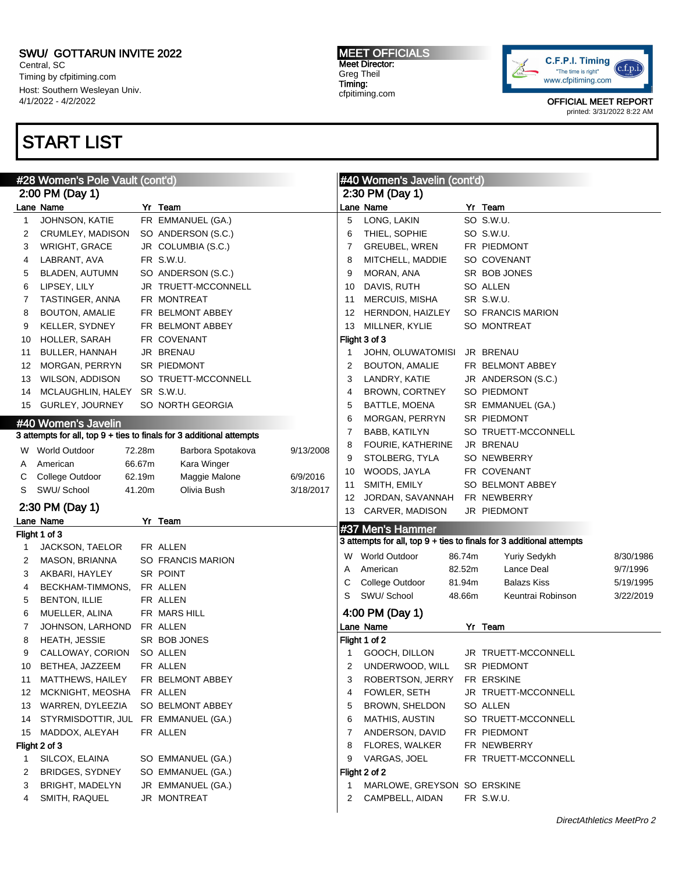Central, SC Timing by cfpitiming.com Host: Southern Wesleyan Univ. 4/1/2022 - 4/2/2022

## START LIST

#### MEET OFFICIALS Meet Director: Greg Theil Timing: cfpitiming.com



|        | #28 Women's Pole Vault (cont'd) |        |                                                                      | #40 Women's Javelin (cont'd) |                 |                             |        |                                                                      |           |
|--------|---------------------------------|--------|----------------------------------------------------------------------|------------------------------|-----------------|-----------------------------|--------|----------------------------------------------------------------------|-----------|
|        | 2:00 PM (Day 1)                 |        |                                                                      |                              | 2:30 PM (Day 1) |                             |        |                                                                      |           |
|        | Lane Name                       |        | Yr Team                                                              |                              |                 | Lane Name                   |        | Yr Team                                                              |           |
| 1      | JOHNSON, KATIE                  |        | FR EMMANUEL (GA.)                                                    |                              | 5               | LONG, LAKIN                 |        | SO S.W.U.                                                            |           |
| 2      | CRUMLEY, MADISON                |        | SO ANDERSON (S.C.)                                                   |                              | 6               | THIEL, SOPHIE               |        | SO S.W.U.                                                            |           |
| 3      | <b>WRIGHT, GRACE</b>            |        | JR COLUMBIA (S.C.)                                                   |                              | 7               | <b>GREUBEL, WREN</b>        |        | FR PIEDMONT                                                          |           |
| 4      | LABRANT, AVA                    |        | FR S.W.U.                                                            |                              | 8               | MITCHELL, MADDIE            |        | SO COVENANT                                                          |           |
| 5      | BLADEN, AUTUMN                  |        | SO ANDERSON (S.C.)                                                   |                              | 9               | MORAN, ANA                  |        | SR BOB JONES                                                         |           |
| 6      | LIPSEY, LILY                    |        | JR TRUETT-MCCONNELL                                                  |                              | 10              | DAVIS, RUTH                 |        | SO ALLEN                                                             |           |
| 7      | TASTINGER, ANNA                 |        | FR MONTREAT                                                          |                              | 11              | <b>MERCUIS, MISHA</b>       |        | SR S.W.U.                                                            |           |
| 8      | <b>BOUTON, AMALIE</b>           |        | FR BELMONT ABBEY                                                     |                              | 12              | HERNDON, HAIZLEY            |        | SO FRANCIS MARION                                                    |           |
| 9      | KELLER, SYDNEY                  |        | FR BELMONT ABBEY                                                     |                              | 13              | MILLNER, KYLIE              |        | SO MONTREAT                                                          |           |
| 10     | HOLLER, SARAH                   |        | FR COVENANT                                                          |                              |                 | Flight 3 of 3               |        |                                                                      |           |
| 11     | BULLER, HANNAH                  |        | JR BRENAU                                                            |                              | 1               | JOHN, OLUWATOMISI           |        | JR BRENAU                                                            |           |
| 12     | MORGAN, PERRYN                  |        | SR PIEDMONT                                                          |                              | 2               | <b>BOUTON, AMALIE</b>       |        | FR BELMONT ABBEY                                                     |           |
| 13     | WILSON, ADDISON                 |        | SO TRUETT-MCCONNELL                                                  |                              | 3               | LANDRY, KATIE               |        | JR ANDERSON (S.C.)                                                   |           |
| 14     | MCLAUGHLIN, HALEY               |        | SR S.W.U.                                                            |                              | 4               | BROWN, CORTNEY              |        | SO PIEDMONT                                                          |           |
| 15     | GURLEY, JOURNEY                 |        | SO NORTH GEORGIA                                                     |                              | 5               | <b>BATTLE, MOENA</b>        |        | SR EMMANUEL (GA.)                                                    |           |
|        | #40 Women's Javelin             |        |                                                                      |                              | 6               | MORGAN, PERRYN              |        | SR PIEDMONT                                                          |           |
|        |                                 |        | 3 attempts for all, top 9 + ties to finals for 3 additional attempts |                              | 7               | BABB, KATILYN               |        | SO TRUETT-MCCONNELL                                                  |           |
|        | W World Outdoor                 | 72.28m |                                                                      | 9/13/2008                    | 8               | FOURIE, KATHERINE           |        | JR BRENAU                                                            |           |
|        | American                        | 66.67m | Barbora Spotakova                                                    |                              | 9               | STOLBERG, TYLA              |        | SO NEWBERRY                                                          |           |
| A      |                                 | 62.19m | Kara Winger                                                          | 6/9/2016                     | 10              | WOODS, JAYLA                |        | FR COVENANT                                                          |           |
| С<br>S | College Outdoor<br>SWU/ School  | 41.20m | Maggie Malone<br>Olivia Bush                                         | 3/18/2017                    | 11              | SMITH, EMILY                |        | SO BELMONT ABBEY                                                     |           |
|        |                                 |        |                                                                      |                              | 12              | JORDAN, SAVANNAH            |        | FR NEWBERRY                                                          |           |
|        | 2:30 PM (Day 1)                 |        |                                                                      |                              | 13              | CARVER, MADISON             |        | JR PIEDMONT                                                          |           |
|        | Lane Name                       |        | Yr Team                                                              |                              |                 | #37 Men's Hammer            |        |                                                                      |           |
|        | Flight 1 of 3                   |        |                                                                      |                              |                 |                             |        | 3 attempts for all, top 9 + ties to finals for 3 additional attempts |           |
| 1      | JACKSON, TAELOR                 |        | FR ALLEN                                                             |                              |                 | W World Outdoor             | 86.74m | Yuriy Sedykh                                                         | 8/30/1986 |
| 2      | MASON, BRIANNA                  |        | SO FRANCIS MARION                                                    |                              | Α               | American                    | 82.52m | Lance Deal                                                           | 9/7/1996  |
| 3      | AKBARI, HAYLEY                  |        | SR POINT                                                             |                              | С               | College Outdoor             | 81.94m | <b>Balazs Kiss</b>                                                   | 5/19/1995 |
| 4      | BECKHAM-TIMMONS,                |        | FR ALLEN                                                             |                              | S               | SWU/ School                 | 48.66m | Keuntrai Robinson                                                    | 3/22/2019 |
| 5      | <b>BENTON, ILLIE</b>            |        | FR ALLEN                                                             |                              |                 |                             |        |                                                                      |           |
| 6      | MUELLER, ALINA                  |        | FR MARS HILL                                                         |                              |                 | 4:00 PM (Day 1)             |        |                                                                      |           |
| 7      | JOHNSON, LARHOND                |        | FR ALLEN                                                             |                              |                 | Lane Name                   |        | Yr Team                                                              |           |
| 8      | HEATH, JESSIE                   |        | SR BOB JONES                                                         |                              |                 | Flight 1 of 2               |        |                                                                      |           |
| 9      | CALLOWAY, CORION                |        | SO ALLEN                                                             |                              |                 | GOOCH, DILLON               |        | JR TRUETT-MCCONNELL                                                  |           |
| 10     | BETHEA, JAZZEEM                 |        | FR ALLEN                                                             |                              | 2               | UNDERWOOD, WILL             |        | SR PIEDMONT                                                          |           |
| 11     | MATTHEWS, HAILEY                |        | FR BELMONT ABBEY                                                     |                              | 3               | ROBERTSON, JERRY            |        | FR ERSKINE                                                           |           |
| 12     | MCKNIGHT, MEOSHA                |        | FR ALLEN                                                             |                              | 4               | FOWLER, SETH                |        | JR TRUETT-MCCONNELL                                                  |           |
| 13     | WARREN, DYLEEZIA                |        | SO BELMONT ABBEY                                                     |                              | 5               | BROWN, SHELDON              |        | SO ALLEN                                                             |           |
| 14     | STYRMISDOTTIR, JUL              |        | FR EMMANUEL (GA.)                                                    |                              | 6               | <b>MATHIS, AUSTIN</b>       |        | SO TRUETT-MCCONNELL                                                  |           |
| 15     | MADDOX, ALEYAH                  |        | FR ALLEN                                                             |                              | 7               | ANDERSON, DAVID             |        | FR PIEDMONT                                                          |           |
|        | Flight 2 of 3                   |        |                                                                      |                              | 8               | FLORES, WALKER              |        | FR NEWBERRY                                                          |           |
| 1      | SILCOX, ELAINA                  |        | SO EMMANUEL (GA.)                                                    |                              | 9               | VARGAS, JOEL                |        | FR TRUETT-MCCONNELL                                                  |           |
| 2      | <b>BRIDGES, SYDNEY</b>          |        | SO EMMANUEL (GA.)                                                    |                              |                 | Flight 2 of 2               |        |                                                                      |           |
| 3      | BRIGHT, MADELYN                 |        | JR EMMANUEL (GA.)                                                    |                              | -1              | MARLOWE, GREYSON SO ERSKINE |        |                                                                      |           |
|        |                                 |        |                                                                      |                              |                 |                             |        |                                                                      |           |
| 4      | SMITH, RAQUEL                   |        | JR MONTREAT                                                          |                              | 2               | CAMPBELL, AIDAN             |        | FR S.W.U.                                                            |           |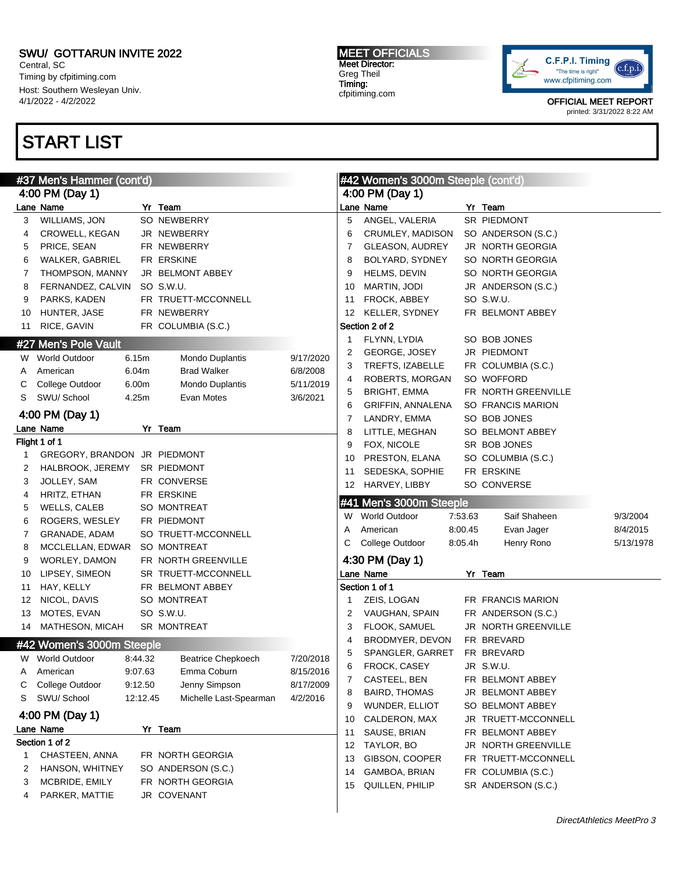Central, SC Timing by cfpitiming.com Host: Southern Wesleyan Univ. 4/1/2022 - 4/2/2022

# START LIST

#### MEET OFFICIALS Meet Director: Greg Theil Timing: cfpitiming.com



| #37 Men's Hammer (cont'd) |                                |          |                           |           |    | #42 Women's 3000m Steeple (cont'd) |         |                          |           |  |
|---------------------------|--------------------------------|----------|---------------------------|-----------|----|------------------------------------|---------|--------------------------|-----------|--|
|                           | 4:00 PM (Day 1)                |          |                           |           |    | 4:00 PM (Day 1)                    |         |                          |           |  |
|                           | Lane Name                      |          | Yr Team                   |           |    | Lane Name                          |         | Yr Team                  |           |  |
| 3                         | WILLIAMS, JON                  |          | SO NEWBERRY               |           | 5  | ANGEL, VALERIA                     |         | SR PIEDMONT              |           |  |
| 4                         | CROWELL, KEGAN                 |          | JR NEWBERRY               |           | 6  | CRUMLEY, MADISON                   |         | SO ANDERSON (S.C.)       |           |  |
| 5                         | PRICE, SEAN                    |          | FR NEWBERRY               |           | 7  | <b>GLEASON, AUDREY</b>             |         | <b>JR NORTH GEORGIA</b>  |           |  |
| 6                         | WALKER, GABRIEL                |          | FR ERSKINE                |           | 8  | BOLYARD, SYDNEY                    |         | SO NORTH GEORGIA         |           |  |
| 7                         | THOMPSON, MANNY                |          | JR BELMONT ABBEY          |           | 9  | HELMS, DEVIN                       |         | SO NORTH GEORGIA         |           |  |
| 8                         | FERNANDEZ, CALVIN              |          | SO S.W.U.                 |           | 10 | MARTIN, JODI                       |         | JR ANDERSON (S.C.)       |           |  |
| 9                         | PARKS, KADEN                   |          | FR TRUETT-MCCONNELL       |           | 11 | FROCK, ABBEY                       |         | SO S.W.U.                |           |  |
| 10                        | HUNTER, JASE                   |          | FR NEWBERRY               |           | 12 | KELLER, SYDNEY                     |         | FR BELMONT ABBEY         |           |  |
| 11                        | RICE, GAVIN                    |          | FR COLUMBIA (S.C.)        |           |    | Section 2 of 2                     |         |                          |           |  |
|                           | #27 Men's Pole Vault           |          |                           |           | 1  | FLYNN, LYDIA                       |         | SO BOB JONES             |           |  |
|                           |                                |          |                           |           | 2  | GEORGE, JOSEY                      |         | JR PIEDMONT              |           |  |
|                           | W World Outdoor                | 6.15m    | Mondo Duplantis           | 9/17/2020 | 3  | TREFTS, IZABELLE                   |         | FR COLUMBIA (S.C.)       |           |  |
| A                         | American                       | 6.04m    | <b>Brad Walker</b>        | 6/8/2008  | 4  | ROBERTS, MORGAN                    |         | SO WOFFORD               |           |  |
| С                         | College Outdoor<br>SWU/ School | 6.00m    | Mondo Duplantis           | 5/11/2019 | 5  | <b>BRIGHT, EMMA</b>                |         | FR NORTH GREENVILLE      |           |  |
| S                         |                                | 4.25m    | Evan Motes                | 3/6/2021  | 6  | GRIFFIN, ANNALENA                  |         | <b>SO FRANCIS MARION</b> |           |  |
|                           | 4:00 PM (Day 1)                |          |                           |           | 7  | LANDRY, EMMA                       |         | SO BOB JONES             |           |  |
|                           | Lane Name                      |          | Yr Team                   |           | 8  | LITTLE, MEGHAN                     |         | SO BELMONT ABBEY         |           |  |
|                           | Flight 1 of 1                  |          |                           |           | 9  | FOX, NICOLE                        |         | SR BOB JONES             |           |  |
|                           | GREGORY, BRANDON JR PIEDMONT   |          |                           |           | 10 | PRESTON, ELANA                     |         | SO COLUMBIA (S.C.)       |           |  |
| 2                         | HALBROOK, JEREMY               |          | SR PIEDMONT               |           | 11 | SEDESKA, SOPHIE                    |         | FR ERSKINE               |           |  |
| 3                         | JOLLEY, SAM                    |          | FR CONVERSE               |           | 12 | HARVEY, LIBBY                      |         | SO CONVERSE              |           |  |
| 4                         | HRITZ, ETHAN                   |          | FR ERSKINE                |           |    | #41 Men's 3000m Steeple            |         |                          |           |  |
| 5                         | WELLS, CALEB                   |          | SO MONTREAT               |           | W  | <b>World Outdoor</b>               | 7:53.63 | Saif Shaheen             | 9/3/2004  |  |
| 6                         | ROGERS, WESLEY                 |          | FR PIEDMONT               |           | Α  | American                           | 8:00.45 | Evan Jager               | 8/4/2015  |  |
| 7                         | GRANADE, ADAM                  |          | SO TRUETT-MCCONNELL       |           | С  | College Outdoor                    | 8:05.4h | Henry Rono               | 5/13/1978 |  |
| 8                         | MCCLELLAN, EDWAR               |          | SO MONTREAT               |           |    |                                    |         |                          |           |  |
| 9                         | WORLEY, DAMON                  |          | FR NORTH GREENVILLE       |           |    | 4:30 PM (Day 1)                    |         |                          |           |  |
| 10                        | LIPSEY, SIMEON                 |          | SR TRUETT-MCCONNELL       |           |    | Lane Name                          |         | Yr Team                  |           |  |
| 11                        | HAY, KELLY                     |          | FR BELMONT ABBEY          |           |    | Section 1 of 1                     |         |                          |           |  |
| 12                        | NICOL, DAVIS                   |          | SO MONTREAT               |           | 1  | ZEIS, LOGAN                        |         | FR FRANCIS MARION        |           |  |
| 13                        | MOTES, EVAN                    |          | SO S.W.U.                 |           | 2  | VAUGHAN, SPAIN                     |         | FR ANDERSON (S.C.)       |           |  |
| 14                        | MATHESON, MICAH                |          | SR MONTREAT               |           | 3  | FLOOK, SAMUEL                      |         | JR NORTH GREENVILLE      |           |  |
|                           | #42 Women's 3000m Steeple      |          |                           |           | 4  | BRODMYER, DEVON                    |         | FR BREVARD               |           |  |
|                           | W World Outdoor                | 8:44.32  | <b>Beatrice Chepkoech</b> | 7/20/2018 | 5  | SPANGLER, GARRET                   |         | FR BREVARD               |           |  |
| Α                         | American                       | 9:07.63  | Emma Coburn               | 8/15/2016 | 6  | FROCK, CASEY                       |         | JR S.W.U.                |           |  |
| С                         | College Outdoor                | 9:12.50  | Jenny Simpson             | 8/17/2009 | 7  | CASTEEL, BEN                       |         | FR BELMONT ABBEY         |           |  |
| S                         | SWU/School                     | 12:12.45 | Michelle Last-Spearman    | 4/2/2016  | 8  | <b>BAIRD, THOMAS</b>               |         | JR BELMONT ABBEY         |           |  |
|                           | 4:00 PM (Day 1)                |          |                           |           | 9  | WUNDER, ELLIOT                     |         | SO BELMONT ABBEY         |           |  |
|                           | Lane Name                      |          | Yr Team                   |           | 10 | CALDERON, MAX                      |         | JR TRUETT-MCCONNELL      |           |  |
|                           | Section 1 of 2                 |          |                           |           | 11 | SAUSE, BRIAN                       |         | FR BELMONT ABBEY         |           |  |
| 1                         | CHASTEEN, ANNA                 |          | FR NORTH GEORGIA          |           | 12 | TAYLOR, BO                         |         | JR NORTH GREENVILLE      |           |  |
| 2                         | HANSON, WHITNEY                |          | SO ANDERSON (S.C.)        |           | 13 | GIBSON, COOPER                     |         | FR TRUETT-MCCONNELL      |           |  |
| 3                         | MCBRIDE, EMILY                 |          | FR NORTH GEORGIA          |           | 14 | GAMBOA, BRIAN                      |         | FR COLUMBIA (S.C.)       |           |  |
|                           | PARKER, MATTIE                 |          | JR COVENANT               |           | 15 | QUILLEN, PHILIP                    |         | SR ANDERSON (S.C.)       |           |  |
| 4                         |                                |          |                           |           |    |                                    |         |                          |           |  |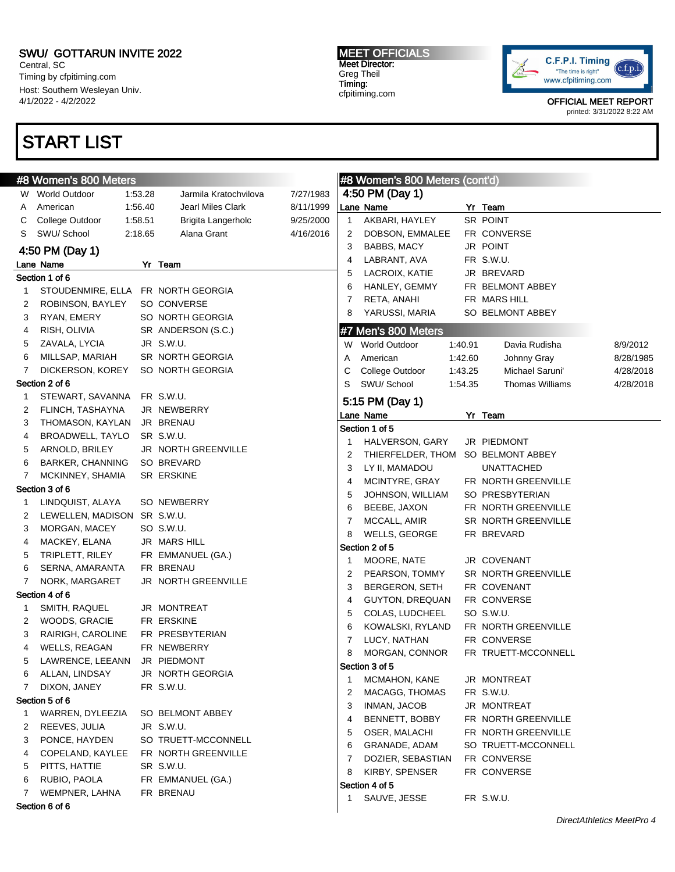Central, SC Timing by cfpitiming.com Host: Southern Wesleyan Univ. 4/1/2022 - 4/2/2022

## START LIST

#### MEET OFFICIALS Meet Director: Greg Theil Timing: cfpitiming.com



|   | #8 Women's 800 Meters              |         |                       |           |              | <b>#8 Women's 800 Meters (cont'd)</b> |         |                        |           |
|---|------------------------------------|---------|-----------------------|-----------|--------------|---------------------------------------|---------|------------------------|-----------|
|   | W World Outdoor                    | 1.53.28 | Jarmila Kratochvilova | 7/27/1983 |              | 4:50 PM (Day 1)                       |         |                        |           |
| A | American                           | 1:56.40 | Jearl Miles Clark     | 8/11/1999 |              | Lane Name                             |         | Yr Team                |           |
| C | College Outdoor                    | 1:58.51 | Brigita Langerholc    | 9/25/2000 | $\mathbf{1}$ | AKBARI, HAYLEY                        |         | SR POINT               |           |
| S | SWU/ School                        | 2:18.65 | Alana Grant           | 4/16/2016 | 2            | DOBSON, EMMALEE                       |         | FR CONVERSE            |           |
|   | 4:50 PM (Day 1)                    |         |                       |           | 3            | BABBS, MACY                           |         | JR POINT               |           |
|   | Lane Name                          |         | Yr Team               |           | 4            | LABRANT, AVA                          |         | FR S.W.U.              |           |
|   | Section 1 of 6                     |         |                       |           | 5            | LACROIX, KATIE                        |         | JR BREVARD             |           |
| 1 | STOUDENMIRE, ELLA FR NORTH GEORGIA |         |                       |           | 6            | HANLEY, GEMMY                         |         | FR BELMONT ABBEY       |           |
| 2 | ROBINSON, BAYLEY                   |         | SO CONVERSE           |           | 7            | RETA, ANAHI                           |         | FR MARS HILL           |           |
|   |                                    |         | SO NORTH GEORGIA      |           | 8            | YARUSSI, MARIA                        |         | SO BELMONT ABBEY       |           |
| 3 | RYAN, EMERY                        |         |                       |           |              |                                       |         |                        |           |
| 4 | RISH, OLIVIA                       |         | SR ANDERSON (S.C.)    |           |              | #7 Men's 800 Meters                   |         |                        |           |
| 5 | ZAVALA, LYCIA                      |         | JR S.W.U.             |           |              | W World Outdoor                       | 1:40.91 | Davia Rudisha          | 8/9/2012  |
| 6 | MILLSAP, MARIAH                    |         | SR NORTH GEORGIA      |           | A            | American                              | 1:42.60 | Johnny Gray            | 8/28/1985 |
| 7 | DICKERSON, KOREY                   |         | SO NORTH GEORGIA      |           | С            | College Outdoor                       | 1:43.25 | Michael Saruni'        | 4/28/2018 |
|   | Section 2 of 6                     |         |                       |           | S            | SWU/ School                           | 1:54.35 | <b>Thomas Williams</b> | 4/28/2018 |
| 1 | STEWART, SAVANNA FR S.W.U.         |         |                       |           |              | 5:15 PM (Day 1)                       |         |                        |           |
| 2 | FLINCH, TASHAYNA                   |         | JR NEWBERRY           |           |              | Lane Name                             |         | Yr Team                |           |
| 3 | THOMASON, KAYLAN                   |         | JR BRENAU             |           |              | Section 1 of 5                        |         |                        |           |
| 4 | BROADWELL, TAYLO                   |         | SR S.W.U.             |           | 1            | HALVERSON, GARY                       |         | JR PIEDMONT            |           |
| 5 | ARNOLD, BRILEY                     |         | JR NORTH GREENVILLE   |           | 2            | THIERFELDER, THOM SO BELMONT ABBEY    |         |                        |           |
| 6 | <b>BARKER, CHANNING</b>            |         | SO BREVARD            |           | 3            | LY II, MAMADOU                        |         | UNATTACHED             |           |
| 7 | MCKINNEY, SHAMIA                   |         | SR ERSKINE            |           | 4            | MCINTYRE, GRAY                        |         | FR NORTH GREENVILLE    |           |
|   | Section 3 of 6                     |         |                       |           | 5            | JOHNSON, WILLIAM                      |         | SO PRESBYTERIAN        |           |
| 1 | LINDQUIST, ALAYA                   |         | SO NEWBERRY           |           | 6            | BEEBE, JAXON                          |         | FR NORTH GREENVILLE    |           |
| 2 | LEWELLEN, MADISON SR S.W.U.        |         |                       |           | 7            | MCCALL, AMIR                          |         | SR NORTH GREENVILLE    |           |
| 3 | MORGAN, MACEY                      |         | SO S.W.U.             |           | 8            | WELLS, GEORGE                         |         | FR BREVARD             |           |
| 4 | MACKEY, ELANA                      |         | JR MARS HILL          |           |              | Section 2 of 5                        |         |                        |           |
| 5 | TRIPLETT, RILEY                    |         | FR EMMANUEL (GA.)     |           | 1            | MOORE, NATE                           |         | JR COVENANT            |           |
| 6 | SERNA, AMARANTA                    |         | FR BRENAU             |           | 2            | PEARSON, TOMMY                        |         | SR NORTH GREENVILLE    |           |
| 7 | NORK, MARGARET                     |         | JR NORTH GREENVILLE   |           | 3            | BERGERON, SETH                        |         | FR COVENANT            |           |
|   | Section 4 of 6                     |         |                       |           | 4            | <b>GUYTON, DREQUAN</b>                |         | FR CONVERSE            |           |
| 1 | SMITH, RAQUEL                      |         | JR MONTREAT           |           | 5            | COLAS, LUDCHEEL                       |         | SO S.W.U.              |           |
| 2 | WOODS, GRACIE                      |         | FR ERSKINE            |           | 6            | KOWALSKI, RYLAND                      |         | FR NORTH GREENVILLE    |           |
| 3 | RAIRIGH, CAROLINE                  |         | FR PRESBYTERIAN       |           | 7            | LUCY, NATHAN                          |         | FR CONVERSE            |           |
| 4 | WELLS, REAGAN                      |         | FR NEWBERRY           |           | 8            | MORGAN, CONNOR                        |         | FR TRUETT-MCCONNELL    |           |
| 5 | LAWRENCE, LEEANN                   |         | JR PIEDMONT           |           |              |                                       |         |                        |           |
| 6 | ALLAN, LINDSAY                     |         | JR NORTH GEORGIA      |           |              | Section 3 of 5                        |         |                        |           |
| 7 | DIXON, JANEY                       |         | FR S.W.U.             |           | 1            | MCMAHON, KANE                         |         | JR MONTREAT            |           |
|   | Section 5 of 6                     |         |                       |           | 2            | MACAGG, THOMAS                        |         | FR S.W.U.              |           |
| 1 | WARREN, DYLEEZIA                   |         | SO BELMONT ABBEY      |           | 3            | INMAN, JACOB                          |         | JR MONTREAT            |           |
| 2 | REEVES, JULIA                      |         | JR S.W.U.             |           | 4            | BENNETT, BOBBY                        |         | FR NORTH GREENVILLE    |           |
| 3 | PONCE, HAYDEN                      |         | SO TRUETT-MCCONNELL   |           | 5            | OSER, MALACHI                         |         | FR NORTH GREENVILLE    |           |
| 4 | COPELAND, KAYLEE                   |         | FR NORTH GREENVILLE   |           | 6            | GRANADE, ADAM                         |         | SO TRUETT-MCCONNELL    |           |
| 5 | PITTS, HATTIE                      |         | SR S.W.U.             |           | 7            | DOZIER, SEBASTIAN                     |         | FR CONVERSE            |           |
| 6 | RUBIO, PAOLA                       |         | FR EMMANUEL (GA.)     |           | 8            | KIRBY, SPENSER                        |         | FR CONVERSE            |           |
| 7 | WEMPNER, LAHNA                     |         | FR BRENAU             |           |              | Section 4 of 5                        |         |                        |           |
|   | Section 6 of 6                     |         |                       |           | 1            | SAUVE, JESSE                          |         | FR S.W.U.              |           |
|   |                                    |         |                       |           |              |                                       |         |                        |           |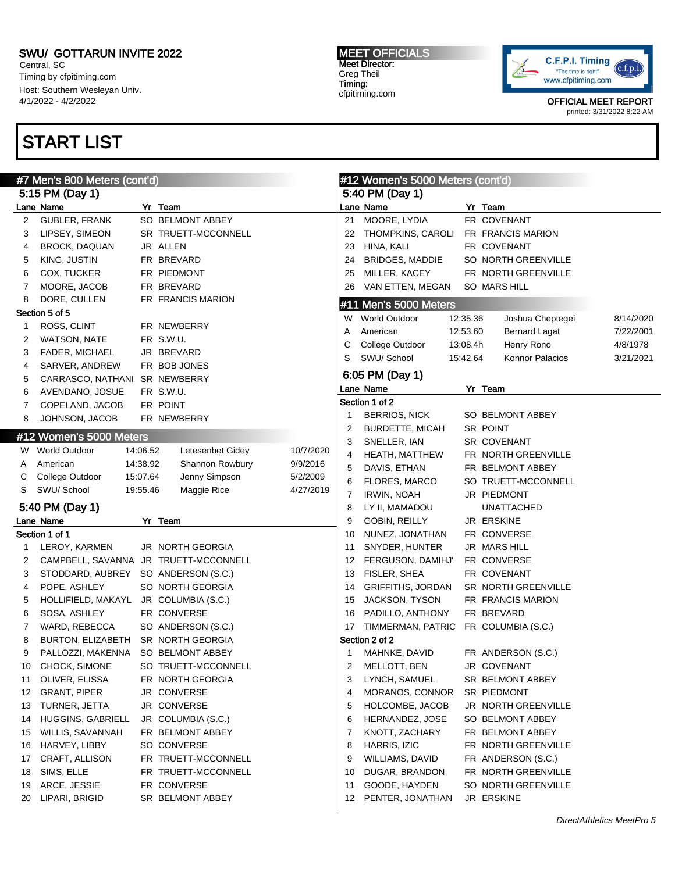Central, SC Timing by cfpitiming.com Host: Southern Wesleyan Univ. 4/1/2022 - 4/2/2022

# START LIST

#### MEET OFFICIALS Meet Director: Greg Theil Timing: cfpitiming.com



|                 | #7 Men's 800 Meters (cont'd)          |          |                     | #12 Women's 5000 Meters (cont'd) |                 |                                      |          |                                  |           |
|-----------------|---------------------------------------|----------|---------------------|----------------------------------|-----------------|--------------------------------------|----------|----------------------------------|-----------|
|                 | 5:15 PM (Day 1)                       |          |                     |                                  | 5:40 PM (Day 1) |                                      |          |                                  |           |
|                 | Lane Name                             |          | Yr Team             |                                  |                 | Lane Name                            |          | Yr Team                          |           |
| 2               | <b>GUBLER, FRANK</b>                  |          | SO BELMONT ABBEY    |                                  | 21              | MOORE, LYDIA                         |          | FR COVENANT                      |           |
| 3               | LIPSEY, SIMEON                        |          | SR TRUETT-MCCONNELL |                                  | 22              | THOMPKINS, CAROLI                    |          | FR FRANCIS MARION                |           |
| 4               | BROCK, DAQUAN                         |          | JR ALLEN            |                                  | 23              | HINA, KALI                           |          | FR COVENANT                      |           |
| 5               | KING, JUSTIN                          |          | FR BREVARD          |                                  | 24              | <b>BRIDGES, MADDIE</b>               |          | SO NORTH GREENVILLE              |           |
| 6               | COX, TUCKER                           |          | FR PIEDMONT         |                                  | 25              | MILLER, KACEY                        |          | FR NORTH GREENVILLE              |           |
| 7               | MOORE, JACOB                          |          | FR BREVARD          |                                  | 26              | VAN ETTEN, MEGAN                     |          | SO MARS HILL                     |           |
| 8               | DORE, CULLEN                          |          | FR FRANCIS MARION   |                                  |                 | #11 Men's 5000 Meters                |          |                                  |           |
|                 | Section 5 of 5                        |          |                     |                                  | W               | World Outdoor                        | 12:35.36 | Joshua Cheptegei                 | 8/14/2020 |
| 1               | ROSS, CLINT                           |          | FR NEWBERRY         |                                  | Α               | American                             | 12:53.60 | <b>Bernard Lagat</b>             | 7/22/2001 |
| 2               | WATSON, NATE                          |          | FR S.W.U.           |                                  | С               | College Outdoor                      | 13:08.4h | Henry Rono                       | 4/8/1978  |
| 3               | FADER, MICHAEL                        |          | JR BREVARD          |                                  | S               | SWU/ School                          | 15:42.64 | Konnor Palacios                  | 3/21/2021 |
| 4               | SARVER, ANDREW                        |          | FR BOB JONES        |                                  |                 | 6:05 PM (Day 1)                      |          |                                  |           |
| 5               | CARRASCO, NATHANI SR NEWBERRY         |          |                     |                                  |                 | Lane Name                            |          |                                  |           |
| 6               | AVENDANO, JOSUE                       |          | FR S.W.U.           |                                  |                 | Section 1 of 2                       |          | Yr Team                          |           |
| 7               | COPELAND, JACOB                       |          | FR POINT            |                                  |                 | <b>BERRIOS, NICK</b>                 |          | SO BELMONT ABBEY                 |           |
| 8               | JOHNSON, JACOB                        |          | FR NEWBERRY         |                                  | 1               | <b>BURDETTE, MICAH</b>               |          | SR POINT                         |           |
|                 | #12 Women's 5000 Meters               |          |                     |                                  | 2<br>3          | SNELLER, IAN                         |          | <b>SR COVENANT</b>               |           |
|                 | W World Outdoor                       | 14:06.52 | Letesenbet Gidey    | 10/7/2020                        | 4               | HEATH, MATTHEW                       |          | FR NORTH GREENVILLE              |           |
| A               | American                              | 14:38.92 | Shannon Rowbury     | 9/9/2016                         | 5               | DAVIS, ETHAN                         |          | FR BELMONT ABBEY                 |           |
| С               | College Outdoor                       | 15:07.64 | Jenny Simpson       | 5/2/2009                         |                 |                                      |          |                                  |           |
| S               | SWU/School                            | 19:55.46 | Maggie Rice         | 4/27/2019                        | 6               | <b>FLORES, MARCO</b>                 |          | SO TRUETT-MCCONNELL              |           |
|                 | 5:40 PM (Day 1)                       |          |                     |                                  | 7<br>8          | <b>IRWIN, NOAH</b><br>LY II, MAMADOU |          | JR PIEDMONT<br><b>UNATTACHED</b> |           |
|                 | Lane Name                             |          | Yr Team             |                                  | 9               | <b>GOBIN, REILLY</b>                 |          | JR ERSKINE                       |           |
|                 | Section 1 of 1                        |          |                     |                                  | 10              | NUNEZ, JONATHAN                      |          | FR CONVERSE                      |           |
| $\mathbf{1}$    | LEROY, KARMEN                         |          | JR NORTH GEORGIA    |                                  | 11              | SNYDER, HUNTER                       |          | JR MARS HILL                     |           |
| 2               | CAMPBELL, SAVANNA JR TRUETT-MCCONNELL |          |                     |                                  | 12              | FERGUSON, DAMIHJ'                    |          | FR CONVERSE                      |           |
| 3               | STODDARD, AUBREY SO ANDERSON (S.C.)   |          |                     |                                  | 13              | FISLER, SHEA                         |          | FR COVENANT                      |           |
| 4               | POPE, ASHLEY                          |          | SO NORTH GEORGIA    |                                  | 14              | <b>GRIFFITHS, JORDAN</b>             |          | SR NORTH GREENVILLE              |           |
| 5               | HOLLIFIELD, MAKAYL                    |          | JR COLUMBIA (S.C.)  |                                  | 15              | JACKSON, TYSON                       |          | FR FRANCIS MARION                |           |
| 6               | SOSA, ASHLEY                          |          | FR CONVERSE         |                                  | 16              | PADILLO, ANTHONY                     |          | FR BREVARD                       |           |
| 7               | WARD, REBECCA                         |          | SO ANDERSON (S.C.)  |                                  |                 | 17 TIMMERMAN, PATRIC                 |          | FR COLUMBIA (S.C.)               |           |
| 8               | BURTON, ELIZABETH SR NORTH GEORGIA    |          |                     |                                  |                 | Section 2 of 2                       |          |                                  |           |
| 9               | PALLOZZI, MAKENNA SO BELMONT ABBEY    |          |                     |                                  | 1               | MAHNKE, DAVID                        |          | FR ANDERSON (S.C.)               |           |
| 10 <sup>°</sup> | CHOCK, SIMONE                         |          | SO TRUETT-MCCONNELL |                                  | 2               | MELLOTT, BEN                         |          | JR COVENANT                      |           |
| 11              | OLIVER, ELISSA                        |          | FR NORTH GEORGIA    |                                  | 3               | LYNCH, SAMUEL                        |          | SR BELMONT ABBEY                 |           |
| 12              | <b>GRANT, PIPER</b>                   |          | JR CONVERSE         |                                  | 4               | MORANOS, CONNOR                      |          | SR PIEDMONT                      |           |
| 13              | TURNER, JETTA                         |          | JR CONVERSE         |                                  | 5               | HOLCOMBE, JACOB                      |          | JR NORTH GREENVILLE              |           |
| 14              | HUGGINS, GABRIELL                     |          | JR COLUMBIA (S.C.)  |                                  | 6               | HERNANDEZ, JOSE                      |          | SO BELMONT ABBEY                 |           |
| 15              | WILLIS, SAVANNAH                      |          | FR BELMONT ABBEY    |                                  | 7               | KNOTT, ZACHARY                       |          | FR BELMONT ABBEY                 |           |
| 16              | HARVEY, LIBBY                         |          | SO CONVERSE         |                                  | 8               | HARRIS, IZIC                         |          | FR NORTH GREENVILLE              |           |
| 17              | CRAFT, ALLISON                        |          | FR TRUETT-MCCONNELL |                                  | 9               | WILLIAMS, DAVID                      |          | FR ANDERSON (S.C.)               |           |
| 18              | SIMS, ELLE                            |          | FR TRUETT-MCCONNELL |                                  | 10              | DUGAR, BRANDON                       |          | FR NORTH GREENVILLE              |           |
| 19              | ARCE, JESSIE                          |          | FR CONVERSE         |                                  | 11              | GOODE, HAYDEN                        |          | SO NORTH GREENVILLE              |           |
| 20              | LIPARI, BRIGID                        |          | SR BELMONT ABBEY    |                                  | 12              | PENTER, JONATHAN                     |          | JR ERSKINE                       |           |
|                 |                                       |          |                     |                                  |                 |                                      |          |                                  |           |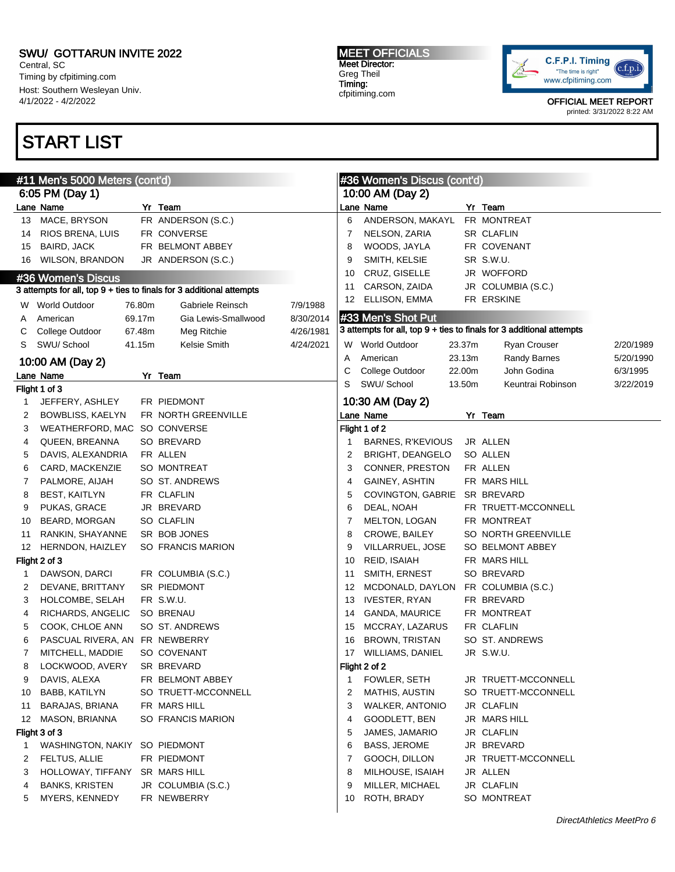Central, SC Timing by cfpitiming.com Host: Southern Wesleyan Univ. 4/1/2022 - 4/2/2022

# START LIST

#### MEET OFFICIALS Meet Director: Greg Theil Timing: cfpitiming.com



|    | #11 Men's 5000 Meters (cont'd) |        |                                                                      |           |    | #36 Women's Discus (cont'd) |        |                                                                      |           |
|----|--------------------------------|--------|----------------------------------------------------------------------|-----------|----|-----------------------------|--------|----------------------------------------------------------------------|-----------|
|    | 6:05 PM (Day 1)                |        |                                                                      |           |    | 10:00 AM (Day 2)            |        |                                                                      |           |
|    | Lane Name                      |        | Yr Team                                                              |           |    | Lane Name                   |        | Yr Team                                                              |           |
| 13 | MACE, BRYSON                   |        | FR ANDERSON (S.C.)                                                   |           | 6  | ANDERSON, MAKAYL            |        | FR MONTREAT                                                          |           |
| 14 | RIOS BRENA, LUIS               |        | FR CONVERSE                                                          |           | 7  | NELSON, ZARIA               |        | <b>SR CLAFLIN</b>                                                    |           |
| 15 | BAIRD, JACK                    |        | FR BELMONT ABBEY                                                     |           | 8  | WOODS, JAYLA                |        | FR COVENANT                                                          |           |
| 16 | <b>WILSON, BRANDON</b>         |        | JR ANDERSON (S.C.)                                                   |           | 9  | SMITH, KELSIE               |        | SR S.W.U.                                                            |           |
|    | #36 Women's Discus             |        |                                                                      |           | 10 | CRUZ, GISELLE               |        | JR WOFFORD                                                           |           |
|    |                                |        | 3 attempts for all, top 9 + ties to finals for 3 additional attempts |           | 11 | CARSON, ZAIDA               |        | JR COLUMBIA (S.C.)                                                   |           |
|    | W World Outdoor                | 76.80m | Gabriele Reinsch                                                     | 7/9/1988  | 12 | ELLISON, EMMA               |        | FR ERSKINE                                                           |           |
| A  | American                       | 69.17m | Gia Lewis-Smallwood                                                  | 8/30/2014 |    | #33 Men's Shot Put          |        |                                                                      |           |
| С  | College Outdoor                | 67.48m | Meg Ritchie                                                          | 4/26/1981 |    |                             |        | 3 attempts for all, top 9 + ties to finals for 3 additional attempts |           |
| S  | SWU/ School                    | 41.15m | Kelsie Smith                                                         | 4/24/2021 |    | W World Outdoor             | 23.37m | Ryan Crouser                                                         | 2/20/1989 |
|    |                                |        |                                                                      |           | Α  | American                    | 23.13m | Randy Barnes                                                         | 5/20/1990 |
|    | 10:00 AM (Day 2)               |        |                                                                      |           | С  | College Outdoor             | 22.00m | John Godina                                                          | 6/3/1995  |
|    | Lane Name                      |        | Yr Team                                                              |           | S  | SWU/ School                 | 13.50m | Keuntrai Robinson                                                    | 3/22/2019 |
|    | Flight 1 of 3                  |        |                                                                      |           |    |                             |        |                                                                      |           |
| 1  | JEFFERY, ASHLEY                |        | FR PIEDMONT                                                          |           |    | 10:30 AM (Day 2)            |        |                                                                      |           |
| 2  | BOWBLISS, KAELYN               |        | FR NORTH GREENVILLE                                                  |           |    | Lane Name                   |        | Yr Team                                                              |           |
| 3  | WEATHERFORD, MAC SO CONVERSE   |        |                                                                      |           |    | Flight 1 of 2               |        |                                                                      |           |
| 4  | QUEEN, BREANNA                 |        | SO BREVARD                                                           |           | 1  | BARNES, R'KEVIOUS           |        | JR ALLEN                                                             |           |
| 5  | DAVIS, ALEXANDRIA              |        | FR ALLEN                                                             |           | 2  | BRIGHT, DEANGELO            |        | SO ALLEN                                                             |           |
| 6  | CARD, MACKENZIE                |        | SO MONTREAT                                                          |           | 3  | CONNER, PRESTON             |        | FR ALLEN                                                             |           |
| 7  | PALMORE, AIJAH                 |        | SO ST. ANDREWS                                                       |           | 4  | GAINEY, ASHTIN              |        | FR MARS HILL                                                         |           |
| 8  | <b>BEST, KAITLYN</b>           |        | FR CLAFLIN                                                           |           | 5  | <b>COVINGTON, GABRIE</b>    |        | SR BREVARD                                                           |           |
| 9  | PUKAS, GRACE                   |        | JR BREVARD                                                           |           | 6  | DEAL, NOAH                  |        | FR TRUETT-MCCONNELL                                                  |           |
| 10 | BEARD, MORGAN                  |        | SO CLAFLIN                                                           |           | 7  | MELTON, LOGAN               |        | FR MONTREAT                                                          |           |
| 11 | RANKIN, SHAYANNE               |        | SR BOB JONES                                                         |           | 8  | CROWE, BAILEY               |        | SO NORTH GREENVILLE                                                  |           |
| 12 | <b>HERNDON, HAIZLEY</b>        |        | SO FRANCIS MARION                                                    |           | 9  | VILLARRUEL, JOSE            |        | SO BELMONT ABBEY                                                     |           |
|    | Flight 2 of 3                  |        |                                                                      |           | 10 | REID, ISAIAH                |        | FR MARS HILL                                                         |           |
| 1  | DAWSON, DARCI                  |        | FR COLUMBIA (S.C.)                                                   |           | 11 | SMITH, ERNEST               |        | SO BREVARD                                                           |           |
| 2  | DEVANE, BRITTANY               |        | SR PIEDMONT                                                          |           | 12 | MCDONALD, DAYLON            |        | FR COLUMBIA (S.C.)                                                   |           |
| 3  | HOLCOMBE, SELAH                |        | FR S.W.U.                                                            |           | 13 | <b>IVESTER, RYAN</b>        |        | FR BREVARD                                                           |           |
| 4  | RICHARDS, ANGELIC              |        | SO BRENAU                                                            |           | 14 | <b>GANDA, MAURICE</b>       |        | FR MONTREAT                                                          |           |
| 5  | COOK, CHLOE ANN                |        | SO ST. ANDREWS                                                       |           | 15 | MCCRAY, LAZARUS             |        | FR CLAFLIN                                                           |           |
| 6  | PASCUAL RIVERA, AN FR NEWBERRY |        |                                                                      |           | 16 | <b>BROWN, TRISTAN</b>       |        | SO ST. ANDREWS                                                       |           |
| 7  | MITCHELL, MADDIE               |        | SO COVENANT                                                          |           | 17 | WILLIAMS, DANIEL            |        | JR S.W.U.                                                            |           |
| 8  | LOCKWOOD, AVERY                |        | SR BREVARD                                                           |           |    | Flight 2 of 2               |        |                                                                      |           |
| 9  | DAVIS, ALEXA                   |        | FR BELMONT ABBEY                                                     |           | 1  | FOWLER, SETH                |        | JR TRUETT-MCCONNELL                                                  |           |
| 10 | <b>BABB, KATILYN</b>           |        | SO TRUETT-MCCONNELL                                                  |           | 2  | <b>MATHIS, AUSTIN</b>       |        | SO TRUETT-MCCONNELL                                                  |           |
| 11 | BARAJAS, BRIANA                |        | FR MARS HILL                                                         |           | 3  | <b>WALKER, ANTONIO</b>      |        | JR CLAFLIN                                                           |           |
| 12 | MASON, BRIANNA                 |        | SO FRANCIS MARION                                                    |           | 4  | GOODLETT, BEN               |        | JR MARS HILL                                                         |           |
|    | Flight 3 of 3                  |        |                                                                      |           | 5  | JAMES, JAMARIO              |        | JR CLAFLIN                                                           |           |
| 1  | <b>WASHINGTON, NAKIY</b>       |        | SO PIEDMONT                                                          |           | 6  | BASS, JEROME                |        | JR BREVARD                                                           |           |
| 2  | FELTUS, ALLIE                  |        | FR PIEDMONT                                                          |           | 7  | GOOCH, DILLON               |        | JR TRUETT-MCCONNELL                                                  |           |
| 3  | HOLLOWAY, TIFFANY              |        | SR MARS HILL                                                         |           | 8  | MILHOUSE, ISAIAH            |        | JR ALLEN                                                             |           |
| 4  | <b>BANKS, KRISTEN</b>          |        | JR COLUMBIA (S.C.)                                                   |           | 9  | MILLER, MICHAEL             |        | JR CLAFLIN                                                           |           |
| 5  | MYERS, KENNEDY                 |        | FR NEWBERRY                                                          |           | 10 | ROTH, BRADY                 |        | SO MONTREAT                                                          |           |
|    |                                |        |                                                                      |           |    |                             |        |                                                                      |           |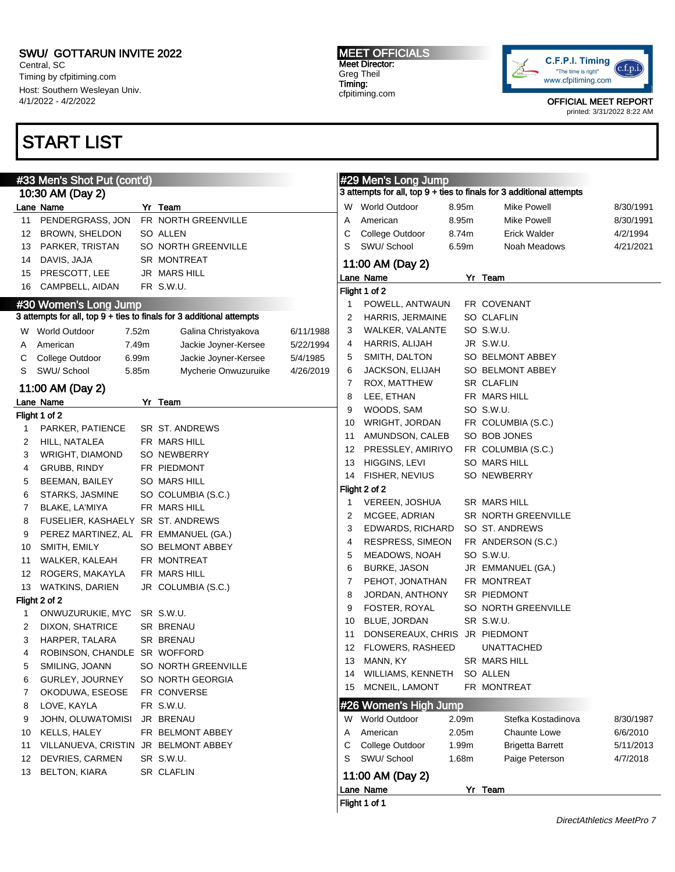Central, SC Timing by cfpitiming.com Host: Southern Wesleyan Univ. 4/1/2022 - 4/2/2022

## START LIST

Flight 1 of 2

Flight 2 of 2

#### MEET OFFICIALS Meet Director: Greg Theil Timing: cfpitiming.com



OFFICIAL MEET REPORT

printed: 3/31/2022 8:22 AM

|    | #33 Men's Shot Put (cont'd)          |       |                                                                      |           | #29 Men's Long Jump |                               |       |                                                                      |           |
|----|--------------------------------------|-------|----------------------------------------------------------------------|-----------|---------------------|-------------------------------|-------|----------------------------------------------------------------------|-----------|
|    | 10:30 AM (Day 2)                     |       |                                                                      |           |                     |                               |       | 3 attempts for all, top 9 + ties to finals for 3 additional attempts |           |
|    | ane Name.                            |       | Yr Team                                                              |           |                     | W World Outdoor               | 8.95m | <b>Mike Powell</b>                                                   | 8/30/1991 |
|    | 11 PENDERGRASS, JON                  |       | FR NORTH GREENVILLE                                                  |           | A                   | American                      | 8.95m | <b>Mike Powell</b>                                                   | 8/30/1991 |
|    | 12 BROWN, SHELDON                    |       | SO ALLEN                                                             |           | С                   | College Outdoor               | 8.74m | <b>Erick Walder</b>                                                  | 4/2/1994  |
|    | 13 PARKER, TRISTAN                   |       | SO NORTH GREENVILLE                                                  |           | S                   | SWU/ School                   | 6.59m | Noah Meadows                                                         | 4/21/2021 |
|    | 14 DAVIS, JAJA                       |       | SR MONTREAT                                                          |           |                     | 11:00 AM (Day 2)              |       |                                                                      |           |
|    | 15 PRESCOTT, LEE                     |       | JR MARS HILL                                                         |           |                     | Lane Name                     |       | Yr Team                                                              |           |
|    | 16 CAMPBELL, AIDAN                   |       | FR S.W.U.                                                            |           |                     | Flight 1 of 2                 |       |                                                                      |           |
|    | #30 Women's Long Jump                |       |                                                                      |           | 1                   | POWELL, ANTWAUN               |       | FR COVENANT                                                          |           |
|    |                                      |       | 3 attempts for all, top 9 + ties to finals for 3 additional attempts |           | 2                   | HARRIS, JERMAINE              |       | SO CLAFLIN                                                           |           |
|    | W World Outdoor                      | 7.52m | Galina Christyakova                                                  |           | З                   | WALKER, VALANTE               |       | SO S.W.U.                                                            |           |
|    |                                      | 7.49m | Jackie Joyner-Kersee                                                 | 6/11/1988 | 4                   | HARRIS, ALIJAH                |       | JR S.W.U.                                                            |           |
| A  | American                             |       |                                                                      | 5/22/1994 | 5                   | SMITH, DALTON                 |       | SO BELMONT ABBEY                                                     |           |
| С  | College Outdoor                      | 6.99m | Jackie Joyner-Kersee                                                 | 5/4/1985  | 6                   | JACKSON, ELIJAH               |       | SO BELMONT ABBEY                                                     |           |
| S  | SWU/ School                          | 5.85m | Mycherie Onwuzuruike                                                 | 4/26/2019 | 7                   | ROX, MATTHEW                  |       | SR CLAFLIN                                                           |           |
|    | 11:00 AM (Day 2)                     |       |                                                                      |           | 8                   | LEE, ETHAN                    |       | FR MARS HILL                                                         |           |
|    | ane Name.                            |       | Yr Team                                                              |           | 9                   | WOODS, SAM                    |       | SO S.W.U.                                                            |           |
|    | ight 1 of 2                          |       |                                                                      |           | 10                  | WRIGHT, JORDAN                |       | FR COLUMBIA (S.C.)                                                   |           |
| 1  | PARKER, PATIENCE                     |       | SR ST. ANDREWS                                                       |           | 11                  | AMUNDSON, CALEB               |       | SO BOB JONES                                                         |           |
| 2  | HILL, NATALEA                        |       | FR MARS HILL                                                         |           | 12                  | PRESSLEY, AMIRIYO             |       | FR COLUMBIA (S.C.)                                                   |           |
| 3  | WRIGHT, DIAMOND                      |       | SO NEWBERRY                                                          |           | 13                  | HIGGINS, LEVI                 |       | SO MARS HILL                                                         |           |
| 4  | GRUBB, RINDY                         |       | FR PIEDMONT                                                          |           | 14                  | <b>FISHER, NEVIUS</b>         |       | SO NEWBERRY                                                          |           |
| 5  | BEEMAN, BAILEY                       |       | <b>SO MARS HILL</b>                                                  |           |                     | Flight 2 of 2                 |       |                                                                      |           |
| 6  | STARKS, JASMINE                      |       | SO COLUMBIA (S.C.)                                                   |           | 1                   | VEREEN, JOSHUA                |       | SR MARS HILL                                                         |           |
| 7  | BLAKE, LA'MIYA                       |       | FR MARS HILL                                                         |           | 2                   | MCGEE, ADRIAN                 |       | SR NORTH GREENVILLE                                                  |           |
| 8  | FUSELIER, KASHAELY SR ST. ANDREWS    |       |                                                                      |           | 3                   | EDWARDS, RICHARD              |       | SO ST. ANDREWS                                                       |           |
| 9  | PEREZ MARTINEZ, AL FR EMMANUEL (GA.) |       |                                                                      |           | 4                   | RESPRESS, SIMEON              |       | FR ANDERSON (S.C.)                                                   |           |
| 10 | SMITH, EMILY                         |       | SO BELMONT ABBEY                                                     |           |                     |                               |       | SO S.W.U.                                                            |           |
| 11 | WALKER, KALEAH                       |       | FR MONTREAT                                                          |           | 5                   | MEADOWS, NOAH<br>BURKE, JASON |       |                                                                      |           |
| 12 | ROGERS, MAKAYLA                      |       | FR MARS HILL                                                         |           | 6                   |                               |       | JR EMMANUEL (GA.)<br>FR MONTREAT                                     |           |
|    | 13 WATKINS, DARIEN                   |       | JR COLUMBIA (S.C.)                                                   |           | 7                   | PEHOT, JONATHAN               |       |                                                                      |           |
|    | light 2 of 2                         |       |                                                                      |           | 8                   | JORDAN, ANTHONY               |       | SR PIEDMONT                                                          |           |
| 1  | ONWUZURUKIE, MYC SR S.W.U.           |       |                                                                      |           | 9                   | FOSTER, ROYAL                 |       | SO NORTH GREENVILLE                                                  |           |
| 2  | DIXON, SHATRICE                      |       | SR BRENAU                                                            |           | 10                  | BLUE, JORDAN                  |       | SR S.W.U.                                                            |           |
| 3  | HARPER, TALARA                       |       | SR BRENAU                                                            |           | 11                  | DONSEREAUX, CHRIS JR PIEDMONT |       |                                                                      |           |
| 4  | ROBINSON, CHANDLE SR WOFFORD         |       |                                                                      |           | 12                  | FLOWERS, RASHEED              |       | <b>UNATTACHED</b>                                                    |           |
| 5  | SMILING, JOANN                       |       | SO NORTH GREENVILLE                                                  |           |                     | 13 MANN, KY                   |       | SR MARS HILL                                                         |           |
| 6  | GURLEY, JOURNEY                      |       | SO NORTH GEORGIA                                                     |           |                     | 14 WILLIAMS, KENNETH SO ALLEN |       |                                                                      |           |
| 7  | OKODUWA, ESEOSE                      |       | FR CONVERSE                                                          |           | 15                  | MCNEIL, LAMONT                |       | FR MONTREAT                                                          |           |
| 8  | LOVE, KAYLA                          |       | FR S.W.U.                                                            |           |                     | #26 Women's High Jump         |       |                                                                      |           |
| 9  | JOHN, OLUWATOMISI                    |       | JR BRENAU                                                            |           |                     | W World Outdoor               | 2.09m | Stefka Kostadinova                                                   | 8/30/1987 |
| 10 | KELLS, HALEY                         |       | FR BELMONT ABBEY                                                     |           | A                   | American                      | 2.05m | <b>Chaunte Lowe</b>                                                  | 6/6/2010  |
| 11 | VILLANUEVA, CRISTIN JR BELMONT ABBEY |       |                                                                      |           | С                   | College Outdoor               | 1.99m | <b>Brigetta Barrett</b>                                              | 5/11/2013 |
| 12 | DEVRIES, CARMEN                      |       | SR S.W.U.                                                            |           | S                   | SWU/ School                   | 1.68m | Paige Peterson                                                       | 4/7/2018  |
|    | 13 BELTON, KIARA                     |       | SR CLAFLIN                                                           |           |                     | 11:00 AM (Day 2)              |       |                                                                      |           |
|    |                                      |       |                                                                      |           |                     | Lane Name                     |       | Yr Team                                                              |           |
|    |                                      |       |                                                                      |           |                     | Flight 1 of 1                 |       |                                                                      |           |

|   | Lane Name<br>Flight 1 of 1 |                   | Team                    |
|---|----------------------------|-------------------|-------------------------|
|   | 11:00 AM (Day 2)           |                   |                         |
| S | SWU/School                 | 1.68m             | Paige Peterson          |
|   | College Outdoor            | 1.99 <sub>m</sub> | <b>Brigetta Barrett</b> |
| А | American                   | 2.05m             | Chaunte Lowe            |
| w | <b>World Outdoor</b>       | 2.09 <sub>m</sub> | Stefka Kostadinov       |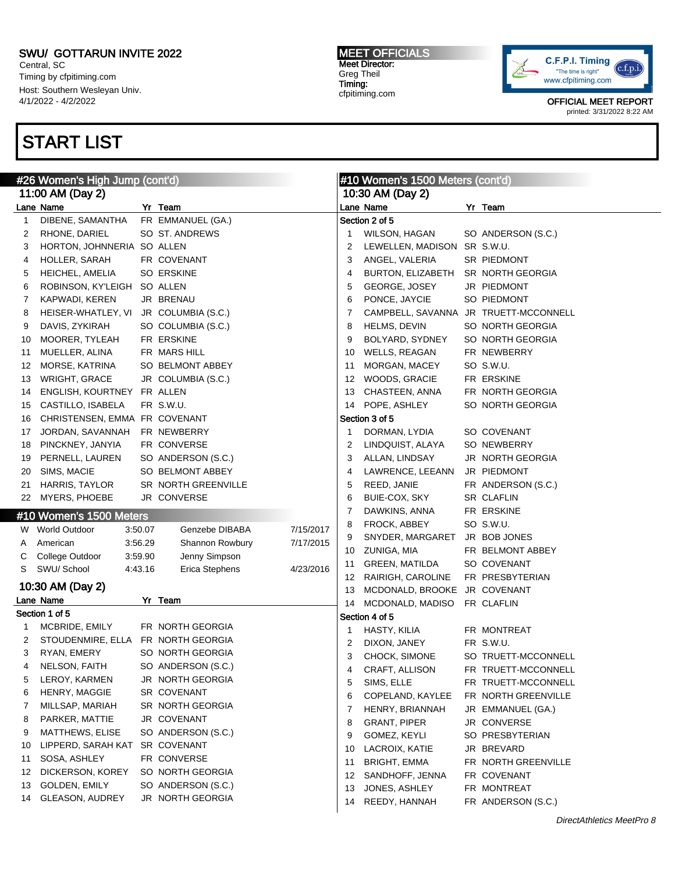Central, SC Timing by cfpitiming.com Host: Southern Wesleyan Univ. 4/1/2022 - 4/2/2022

# START LIST

MEET OFFICIALS Meet Director: Greg Theil Timing: cfpitiming.com



| #26 Women's High Jump (cont'd) |                                    |         |                     |           | #10 Women's 1500 Meters (cont'd) |                                       |  |                     |  |
|--------------------------------|------------------------------------|---------|---------------------|-----------|----------------------------------|---------------------------------------|--|---------------------|--|
|                                | 11:00 AM (Day 2)                   |         |                     |           |                                  | 10:30 AM (Day 2)                      |  |                     |  |
|                                | Lane Name                          |         | Yr Team             |           |                                  | Lane Name                             |  | Yr Team             |  |
| 1                              | DIBENE, SAMANTHA                   |         | FR EMMANUEL (GA.)   |           |                                  | Section 2 of 5                        |  |                     |  |
| 2                              | RHONE, DARIEL                      |         | SO ST. ANDREWS      |           |                                  | WILSON, HAGAN                         |  | SO ANDERSON (S.C.)  |  |
| 3                              | HORTON, JOHNNERIA SO ALLEN         |         |                     |           | 2                                | LEWELLEN, MADISON SR S.W.U.           |  |                     |  |
| 4                              | HOLLER, SARAH                      |         | FR COVENANT         |           | 3                                | ANGEL, VALERIA                        |  | SR PIEDMONT         |  |
| 5                              | HEICHEL, AMELIA                    |         | SO ERSKINE          |           | 4                                | BURTON, ELIZABETH SR NORTH GEORGIA    |  |                     |  |
| 6                              | ROBINSON, KY'LEIGH                 |         | SO ALLEN            |           | 5                                | GEORGE, JOSEY                         |  | JR PIEDMONT         |  |
| 7                              | KAPWADI, KEREN                     |         | JR BRENAU           |           | 6                                | PONCE, JAYCIE                         |  | SO PIEDMONT         |  |
| 8                              | HEISER-WHATLEY, VI                 |         | JR COLUMBIA (S.C.)  |           | 7                                | CAMPBELL, SAVANNA JR TRUETT-MCCONNELL |  |                     |  |
| 9                              | DAVIS, ZYKIRAH                     |         | SO COLUMBIA (S.C.)  |           | 8                                | HELMS, DEVIN                          |  | SO NORTH GEORGIA    |  |
| 10                             | MOORER, TYLEAH                     |         | FR ERSKINE          |           | 9                                | BOLYARD, SYDNEY                       |  | SO NORTH GEORGIA    |  |
| 11                             | MUELLER, ALINA                     |         | FR MARS HILL        |           | 10                               | WELLS, REAGAN                         |  | FR NEWBERRY         |  |
| 12                             | MORSE, KATRINA                     |         | SO BELMONT ABBEY    |           | 11                               | MORGAN, MACEY                         |  | SO S.W.U.           |  |
| 13                             | WRIGHT, GRACE                      |         | JR COLUMBIA (S.C.)  |           | 12                               | WOODS, GRACIE                         |  | FR ERSKINE          |  |
| 14                             | ENGLISH, KOURTNEY FR ALLEN         |         |                     |           | 13                               | CHASTEEN, ANNA                        |  | FR NORTH GEORGIA    |  |
| 15                             | CASTILLO, ISABELA                  |         | FR S.W.U.           |           | 14                               | POPE, ASHLEY                          |  | SO NORTH GEORGIA    |  |
| 16                             | CHRISTENSEN, EMMA FR COVENANT      |         |                     |           |                                  | Section 3 of 5                        |  |                     |  |
| 17                             | JORDAN, SAVANNAH                   |         | FR NEWBERRY         |           | 1                                | DORMAN, LYDIA                         |  | SO COVENANT         |  |
| 18                             | PINCKNEY, JANYIA                   |         | FR CONVERSE         |           | 2                                | LINDQUIST, ALAYA                      |  | <b>SO NEWBERRY</b>  |  |
| 19                             | PERNELL, LAUREN                    |         | SO ANDERSON (S.C.)  |           | 3                                | ALLAN, LINDSAY                        |  | JR NORTH GEORGIA    |  |
| 20                             | SIMS, MACIE                        |         | SO BELMONT ABBEY    |           | 4                                | LAWRENCE, LEEANN                      |  | JR PIEDMONT         |  |
| 21                             | <b>HARRIS, TAYLOR</b>              |         | SR NORTH GREENVILLE |           | 5                                | REED, JANIE                           |  | FR ANDERSON (S.C.)  |  |
|                                | 22 MYERS, PHOEBE                   |         | JR CONVERSE         |           | 6                                | BUIE-COX, SKY                         |  | SR CLAFLIN          |  |
|                                | #10 Women's 1500 Meters            |         |                     |           | 7                                | DAWKINS, ANNA                         |  | FR ERSKINE          |  |
|                                | W World Outdoor                    | 3:50.07 | Genzebe DIBABA      | 7/15/2017 | 8                                | FROCK, ABBEY                          |  | SO S.W.U.           |  |
|                                | American                           | 3:56.29 | Shannon Rowbury     | 7/17/2015 | 9                                | SNYDER, MARGARET                      |  | JR BOB JONES        |  |
| A                              |                                    | 3:59.90 |                     |           | 10                               | ZUNIGA, MIA                           |  | FR BELMONT ABBEY    |  |
| C<br>S                         | College Outdoor<br>SWU/School      | 4:43.16 | Jenny Simpson       | 4/23/2016 | 11                               | <b>GREEN, MATILDA</b>                 |  | SO COVENANT         |  |
|                                |                                    |         | Erica Stephens      |           | 12                               | RAIRIGH, CAROLINE                     |  | FR PRESBYTERIAN     |  |
|                                | 10:30 AM (Day 2)                   |         |                     |           | 13                               | MCDONALD, BROOKE JR COVENANT          |  |                     |  |
|                                | Lane Name                          |         | Yr Team             |           | 14                               | MCDONALD, MADISO FR CLAFLIN           |  |                     |  |
|                                | Section 1 of 5                     |         |                     |           |                                  | Section 4 of 5                        |  |                     |  |
| 1                              | MCBRIDE, EMILY                     |         | FR NORTH GEORGIA    |           | 1                                | HASTY, KILIA                          |  | FR MONTREAT         |  |
| 2                              | STOUDENMIRE, ELLA FR NORTH GEORGIA |         |                     |           | 2                                | DIXON, JANEY                          |  | FR S.W.U.           |  |
| 3                              | RYAN, EMERY                        |         | SO NORTH GEORGIA    |           | 3                                | CHOCK, SIMONE                         |  | SO TRUETT-MCCONNELL |  |
| 4                              | NELSON, FAITH                      |         | SO ANDERSON (S.C.)  |           | 4                                | CRAFT, ALLISON                        |  | FR TRUETT-MCCONNELL |  |
| 5                              | LEROY, KARMEN                      |         | JR NORTH GEORGIA    |           | 5                                | SIMS, ELLE                            |  | FR TRUETT-MCCONNELL |  |
| 6                              | HENRY, MAGGIE                      |         | SR COVENANT         |           | 6                                | COPELAND, KAYLEE                      |  | FR NORTH GREENVILLE |  |
| 7                              | MILLSAP, MARIAH                    |         | SR NORTH GEORGIA    |           | 7                                | HENRY, BRIANNAH                       |  | JR EMMANUEL (GA.)   |  |
| 8                              | PARKER, MATTIE                     |         | JR COVENANT         |           | 8                                | <b>GRANT, PIPER</b>                   |  | JR CONVERSE         |  |
| 9                              | MATTHEWS, ELISE                    |         | SO ANDERSON (S.C.)  |           | 9                                | GOMEZ, KEYLI                          |  | SO PRESBYTERIAN     |  |
| 10                             | LIPPERD, SARAH KAT                 |         | SR COVENANT         |           | 10                               | LACROIX, KATIE                        |  | JR BREVARD          |  |
| 11                             | SOSA, ASHLEY                       |         | FR CONVERSE         |           | 11                               | <b>BRIGHT, EMMA</b>                   |  | FR NORTH GREENVILLE |  |
| 12                             | DICKERSON, KOREY                   |         | SO NORTH GEORGIA    |           | 12                               | SANDHOFF, JENNA                       |  | FR COVENANT         |  |
| 13                             | GOLDEN, EMILY                      |         | SO ANDERSON (S.C.)  |           | 13                               | JONES, ASHLEY                         |  | FR MONTREAT         |  |
| 14                             | GLEASON, AUDREY                    |         | JR NORTH GEORGIA    |           | 14                               | REEDY, HANNAH                         |  | FR ANDERSON (S.C.)  |  |
|                                |                                    |         |                     |           |                                  |                                       |  |                     |  |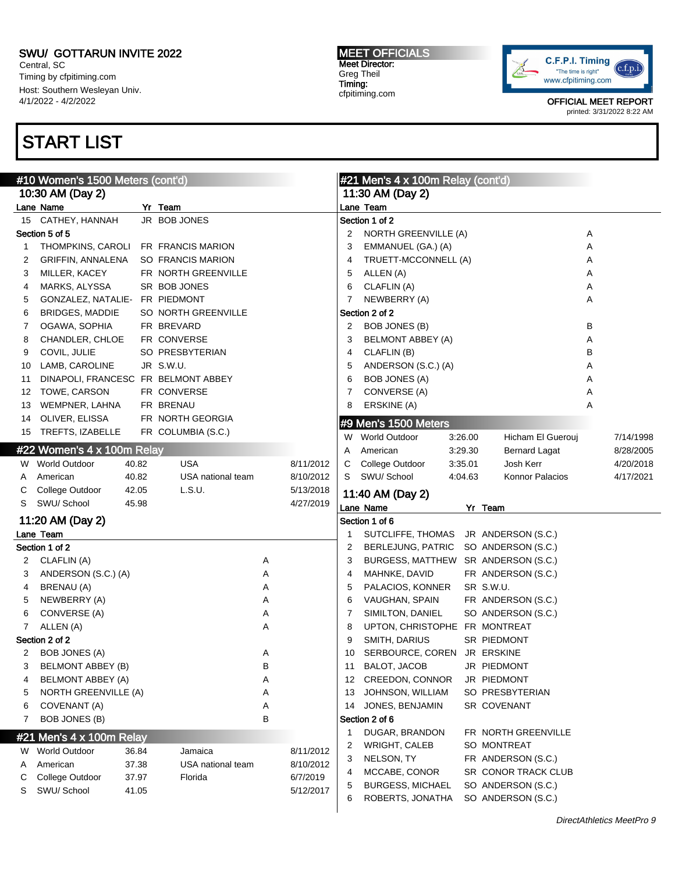Central, SC Timing by cfpitiming.com Host: Southern Wesleyan Univ. 4/1/2022 - 4/2/2022

## START LIST

#### MEET OFFICIALS Meet Director: Greg Theil Timing: cfpitiming.com



|    | #10 Women's 1500 Meters (cont'd)    |       |                     |   |           |                  | #21 Men's 4 x 100m Relay (cont'd)           |         |                                          |   |           |
|----|-------------------------------------|-------|---------------------|---|-----------|------------------|---------------------------------------------|---------|------------------------------------------|---|-----------|
|    | 10:30 AM (Day 2)                    |       |                     |   |           | 11:30 AM (Day 2) |                                             |         |                                          |   |           |
|    | Lane Name                           |       | Yr Team             |   |           |                  | Lane Team                                   |         |                                          |   |           |
| 15 | CATHEY, HANNAH                      |       | JR BOB JONES        |   |           |                  | Section 1 of 2                              |         |                                          |   |           |
|    | Section 5 of 5                      |       |                     |   |           | 2                | NORTH GREENVILLE (A)                        |         |                                          | Α |           |
| 1  | THOMPKINS, CAROLI FR FRANCIS MARION |       |                     |   |           | 3                | EMMANUEL (GA.) (A)                          |         |                                          | Α |           |
| 2  | GRIFFIN, ANNALENA                   |       | SO FRANCIS MARION   |   |           | 4                | TRUETT-MCCONNELL (A)                        |         |                                          | Α |           |
| 3  | MILLER, KACEY                       |       | FR NORTH GREENVILLE |   |           | 5                | ALLEN (A)                                   |         |                                          | Α |           |
| 4  | MARKS, ALYSSA                       |       | SR BOB JONES        |   |           | 6                | CLAFLIN (A)                                 |         |                                          | Α |           |
| 5  | GONZALEZ, NATALIE- FR PIEDMONT      |       |                     |   |           | 7                | NEWBERRY (A)                                |         |                                          | Α |           |
| 6  | <b>BRIDGES, MADDIE</b>              |       | SO NORTH GREENVILLE |   |           |                  | Section 2 of 2                              |         |                                          |   |           |
| 7  | OGAWA, SOPHIA                       |       | FR BREVARD          |   |           | 2                | BOB JONES (B)                               |         |                                          | в |           |
| 8  | CHANDLER, CHLOE                     |       | FR CONVERSE         |   |           | 3                | <b>BELMONT ABBEY (A)</b>                    |         |                                          | Α |           |
| 9  | COVIL, JULIE                        |       | SO PRESBYTERIAN     |   |           | 4                | CLAFLIN (B)                                 |         |                                          | B |           |
| 10 | LAMB, CAROLINE                      |       | JR S.W.U.           |   |           | 5                | ANDERSON (S.C.) (A)                         |         |                                          | Α |           |
| 11 | DINAPOLI, FRANCESC FR BELMONT ABBEY |       |                     |   |           | 6                | <b>BOB JONES (A)</b>                        |         |                                          | Α |           |
| 12 | TOWE, CARSON                        |       | FR CONVERSE         |   |           | 7                | CONVERSE (A)                                |         |                                          | Α |           |
| 13 | WEMPNER, LAHNA                      |       | FR BRENAU           |   |           | 8                | ERSKINE (A)                                 |         |                                          | Α |           |
| 14 | OLIVER, ELISSA                      |       | FR NORTH GEORGIA    |   |           |                  | #9 Men's 1500 Meters                        |         |                                          |   |           |
| 15 | TREFTS, IZABELLE                    |       | FR COLUMBIA (S.C.)  |   |           | W                | <b>World Outdoor</b>                        | 3:26.00 | Hicham El Guerouj                        |   | 7/14/1998 |
|    | #22 Women's 4 x 100m Relay          |       |                     |   |           | Α                | American                                    | 3:29.30 | <b>Bernard Lagat</b>                     |   | 8/28/2005 |
|    | W World Outdoor                     | 40.82 | <b>USA</b>          |   | 8/11/2012 | С                | College Outdoor                             | 3:35.01 | Josh Kerr                                |   | 4/20/2018 |
| A  | American                            | 40.82 | USA national team   |   | 8/10/2012 |                  | S SWU/School                                | 4:04.63 | Konnor Palacios                          |   | 4/17/2021 |
| С  | College Outdoor                     | 42.05 | L.S.U.              |   | 5/13/2018 |                  |                                             |         |                                          |   |           |
| S  | SWU/ School                         | 45.98 |                     |   | 4/27/2019 |                  | 11:40 AM (Day 2)                            |         |                                          |   |           |
|    | 11:20 AM (Day 2)                    |       |                     |   |           |                  | Lane Name<br>Section 1 of 6                 |         | Yr Team                                  |   |           |
|    | Lane Team                           |       |                     |   |           |                  | SUTCLIFFE, THOMAS JR ANDERSON (S.C.)        |         |                                          |   |           |
|    | Section 1 of 2                      |       |                     |   |           | 2                | <b>BERLEJUNG, PATRIC</b>                    |         | SO ANDERSON (S.C.)                       |   |           |
| 2  | CLAFLIN (A)                         |       |                     | Α |           | 3                | <b>BURGESS, MATTHEW</b>                     |         | SR ANDERSON (S.C.)                       |   |           |
| 3  | ANDERSON (S.C.) (A)                 |       |                     | Α |           | 4                | MAHNKE, DAVID                               |         | FR ANDERSON (S.C.)                       |   |           |
| 4  | BRENAU (A)                          |       |                     | Α |           |                  |                                             |         | SR S.W.U.                                |   |           |
| 5  | NEWBERRY (A)                        |       |                     |   |           |                  |                                             |         |                                          |   |           |
| 6  |                                     |       |                     |   |           | 5                | PALACIOS, KONNER                            |         |                                          |   |           |
|    |                                     |       |                     | Α |           | 6                | VAUGHAN, SPAIN                              |         | FR ANDERSON (S.C.)                       |   |           |
|    | CONVERSE (A)                        |       |                     | Α |           | 7                | SIMILTON, DANIEL                            |         | SO ANDERSON (S.C.)                       |   |           |
| 7  | ALLEN (A)                           |       |                     | Α |           | 8                | UPTON, CHRISTOPHE FR MONTREAT               |         |                                          |   |           |
|    | Section 2 of 2                      |       |                     |   |           | 9                | SMITH, DARIUS                               |         | SR PIEDMONT                              |   |           |
| 2  | <b>BOB JONES (A)</b>                |       |                     | A |           | 10               | SERBOURCE, COREN                            |         | JR ERSKINE                               |   |           |
| 3  | BELMONT ABBEY (B)                   |       |                     | B |           | 11               | BALOT, JACOB                                |         | JR PIEDMONT                              |   |           |
| 4  | <b>BELMONT ABBEY (A)</b>            |       |                     | Α |           | 12               | <b>CREEDON, CONNOR</b>                      |         | JR PIEDMONT                              |   |           |
| 5  | <b>NORTH GREENVILLE (A)</b>         |       |                     | Α |           | 13               | JOHNSON, WILLIAM                            |         | SO PRESBYTERIAN                          |   |           |
| 6  | COVENANT (A)                        |       |                     | Α |           | 14               | JONES, BENJAMIN                             |         | SR COVENANT                              |   |           |
| 7  | BOB JONES (B)                       |       |                     | в |           |                  | Section 2 of 6                              |         |                                          |   |           |
|    | $#21$ Men's 4 x 100m Relay          |       |                     |   |           | 1                | DUGAR, BRANDON                              |         | FR NORTH GREENVILLE                      |   |           |
| W  | <b>World Outdoor</b>                | 36.84 | Jamaica             |   | 8/11/2012 | 2                | WRIGHT, CALEB                               |         | SO MONTREAT                              |   |           |
| A  | American                            | 37.38 | USA national team   |   | 8/10/2012 | 3                | NELSON, TY                                  |         | FR ANDERSON (S.C.)                       |   |           |
| С  | College Outdoor                     | 37.97 | Florida             |   | 6/7/2019  | 4                | MCCABE, CONOR                               |         | SR CONOR TRACK CLUB                      |   |           |
| S  | SWU/ School                         | 41.05 |                     |   | 5/12/2017 | 5<br>6           | <b>BURGESS, MICHAEL</b><br>ROBERTS, JONATHA |         | SO ANDERSON (S.C.)<br>SO ANDERSON (S.C.) |   |           |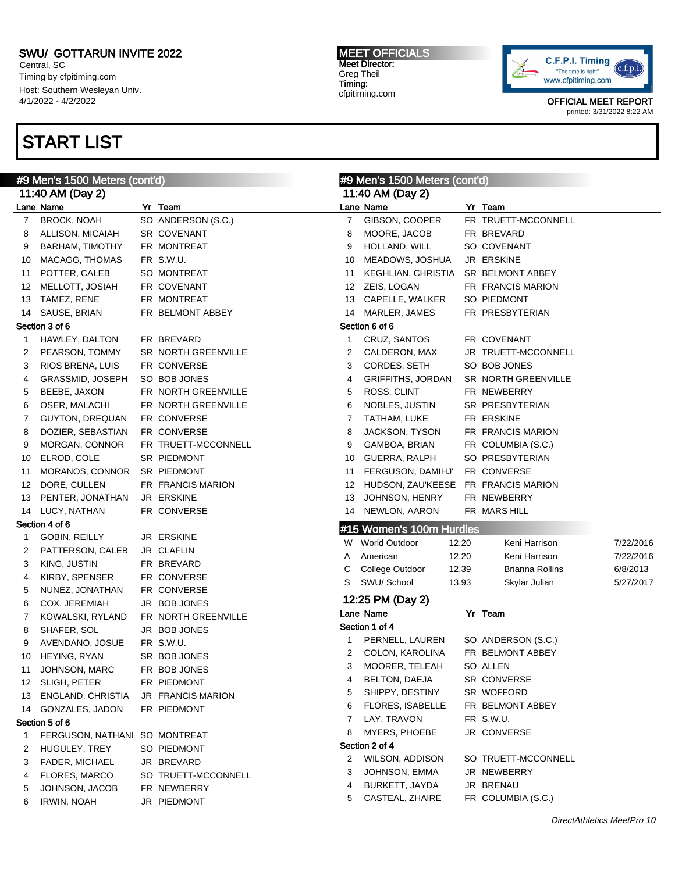Central, SC Timing by cfpitiming.com Host: Southern Wesleyan Univ. 4/1/2022 - 4/2/2022

## START LIST

#### MEET OFFICIALS Meet Director: Greg Theil Timing: cfpitiming.com



| #9 Men's 1500 Meters (cont'd) |                               |  |                     | #9 Men's 1500 Meters (cont'd) |                          |       |                     |           |
|-------------------------------|-------------------------------|--|---------------------|-------------------------------|--------------------------|-------|---------------------|-----------|
|                               | 11:40 AM (Day 2)              |  |                     |                               | 11:40 AM (Day 2)         |       |                     |           |
|                               | Lane Name                     |  | Yr Team             |                               | Lane Name                |       | Yr Team             |           |
| 7                             | <b>BROCK, NOAH</b>            |  | SO ANDERSON (S.C.)  | $\overline{7}$                | GIBSON, COOPER           |       | FR TRUETT-MCCONNELL |           |
| 8                             | <b>ALLISON, MICAIAH</b>       |  | <b>SR COVENANT</b>  | 8                             | MOORE, JACOB             |       | FR BREVARD          |           |
| 9                             | <b>BARHAM, TIMOTHY</b>        |  | FR MONTREAT         | 9                             | HOLLAND, WILL            |       | SO COVENANT         |           |
| 10                            | MACAGG, THOMAS                |  | FR S.W.U.           | 10                            | MEADOWS, JOSHUA          |       | <b>JR ERSKINE</b>   |           |
| 11                            | POTTER, CALEB                 |  | SO MONTREAT         | 11                            | KEGHLIAN, CHRISTIA       |       | SR BELMONT ABBEY    |           |
| 12                            | MELLOTT, JOSIAH               |  | FR COVENANT         | 12                            | ZEIS, LOGAN              |       | FR FRANCIS MARION   |           |
| 13                            | TAMEZ, RENE                   |  | FR MONTREAT         | 13                            | CAPELLE, WALKER          |       | SO PIEDMONT         |           |
| 14                            | SAUSE, BRIAN                  |  | FR BELMONT ABBEY    | 14                            | MARLER, JAMES            |       | FR PRESBYTERIAN     |           |
|                               | Section 3 of 6                |  |                     |                               | Section 6 of 6           |       |                     |           |
| 1                             | HAWLEY, DALTON                |  | FR BREVARD          | -1                            | CRUZ, SANTOS             |       | FR COVENANT         |           |
| 2                             | PEARSON, TOMMY                |  | SR NORTH GREENVILLE | 2                             | CALDERON, MAX            |       | JR TRUETT-MCCONNELL |           |
| 3                             | RIOS BRENA, LUIS              |  | FR CONVERSE         | 3                             | CORDES, SETH             |       | SO BOB JONES        |           |
| 4                             | GRASSMID, JOSEPH              |  | SO BOB JONES        | 4                             | <b>GRIFFITHS, JORDAN</b> |       | SR NORTH GREENVILLE |           |
| 5                             | BEEBE, JAXON                  |  | FR NORTH GREENVILLE | 5                             | ROSS, CLINT              |       | FR NEWBERRY         |           |
| 6                             | OSER, MALACHI                 |  | FR NORTH GREENVILLE | 6                             | NOBLES, JUSTIN           |       | SR PRESBYTERIAN     |           |
| 7                             | GUYTON, DREQUAN               |  | FR CONVERSE         | 7                             | TATHAM, LUKE             |       | FR ERSKINE          |           |
| 8                             | DOZIER, SEBASTIAN             |  | FR CONVERSE         | 8                             | JACKSON, TYSON           |       | FR FRANCIS MARION   |           |
| 9                             | MORGAN, CONNOR                |  | FR TRUETT-MCCONNELL | 9                             | GAMBOA, BRIAN            |       | FR COLUMBIA (S.C.)  |           |
| 10                            | ELROD, COLE                   |  | SR PIEDMONT         | 10                            | <b>GUERRA, RALPH</b>     |       | SO PRESBYTERIAN     |           |
| 11                            | MORANOS, CONNOR               |  | <b>SR PIEDMONT</b>  | 11                            | FERGUSON, DAMIHJ'        |       | FR CONVERSE         |           |
| 12                            | DORE, CULLEN                  |  | FR FRANCIS MARION   | 12                            | HUDSON, ZAU'KEESE        |       | FR FRANCIS MARION   |           |
| 13                            | PENTER, JONATHAN              |  | JR ERSKINE          | 13                            | JOHNSON, HENRY           |       | FR NEWBERRY         |           |
| 14                            | LUCY, NATHAN                  |  | FR CONVERSE         | 14                            | NEWLON, AARON            |       | FR MARS HILL        |           |
|                               | Section 4 of 6                |  |                     |                               |                          |       |                     |           |
| $\mathbf{1}$                  | <b>GOBIN, REILLY</b>          |  | JR ERSKINE          |                               | #15 Women's 100m Hurdles |       |                     |           |
| 2                             | PATTERSON, CALEB              |  | JR CLAFLIN          |                               | W World Outdoor          | 12.20 | Keni Harrison       | 7/22/2016 |
| 3                             | KING, JUSTIN                  |  | FR BREVARD          | Α                             | American                 | 12.20 | Keni Harrison       | 7/22/2016 |
| 4                             | KIRBY, SPENSER                |  | FR CONVERSE         | С                             | College Outdoor          | 12.39 | Brianna Rollins     | 6/8/2013  |
| 5                             | NUNEZ, JONATHAN               |  | FR CONVERSE         | S                             | SWU/ School              | 13.93 | Skylar Julian       | 5/27/2017 |
| 6                             | COX, JEREMIAH                 |  | JR BOB JONES        |                               | 12:25 PM (Day 2)         |       |                     |           |
| 7                             | KOWALSKI, RYLAND              |  | FR NORTH GREENVILLE |                               | Lane Name                |       | Yr Team             |           |
| 8                             | SHAFER, SOL                   |  | JR BOB JONES        |                               | Section 1 of 4           |       |                     |           |
| 9                             | AVENDANO, JOSUE               |  | FR S.W.U.           | 1                             | PERNELL, LAUREN          |       | SO ANDERSON (S.C.)  |           |
| 10                            | HEYING, RYAN                  |  | SR BOB JONES        | 2                             | COLON, KAROLINA          |       | FR BELMONT ABBEY    |           |
| 11                            | JOHNSON, MARC                 |  | FR BOB JONES        | 3                             | MOORER, TELEAH           |       | SO ALLEN            |           |
|                               | 12 SLIGH, PETER               |  | FR PIEDMONT         | 4                             | BELTON, DAEJA            |       | SR CONVERSE         |           |
| 13                            | ENGLAND, CHRISTIA             |  | JR FRANCIS MARION   | 5                             | SHIPPY, DESTINY          |       | SR WOFFORD          |           |
| 14                            | GONZALES, JADON               |  | FR PIEDMONT         | 6                             | <b>FLORES, ISABELLE</b>  |       | FR BELMONT ABBEY    |           |
|                               | Section 5 of 6                |  |                     | 7                             | LAY, TRAVON              |       | FR S.W.U.           |           |
| 1                             | FERGUSON, NATHANI SO MONTREAT |  |                     | 8                             | MYERS, PHOEBE            |       | JR CONVERSE         |           |
| 2                             | HUGULEY, TREY                 |  | SO PIEDMONT         |                               | Section 2 of 4           |       |                     |           |
| 3                             | <b>FADER, MICHAEL</b>         |  | JR BREVARD          | 2                             | <b>WILSON, ADDISON</b>   |       | SO TRUETT-MCCONNELL |           |
| 4                             | <b>FLORES, MARCO</b>          |  | SO TRUETT-MCCONNELL | 3                             | JOHNSON, EMMA            |       | JR NEWBERRY         |           |
| 5                             | JOHNSON, JACOB                |  | FR NEWBERRY         | 4                             | BURKETT, JAYDA           |       | JR BRENAU           |           |
| 6                             | <b>IRWIN, NOAH</b>            |  | JR PIEDMONT         | 5                             | CASTEAL, ZHAIRE          |       | FR COLUMBIA (S.C.)  |           |
|                               |                               |  |                     |                               |                          |       |                     |           |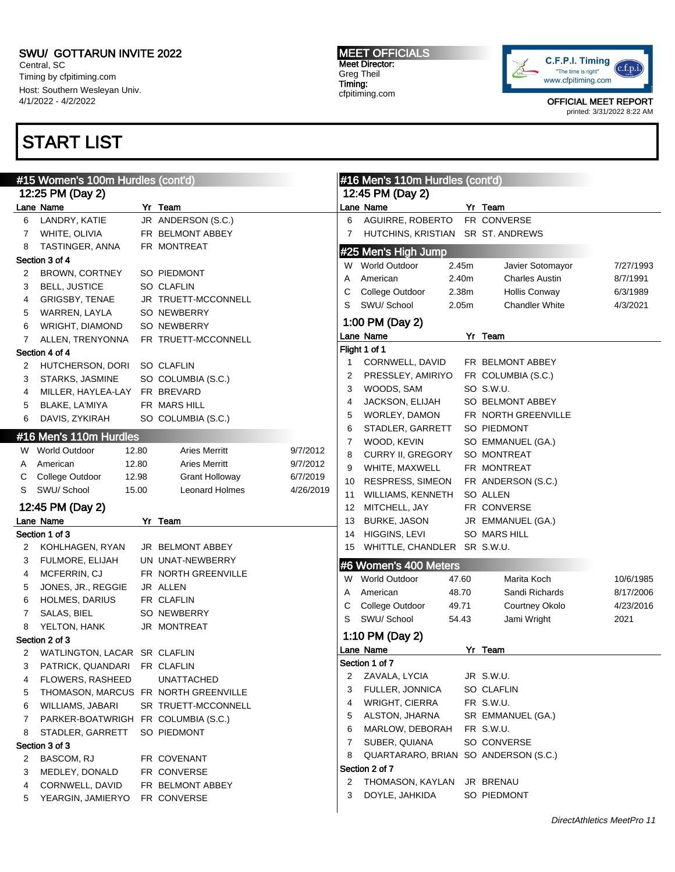Central, SC Timing by cfpitiming.com Host: Southern Wesleyan Univ. 4/1/2022 - 4/2/2022

# START LIST

#### MEET OFFICIALS Meet Director: Greg Theil Timing: cfpitiming.com



|        | #15 Women's 100m Hurdles (cont'd)    |                       |           |          | #16 Men's 110m Hurdles (cont'd)      |       |                                          |           |
|--------|--------------------------------------|-----------------------|-----------|----------|--------------------------------------|-------|------------------------------------------|-----------|
|        | 12:25 PM (Day 2)                     |                       |           |          | 12:45 PM (Day 2)                     |       |                                          |           |
|        | Lane Name                            | Yr Team               |           |          | Lane Name                            |       | Yr Team                                  |           |
| 6      | LANDRY, KATIE                        | JR ANDERSON (S.C.)    |           | 6        | AGUIRRE, ROBERTO                     |       | FR CONVERSE                              |           |
| 7      | WHITE, OLIVIA                        | FR BELMONT ABBEY      |           | 7        | HUTCHINS, KRISTIAN SR ST. ANDREWS    |       |                                          |           |
| 8      | TASTINGER, ANNA                      | FR MONTREAT           |           |          | #25 Men's High Jump                  |       |                                          |           |
|        | Section 3 of 4                       |                       |           |          | W World Outdoor                      | 2.45m | Javier Sotomayor                         | 7/27/1993 |
| 2      | <b>BROWN, CORTNEY</b>                | SO PIEDMONT           |           | Α        | American                             | 2.40m | <b>Charles Austin</b>                    | 8/7/1991  |
| 3      | <b>BELL, JUSTICE</b>                 | <b>SO CLAFLIN</b>     |           | С        | College Outdoor                      | 2.38m | <b>Hollis Conway</b>                     | 6/3/1989  |
| 4      | GRIGSBY, TENAE                       | JR TRUETT-MCCONNELL   |           | S        | SWU/ School                          | 2.05m | <b>Chandler White</b>                    | 4/3/2021  |
| 5      | WARREN, LAYLA                        | SO NEWBERRY           |           |          |                                      |       |                                          |           |
| 6      | WRIGHT, DIAMOND                      | SO NEWBERRY           |           |          | 1:00 PM (Day 2)                      |       |                                          |           |
| 7      | ALLEN, TRENYONNA                     | FR TRUETT-MCCONNELL   |           |          | Lane Name                            |       | Yr Team                                  |           |
|        | Section 4 of 4                       |                       |           |          | Flight 1 of 1                        |       |                                          |           |
| 2      | HUTCHERSON, DORI                     | <b>SO CLAFLIN</b>     |           | 1        | CORNWELL, DAVID                      |       | FR BELMONT ABBEY                         |           |
| 3      | STARKS, JASMINE                      | SO COLUMBIA (S.C.)    |           | 2        | PRESSLEY, AMIRIYO                    |       | FR COLUMBIA (S.C.)                       |           |
| 4      | MILLER, HAYLEA-LAY                   | FR BREVARD            |           | 3        | WOODS, SAM                           |       | SO S.W.U.                                |           |
| 5      | BLAKE, LA'MIYA                       | FR MARS HILL          |           | 4        | JACKSON, ELIJAH                      |       | SO BELMONT ABBEY                         |           |
| 6      | DAVIS, ZYKIRAH                       | SO COLUMBIA (S.C.)    |           | 5        | WORLEY, DAMON                        |       | FR NORTH GREENVILLE                      |           |
|        | #16 Men's 110m Hurdles               |                       |           | 6        | STADLER, GARRETT                     |       | SO PIEDMONT                              |           |
|        | W World Outdoor<br>12.80             | <b>Aries Merritt</b>  | 9/7/2012  | 7        | WOOD, KEVIN                          |       | SO EMMANUEL (GA.)                        |           |
| Α      | 12.80<br>American                    | <b>Aries Merritt</b>  | 9/7/2012  | 8        | CURRY II, GREGORY                    |       | <b>SO MONTREAT</b>                       |           |
| С      | College Outdoor<br>12.98             | <b>Grant Holloway</b> | 6/7/2019  | 9        | WHITE, MAXWELL                       |       | FR MONTREAT                              |           |
| S      | SWU/School<br>15.00                  | <b>Leonard Holmes</b> | 4/26/2019 | 10       | <b>RESPRESS, SIMEON</b>              |       | FR ANDERSON (S.C.)<br>SO ALLEN           |           |
|        |                                      |                       |           | 11       | WILLIAMS, KENNETH                    |       |                                          |           |
|        | 12:45 PM (Day 2)                     |                       |           | 12       | MITCHELL, JAY                        |       | FR CONVERSE                              |           |
|        | Lane Name<br>Section 1 of 3          | Yr Team               |           | 13<br>14 | <b>BURKE, JASON</b><br>HIGGINS, LEVI |       | JR EMMANUEL (GA.)<br><b>SO MARS HILL</b> |           |
|        | KOHLHAGEN, RYAN                      | JR BELMONT ABBEY      |           | 15       | WHITTLE, CHANDLER SR S.W.U.          |       |                                          |           |
| 2<br>3 | FULMORE, ELIJAH                      | UN UNAT-NEWBERRY      |           |          |                                      |       |                                          |           |
| 4      | MCFERRIN, CJ                         | FR NORTH GREENVILLE   |           |          | #6 Women's 400 Meters                |       |                                          |           |
| 5      | JONES, JR., REGGIE                   | JR ALLEN              |           | W        | <b>World Outdoor</b>                 | 47.60 | Marita Koch                              | 10/6/1985 |
| 6      | <b>HOLMES, DARIUS</b>                | FR CLAFLIN            |           | Α        | American                             | 48.70 | Sandi Richards                           | 8/17/2006 |
| 7      | SALAS, BIEL                          | <b>SO NEWBERRY</b>    |           | С        | College Outdoor                      | 49.71 | Courtney Okolo                           | 4/23/2016 |
| 8      | YELTON, HANK                         | JR MONTREAT           |           | S        | SWU/ School                          | 54.43 | Jami Wright                              | 2021      |
|        | Section 2 of 3                       |                       |           |          | 1:10 PM (Day 2)                      |       |                                          |           |
| 2      | WATLINGTON, LACAR SR CLAFLIN         |                       |           |          | Lane Name                            |       | Yr Team                                  |           |
| 3      | PATRICK, QUANDARI                    | FR CLAFLIN            |           |          | Section 1 of 7                       |       |                                          |           |
| 4      | FLOWERS, RASHEED                     | <b>UNATTACHED</b>     |           | 2        | ZAVALA, LYCIA                        |       | JR S.W.U.                                |           |
| 5      | THOMASON, MARCUS FR NORTH GREENVILLE |                       |           | 3        | <b>FULLER, JONNICA</b>               |       | SO CLAFLIN                               |           |
| 6      | WILLIAMS, JABARI                     | SR TRUETT-MCCONNELL   |           | 4        | <b>WRIGHT, CIERRA</b>                |       | FR S.W.U.                                |           |
| 7      | PARKER-BOATWRIGH FR COLUMBIA (S.C.)  |                       |           | 5        | ALSTON, JHARNA                       |       | SR EMMANUEL (GA.)                        |           |
| 8      | STADLER, GARRETT                     | SO PIEDMONT           |           | 6        | MARLOW, DEBORAH                      |       | FR S.W.U.                                |           |
|        | Section 3 of 3                       |                       |           | 7        | SUBER, QUIANA                        |       | SO CONVERSE                              |           |
| 2      | BASCOM, RJ                           | FR COVENANT           |           | 8        | QUARTARARO, BRIAN SO ANDERSON (S.C.) |       |                                          |           |
| 3      | MEDLEY, DONALD                       | FR CONVERSE           |           |          | Section 2 of 7                       |       |                                          |           |
| 4      | CORNWELL, DAVID                      | FR BELMONT ABBEY      |           | 2        | THOMASON, KAYLAN                     |       | JR BRENAU                                |           |
| 5      | YEARGIN, JAMIERYO                    | FR CONVERSE           |           | 3        | DOYLE, JAHKIDA                       |       | SO PIEDMONT                              |           |
|        |                                      |                       |           |          |                                      |       |                                          |           |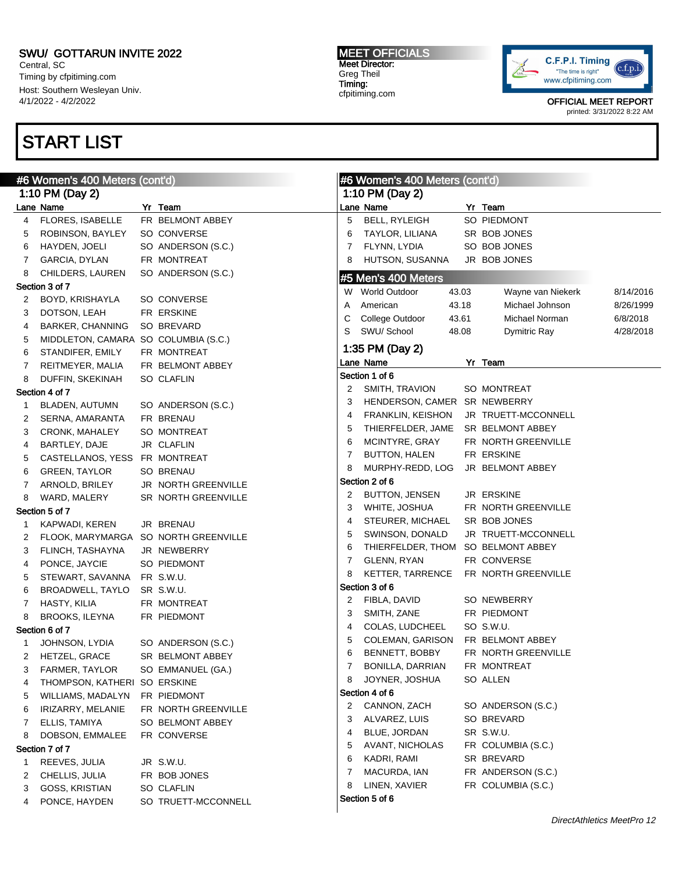Central, SC Timing by cfpitiming.com Host: Southern Wesleyan Univ. 4/1/2022 - 4/2/2022

# START LIST

#### MEET OFFICIALS Meet Director: Greg Theil Timing: cfpitiming.com

 $\mu$ <sub>0</sub> Women's 400 Meters (contail)



| #6 Women's 400 Meters (cont'd)<br>#6 Women's 400 Meters (cont'd) |                                                                                                                                                                                                                                                                                                                      |  |                                                                                                                                                                                                                                                                                                                                                                                                                                                                                                                                                                                                                                                                                                                                                                                                   |                                                                                                                                                         |                                                                                                                                                                                                                                                                                                                                                                                                                                                                                                                                                                                                                                                                                                                                                              |                                  |                                                                                                                                                                                                                                                                                                                                                                                                                                                                                                                                                                                                                                                                                                               |
|------------------------------------------------------------------|----------------------------------------------------------------------------------------------------------------------------------------------------------------------------------------------------------------------------------------------------------------------------------------------------------------------|--|---------------------------------------------------------------------------------------------------------------------------------------------------------------------------------------------------------------------------------------------------------------------------------------------------------------------------------------------------------------------------------------------------------------------------------------------------------------------------------------------------------------------------------------------------------------------------------------------------------------------------------------------------------------------------------------------------------------------------------------------------------------------------------------------------|---------------------------------------------------------------------------------------------------------------------------------------------------------|--------------------------------------------------------------------------------------------------------------------------------------------------------------------------------------------------------------------------------------------------------------------------------------------------------------------------------------------------------------------------------------------------------------------------------------------------------------------------------------------------------------------------------------------------------------------------------------------------------------------------------------------------------------------------------------------------------------------------------------------------------------|----------------------------------|---------------------------------------------------------------------------------------------------------------------------------------------------------------------------------------------------------------------------------------------------------------------------------------------------------------------------------------------------------------------------------------------------------------------------------------------------------------------------------------------------------------------------------------------------------------------------------------------------------------------------------------------------------------------------------------------------------------|
|                                                                  |                                                                                                                                                                                                                                                                                                                      |  |                                                                                                                                                                                                                                                                                                                                                                                                                                                                                                                                                                                                                                                                                                                                                                                                   |                                                                                                                                                         |                                                                                                                                                                                                                                                                                                                                                                                                                                                                                                                                                                                                                                                                                                                                                              |                                  |                                                                                                                                                                                                                                                                                                                                                                                                                                                                                                                                                                                                                                                                                                               |
|                                                                  |                                                                                                                                                                                                                                                                                                                      |  |                                                                                                                                                                                                                                                                                                                                                                                                                                                                                                                                                                                                                                                                                                                                                                                                   |                                                                                                                                                         |                                                                                                                                                                                                                                                                                                                                                                                                                                                                                                                                                                                                                                                                                                                                                              |                                  |                                                                                                                                                                                                                                                                                                                                                                                                                                                                                                                                                                                                                                                                                                               |
| FLORES, ISABELLE                                                 |                                                                                                                                                                                                                                                                                                                      |  | 5                                                                                                                                                                                                                                                                                                                                                                                                                                                                                                                                                                                                                                                                                                                                                                                                 | <b>BELL, RYLEIGH</b>                                                                                                                                    |                                                                                                                                                                                                                                                                                                                                                                                                                                                                                                                                                                                                                                                                                                                                                              |                                  |                                                                                                                                                                                                                                                                                                                                                                                                                                                                                                                                                                                                                                                                                                               |
| ROBINSON, BAYLEY                                                 |                                                                                                                                                                                                                                                                                                                      |  | 6                                                                                                                                                                                                                                                                                                                                                                                                                                                                                                                                                                                                                                                                                                                                                                                                 | TAYLOR, LILIANA                                                                                                                                         |                                                                                                                                                                                                                                                                                                                                                                                                                                                                                                                                                                                                                                                                                                                                                              |                                  |                                                                                                                                                                                                                                                                                                                                                                                                                                                                                                                                                                                                                                                                                                               |
| HAYDEN, JOELI                                                    |                                                                                                                                                                                                                                                                                                                      |  | 7                                                                                                                                                                                                                                                                                                                                                                                                                                                                                                                                                                                                                                                                                                                                                                                                 | FLYNN, LYDIA                                                                                                                                            |                                                                                                                                                                                                                                                                                                                                                                                                                                                                                                                                                                                                                                                                                                                                                              |                                  |                                                                                                                                                                                                                                                                                                                                                                                                                                                                                                                                                                                                                                                                                                               |
| GARCIA, DYLAN                                                    |                                                                                                                                                                                                                                                                                                                      |  | 8                                                                                                                                                                                                                                                                                                                                                                                                                                                                                                                                                                                                                                                                                                                                                                                                 | HUTSON, SUSANNA                                                                                                                                         |                                                                                                                                                                                                                                                                                                                                                                                                                                                                                                                                                                                                                                                                                                                                                              |                                  |                                                                                                                                                                                                                                                                                                                                                                                                                                                                                                                                                                                                                                                                                                               |
| CHILDERS, LAUREN                                                 |                                                                                                                                                                                                                                                                                                                      |  |                                                                                                                                                                                                                                                                                                                                                                                                                                                                                                                                                                                                                                                                                                                                                                                                   |                                                                                                                                                         |                                                                                                                                                                                                                                                                                                                                                                                                                                                                                                                                                                                                                                                                                                                                                              |                                  |                                                                                                                                                                                                                                                                                                                                                                                                                                                                                                                                                                                                                                                                                                               |
|                                                                  |                                                                                                                                                                                                                                                                                                                      |  |                                                                                                                                                                                                                                                                                                                                                                                                                                                                                                                                                                                                                                                                                                                                                                                                   |                                                                                                                                                         |                                                                                                                                                                                                                                                                                                                                                                                                                                                                                                                                                                                                                                                                                                                                                              |                                  | 8/14/2016                                                                                                                                                                                                                                                                                                                                                                                                                                                                                                                                                                                                                                                                                                     |
| BOYD, KRISHAYLA                                                  |                                                                                                                                                                                                                                                                                                                      |  |                                                                                                                                                                                                                                                                                                                                                                                                                                                                                                                                                                                                                                                                                                                                                                                                   |                                                                                                                                                         |                                                                                                                                                                                                                                                                                                                                                                                                                                                                                                                                                                                                                                                                                                                                                              |                                  | 8/26/1999                                                                                                                                                                                                                                                                                                                                                                                                                                                                                                                                                                                                                                                                                                     |
| DOTSON, LEAH                                                     |                                                                                                                                                                                                                                                                                                                      |  |                                                                                                                                                                                                                                                                                                                                                                                                                                                                                                                                                                                                                                                                                                                                                                                                   |                                                                                                                                                         |                                                                                                                                                                                                                                                                                                                                                                                                                                                                                                                                                                                                                                                                                                                                                              |                                  | 6/8/2018                                                                                                                                                                                                                                                                                                                                                                                                                                                                                                                                                                                                                                                                                                      |
| BARKER, CHANNING                                                 |                                                                                                                                                                                                                                                                                                                      |  |                                                                                                                                                                                                                                                                                                                                                                                                                                                                                                                                                                                                                                                                                                                                                                                                   |                                                                                                                                                         |                                                                                                                                                                                                                                                                                                                                                                                                                                                                                                                                                                                                                                                                                                                                                              |                                  | 4/28/2018                                                                                                                                                                                                                                                                                                                                                                                                                                                                                                                                                                                                                                                                                                     |
|                                                                  |                                                                                                                                                                                                                                                                                                                      |  |                                                                                                                                                                                                                                                                                                                                                                                                                                                                                                                                                                                                                                                                                                                                                                                                   |                                                                                                                                                         |                                                                                                                                                                                                                                                                                                                                                                                                                                                                                                                                                                                                                                                                                                                                                              |                                  |                                                                                                                                                                                                                                                                                                                                                                                                                                                                                                                                                                                                                                                                                                               |
| STANDIFER, EMILY                                                 |                                                                                                                                                                                                                                                                                                                      |  |                                                                                                                                                                                                                                                                                                                                                                                                                                                                                                                                                                                                                                                                                                                                                                                                   |                                                                                                                                                         |                                                                                                                                                                                                                                                                                                                                                                                                                                                                                                                                                                                                                                                                                                                                                              |                                  |                                                                                                                                                                                                                                                                                                                                                                                                                                                                                                                                                                                                                                                                                                               |
| REITMEYER, MALIA                                                 |                                                                                                                                                                                                                                                                                                                      |  |                                                                                                                                                                                                                                                                                                                                                                                                                                                                                                                                                                                                                                                                                                                                                                                                   |                                                                                                                                                         |                                                                                                                                                                                                                                                                                                                                                                                                                                                                                                                                                                                                                                                                                                                                                              |                                  |                                                                                                                                                                                                                                                                                                                                                                                                                                                                                                                                                                                                                                                                                                               |
| DUFFIN, SKEKINAH                                                 |                                                                                                                                                                                                                                                                                                                      |  |                                                                                                                                                                                                                                                                                                                                                                                                                                                                                                                                                                                                                                                                                                                                                                                                   |                                                                                                                                                         |                                                                                                                                                                                                                                                                                                                                                                                                                                                                                                                                                                                                                                                                                                                                                              |                                  |                                                                                                                                                                                                                                                                                                                                                                                                                                                                                                                                                                                                                                                                                                               |
|                                                                  |                                                                                                                                                                                                                                                                                                                      |  |                                                                                                                                                                                                                                                                                                                                                                                                                                                                                                                                                                                                                                                                                                                                                                                                   |                                                                                                                                                         |                                                                                                                                                                                                                                                                                                                                                                                                                                                                                                                                                                                                                                                                                                                                                              |                                  |                                                                                                                                                                                                                                                                                                                                                                                                                                                                                                                                                                                                                                                                                                               |
| BLADEN, AUTUMN                                                   |                                                                                                                                                                                                                                                                                                                      |  |                                                                                                                                                                                                                                                                                                                                                                                                                                                                                                                                                                                                                                                                                                                                                                                                   |                                                                                                                                                         |                                                                                                                                                                                                                                                                                                                                                                                                                                                                                                                                                                                                                                                                                                                                                              |                                  |                                                                                                                                                                                                                                                                                                                                                                                                                                                                                                                                                                                                                                                                                                               |
| SERNA, AMARANTA                                                  |                                                                                                                                                                                                                                                                                                                      |  |                                                                                                                                                                                                                                                                                                                                                                                                                                                                                                                                                                                                                                                                                                                                                                                                   |                                                                                                                                                         |                                                                                                                                                                                                                                                                                                                                                                                                                                                                                                                                                                                                                                                                                                                                                              |                                  |                                                                                                                                                                                                                                                                                                                                                                                                                                                                                                                                                                                                                                                                                                               |
| CRONK, MAHALEY                                                   |                                                                                                                                                                                                                                                                                                                      |  |                                                                                                                                                                                                                                                                                                                                                                                                                                                                                                                                                                                                                                                                                                                                                                                                   |                                                                                                                                                         |                                                                                                                                                                                                                                                                                                                                                                                                                                                                                                                                                                                                                                                                                                                                                              |                                  |                                                                                                                                                                                                                                                                                                                                                                                                                                                                                                                                                                                                                                                                                                               |
| BARTLEY, DAJE                                                    |                                                                                                                                                                                                                                                                                                                      |  |                                                                                                                                                                                                                                                                                                                                                                                                                                                                                                                                                                                                                                                                                                                                                                                                   |                                                                                                                                                         |                                                                                                                                                                                                                                                                                                                                                                                                                                                                                                                                                                                                                                                                                                                                                              |                                  |                                                                                                                                                                                                                                                                                                                                                                                                                                                                                                                                                                                                                                                                                                               |
|                                                                  |                                                                                                                                                                                                                                                                                                                      |  |                                                                                                                                                                                                                                                                                                                                                                                                                                                                                                                                                                                                                                                                                                                                                                                                   |                                                                                                                                                         |                                                                                                                                                                                                                                                                                                                                                                                                                                                                                                                                                                                                                                                                                                                                                              |                                  |                                                                                                                                                                                                                                                                                                                                                                                                                                                                                                                                                                                                                                                                                                               |
| <b>GREEN, TAYLOR</b>                                             |                                                                                                                                                                                                                                                                                                                      |  |                                                                                                                                                                                                                                                                                                                                                                                                                                                                                                                                                                                                                                                                                                                                                                                                   |                                                                                                                                                         |                                                                                                                                                                                                                                                                                                                                                                                                                                                                                                                                                                                                                                                                                                                                                              |                                  |                                                                                                                                                                                                                                                                                                                                                                                                                                                                                                                                                                                                                                                                                                               |
| ARNOLD, BRILEY                                                   |                                                                                                                                                                                                                                                                                                                      |  |                                                                                                                                                                                                                                                                                                                                                                                                                                                                                                                                                                                                                                                                                                                                                                                                   |                                                                                                                                                         |                                                                                                                                                                                                                                                                                                                                                                                                                                                                                                                                                                                                                                                                                                                                                              |                                  |                                                                                                                                                                                                                                                                                                                                                                                                                                                                                                                                                                                                                                                                                                               |
| WARD, MALERY                                                     |                                                                                                                                                                                                                                                                                                                      |  |                                                                                                                                                                                                                                                                                                                                                                                                                                                                                                                                                                                                                                                                                                                                                                                                   |                                                                                                                                                         |                                                                                                                                                                                                                                                                                                                                                                                                                                                                                                                                                                                                                                                                                                                                                              |                                  |                                                                                                                                                                                                                                                                                                                                                                                                                                                                                                                                                                                                                                                                                                               |
|                                                                  |                                                                                                                                                                                                                                                                                                                      |  |                                                                                                                                                                                                                                                                                                                                                                                                                                                                                                                                                                                                                                                                                                                                                                                                   |                                                                                                                                                         |                                                                                                                                                                                                                                                                                                                                                                                                                                                                                                                                                                                                                                                                                                                                                              |                                  |                                                                                                                                                                                                                                                                                                                                                                                                                                                                                                                                                                                                                                                                                                               |
| KAPWADI, KEREN                                                   |                                                                                                                                                                                                                                                                                                                      |  |                                                                                                                                                                                                                                                                                                                                                                                                                                                                                                                                                                                                                                                                                                                                                                                                   |                                                                                                                                                         |                                                                                                                                                                                                                                                                                                                                                                                                                                                                                                                                                                                                                                                                                                                                                              |                                  |                                                                                                                                                                                                                                                                                                                                                                                                                                                                                                                                                                                                                                                                                                               |
|                                                                  |                                                                                                                                                                                                                                                                                                                      |  |                                                                                                                                                                                                                                                                                                                                                                                                                                                                                                                                                                                                                                                                                                                                                                                                   |                                                                                                                                                         |                                                                                                                                                                                                                                                                                                                                                                                                                                                                                                                                                                                                                                                                                                                                                              |                                  |                                                                                                                                                                                                                                                                                                                                                                                                                                                                                                                                                                                                                                                                                                               |
| FLINCH, TASHAYNA                                                 |                                                                                                                                                                                                                                                                                                                      |  |                                                                                                                                                                                                                                                                                                                                                                                                                                                                                                                                                                                                                                                                                                                                                                                                   |                                                                                                                                                         |                                                                                                                                                                                                                                                                                                                                                                                                                                                                                                                                                                                                                                                                                                                                                              |                                  |                                                                                                                                                                                                                                                                                                                                                                                                                                                                                                                                                                                                                                                                                                               |
|                                                                  |                                                                                                                                                                                                                                                                                                                      |  |                                                                                                                                                                                                                                                                                                                                                                                                                                                                                                                                                                                                                                                                                                                                                                                                   |                                                                                                                                                         |                                                                                                                                                                                                                                                                                                                                                                                                                                                                                                                                                                                                                                                                                                                                                              |                                  |                                                                                                                                                                                                                                                                                                                                                                                                                                                                                                                                                                                                                                                                                                               |
|                                                                  |                                                                                                                                                                                                                                                                                                                      |  |                                                                                                                                                                                                                                                                                                                                                                                                                                                                                                                                                                                                                                                                                                                                                                                                   |                                                                                                                                                         |                                                                                                                                                                                                                                                                                                                                                                                                                                                                                                                                                                                                                                                                                                                                                              |                                  |                                                                                                                                                                                                                                                                                                                                                                                                                                                                                                                                                                                                                                                                                                               |
|                                                                  |                                                                                                                                                                                                                                                                                                                      |  |                                                                                                                                                                                                                                                                                                                                                                                                                                                                                                                                                                                                                                                                                                                                                                                                   |                                                                                                                                                         |                                                                                                                                                                                                                                                                                                                                                                                                                                                                                                                                                                                                                                                                                                                                                              |                                  |                                                                                                                                                                                                                                                                                                                                                                                                                                                                                                                                                                                                                                                                                                               |
|                                                                  |                                                                                                                                                                                                                                                                                                                      |  |                                                                                                                                                                                                                                                                                                                                                                                                                                                                                                                                                                                                                                                                                                                                                                                                   |                                                                                                                                                         |                                                                                                                                                                                                                                                                                                                                                                                                                                                                                                                                                                                                                                                                                                                                                              |                                  |                                                                                                                                                                                                                                                                                                                                                                                                                                                                                                                                                                                                                                                                                                               |
|                                                                  |                                                                                                                                                                                                                                                                                                                      |  |                                                                                                                                                                                                                                                                                                                                                                                                                                                                                                                                                                                                                                                                                                                                                                                                   |                                                                                                                                                         |                                                                                                                                                                                                                                                                                                                                                                                                                                                                                                                                                                                                                                                                                                                                                              |                                  |                                                                                                                                                                                                                                                                                                                                                                                                                                                                                                                                                                                                                                                                                                               |
|                                                                  |                                                                                                                                                                                                                                                                                                                      |  |                                                                                                                                                                                                                                                                                                                                                                                                                                                                                                                                                                                                                                                                                                                                                                                                   |                                                                                                                                                         |                                                                                                                                                                                                                                                                                                                                                                                                                                                                                                                                                                                                                                                                                                                                                              |                                  |                                                                                                                                                                                                                                                                                                                                                                                                                                                                                                                                                                                                                                                                                                               |
|                                                                  |                                                                                                                                                                                                                                                                                                                      |  |                                                                                                                                                                                                                                                                                                                                                                                                                                                                                                                                                                                                                                                                                                                                                                                                   |                                                                                                                                                         |                                                                                                                                                                                                                                                                                                                                                                                                                                                                                                                                                                                                                                                                                                                                                              |                                  |                                                                                                                                                                                                                                                                                                                                                                                                                                                                                                                                                                                                                                                                                                               |
|                                                                  |                                                                                                                                                                                                                                                                                                                      |  |                                                                                                                                                                                                                                                                                                                                                                                                                                                                                                                                                                                                                                                                                                                                                                                                   |                                                                                                                                                         |                                                                                                                                                                                                                                                                                                                                                                                                                                                                                                                                                                                                                                                                                                                                                              |                                  |                                                                                                                                                                                                                                                                                                                                                                                                                                                                                                                                                                                                                                                                                                               |
|                                                                  |                                                                                                                                                                                                                                                                                                                      |  |                                                                                                                                                                                                                                                                                                                                                                                                                                                                                                                                                                                                                                                                                                                                                                                                   |                                                                                                                                                         |                                                                                                                                                                                                                                                                                                                                                                                                                                                                                                                                                                                                                                                                                                                                                              |                                  |                                                                                                                                                                                                                                                                                                                                                                                                                                                                                                                                                                                                                                                                                                               |
|                                                                  |                                                                                                                                                                                                                                                                                                                      |  |                                                                                                                                                                                                                                                                                                                                                                                                                                                                                                                                                                                                                                                                                                                                                                                                   |                                                                                                                                                         |                                                                                                                                                                                                                                                                                                                                                                                                                                                                                                                                                                                                                                                                                                                                                              |                                  |                                                                                                                                                                                                                                                                                                                                                                                                                                                                                                                                                                                                                                                                                                               |
|                                                                  |                                                                                                                                                                                                                                                                                                                      |  |                                                                                                                                                                                                                                                                                                                                                                                                                                                                                                                                                                                                                                                                                                                                                                                                   |                                                                                                                                                         |                                                                                                                                                                                                                                                                                                                                                                                                                                                                                                                                                                                                                                                                                                                                                              |                                  |                                                                                                                                                                                                                                                                                                                                                                                                                                                                                                                                                                                                                                                                                                               |
| IRIZARRY, MELANIE                                                |                                                                                                                                                                                                                                                                                                                      |  |                                                                                                                                                                                                                                                                                                                                                                                                                                                                                                                                                                                                                                                                                                                                                                                                   |                                                                                                                                                         |                                                                                                                                                                                                                                                                                                                                                                                                                                                                                                                                                                                                                                                                                                                                                              |                                  |                                                                                                                                                                                                                                                                                                                                                                                                                                                                                                                                                                                                                                                                                                               |
| ELLIS, TAMIYA                                                    |                                                                                                                                                                                                                                                                                                                      |  |                                                                                                                                                                                                                                                                                                                                                                                                                                                                                                                                                                                                                                                                                                                                                                                                   |                                                                                                                                                         |                                                                                                                                                                                                                                                                                                                                                                                                                                                                                                                                                                                                                                                                                                                                                              |                                  |                                                                                                                                                                                                                                                                                                                                                                                                                                                                                                                                                                                                                                                                                                               |
| DOBSON, EMMALEE                                                  |                                                                                                                                                                                                                                                                                                                      |  |                                                                                                                                                                                                                                                                                                                                                                                                                                                                                                                                                                                                                                                                                                                                                                                                   |                                                                                                                                                         |                                                                                                                                                                                                                                                                                                                                                                                                                                                                                                                                                                                                                                                                                                                                                              |                                  |                                                                                                                                                                                                                                                                                                                                                                                                                                                                                                                                                                                                                                                                                                               |
|                                                                  |                                                                                                                                                                                                                                                                                                                      |  |                                                                                                                                                                                                                                                                                                                                                                                                                                                                                                                                                                                                                                                                                                                                                                                                   |                                                                                                                                                         |                                                                                                                                                                                                                                                                                                                                                                                                                                                                                                                                                                                                                                                                                                                                                              |                                  |                                                                                                                                                                                                                                                                                                                                                                                                                                                                                                                                                                                                                                                                                                               |
| REEVES, JULIA                                                    |                                                                                                                                                                                                                                                                                                                      |  |                                                                                                                                                                                                                                                                                                                                                                                                                                                                                                                                                                                                                                                                                                                                                                                                   |                                                                                                                                                         |                                                                                                                                                                                                                                                                                                                                                                                                                                                                                                                                                                                                                                                                                                                                                              |                                  |                                                                                                                                                                                                                                                                                                                                                                                                                                                                                                                                                                                                                                                                                                               |
| CHELLIS, JULIA                                                   |                                                                                                                                                                                                                                                                                                                      |  |                                                                                                                                                                                                                                                                                                                                                                                                                                                                                                                                                                                                                                                                                                                                                                                                   |                                                                                                                                                         |                                                                                                                                                                                                                                                                                                                                                                                                                                                                                                                                                                                                                                                                                                                                                              |                                  |                                                                                                                                                                                                                                                                                                                                                                                                                                                                                                                                                                                                                                                                                                               |
| <b>GOSS, KRISTIAN</b>                                            |                                                                                                                                                                                                                                                                                                                      |  |                                                                                                                                                                                                                                                                                                                                                                                                                                                                                                                                                                                                                                                                                                                                                                                                   |                                                                                                                                                         |                                                                                                                                                                                                                                                                                                                                                                                                                                                                                                                                                                                                                                                                                                                                                              |                                  |                                                                                                                                                                                                                                                                                                                                                                                                                                                                                                                                                                                                                                                                                                               |
| PONCE, HAYDEN                                                    |                                                                                                                                                                                                                                                                                                                      |  |                                                                                                                                                                                                                                                                                                                                                                                                                                                                                                                                                                                                                                                                                                                                                                                                   |                                                                                                                                                         |                                                                                                                                                                                                                                                                                                                                                                                                                                                                                                                                                                                                                                                                                                                                                              |                                  |                                                                                                                                                                                                                                                                                                                                                                                                                                                                                                                                                                                                                                                                                                               |
|                                                                  | 1:10 PM (Day 2)<br>Lane Name<br>Section 3 of 7<br>Section 4 of 7<br>Section 5 of 7<br>PONCE, JAYCIE<br>STEWART, SAVANNA<br>BROADWELL, TAYLO<br>HASTY, KILIA<br><b>BROOKS, ILEYNA</b><br>Section 6 of 7<br>JOHNSON, LYDIA<br>HETZEL, GRACE<br>3 <sup>1</sup><br>FARMER, TAYLOR<br>WILLIAMS, MADALYN<br>Section 7 of 7 |  | Yr Team<br>FR BELMONT ABBEY<br>SO CONVERSE<br>SO ANDERSON (S.C.)<br>FR MONTREAT<br>SO ANDERSON (S.C.)<br>SO CONVERSE<br>FR ERSKINE<br>SO BREVARD<br>MIDDLETON, CAMARA SO COLUMBIA (S.C.)<br>FR MONTREAT<br>FR BELMONT ABBEY<br>SO CLAFLIN<br>SO ANDERSON (S.C.)<br>FR BRENAU<br>SO MONTREAT<br>JR CLAFLIN<br>CASTELLANOS, YESS FR MONTREAT<br><b>SO BRENAU</b><br>JR NORTH GREENVILLE<br>SR NORTH GREENVILLE<br>JR BRENAU<br>FLOOK, MARYMARGA SO NORTH GREENVILLE<br>JR NEWBERRY<br>SO PIEDMONT<br>FR S.W.U.<br>SR S.W.U.<br>FR MONTREAT<br>FR PIEDMONT<br>SO ANDERSON (S.C.)<br>SR BELMONT ABBEY<br>SO EMMANUEL (GA.)<br>THOMPSON, KATHERI SO ERSKINE<br>FR PIEDMONT<br>FR NORTH GREENVILLE<br>SO BELMONT ABBEY<br>FR CONVERSE<br>JR S.W.U.<br>FR BOB JONES<br>SO CLAFLIN<br>SO TRUETT-MCCONNELL | Α<br>С<br>S<br>2<br>3<br>4<br>5<br>6<br>7<br>8<br>2<br>3<br>4<br>5<br>6<br>7<br>8<br>2<br>3<br>4<br>5<br>6<br>7<br>8<br>2<br>3<br>4<br>5<br>6<br>7<br>8 | 1:10 PM (Day 2)<br>Lane Name<br>#5 Men's 400 Meters<br>W World Outdoor<br>American<br>College Outdoor<br>SWU/ School<br>1:35 PM (Day 2)<br>Lane Name<br>Section 1 of 6<br>SMITH, TRAVION<br>FRANKLIN, KEISHON<br>THIERFELDER, JAME<br>MCINTYRE, GRAY<br><b>BUTTON, HALEN</b><br>MURPHY-REDD, LOG<br>Section 2 of 6<br>BUTTON, JENSEN<br>WHITE, JOSHUA<br>STEURER, MICHAEL<br>SWINSON, DONALD<br>THIERFELDER, THOM<br>GLENN, RYAN<br>KETTER, TARRENCE<br>Section 3 of 6<br>FIBLA, DAVID<br>SMITH, ZANE<br>COLAS, LUDCHEEL<br>COLEMAN, GARISON<br>BENNETT, BOBBY<br>BONILLA, DARRIAN<br>JOYNER, JOSHUA<br>Section 4 of 6<br>CANNON, ZACH<br>ALVAREZ, LUIS<br>BLUE, JORDAN<br>AVANT, NICHOLAS<br>KADRI, RAMI<br>MACURDA, IAN<br>LINEN, XAVIER<br>Section 5 of 6 | 43.03<br>43.18<br>43.61<br>48.08 | Yr Team<br>SO PIEDMONT<br>SR BOB JONES<br>SO BOB JONES<br>JR BOB JONES<br>Wayne van Niekerk<br>Michael Johnson<br>Michael Norman<br>Dymitric Ray<br>Yr Team<br>SO MONTREAT<br>HENDERSON, CAMER SR NEWBERRY<br>JR TRUETT-MCCONNELL<br>SR BELMONT ABBEY<br>FR NORTH GREENVILLE<br>FR ERSKINE<br>JR BELMONT ABBEY<br><b>JR ERSKINE</b><br>FR NORTH GREENVILLE<br>SR BOB JONES<br>JR TRUETT-MCCONNELL<br>SO BELMONT ABBEY<br>FR CONVERSE<br>FR NORTH GREENVILLE<br>SO NEWBERRY<br>FR PIEDMONT<br>SO S.W.U.<br>FR BELMONT ABBEY<br>FR NORTH GREENVILLE<br>FR MONTREAT<br>SO ALLEN<br>SO ANDERSON (S.C.)<br>SO BREVARD<br>SR S.W.U.<br>FR COLUMBIA (S.C.)<br>SR BREVARD<br>FR ANDERSON (S.C.)<br>FR COLUMBIA (S.C.) |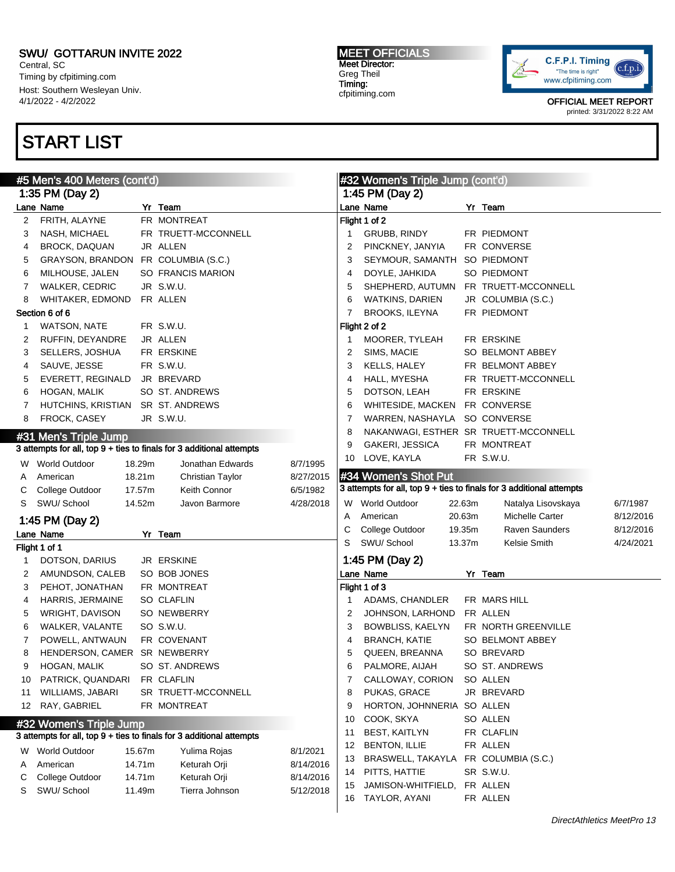Central, SC Timing by cfpitiming.com Host: Southern Wesleyan Univ. 4/1/2022 - 4/2/2022

# START LIST

#### MEET OFFICIALS Meet Director: Greg Theil Timing: cfpitiming.com



|                                                                      | #5 Men's 400 Meters (cont'd)        |        |                                                                      |           |                      | #32 Women's Triple Jump (cont'd) |                  |                                                                      |           |
|----------------------------------------------------------------------|-------------------------------------|--------|----------------------------------------------------------------------|-----------|----------------------|----------------------------------|------------------|----------------------------------------------------------------------|-----------|
|                                                                      | 1:35 PM (Day 2)                     |        |                                                                      |           |                      | 1:45 PM (Day 2)                  |                  |                                                                      |           |
|                                                                      | Lane Name                           |        | Yr Team                                                              |           |                      | Lane Name                        |                  | Yr Team                                                              |           |
| 2                                                                    | FRITH, ALAYNE                       |        | FR MONTREAT                                                          |           |                      | Flight 1 of 2                    |                  |                                                                      |           |
| 3                                                                    | NASH, MICHAEL                       |        | FR TRUETT-MCCONNELL                                                  |           | 1                    | GRUBB, RINDY                     |                  | FR PIEDMONT                                                          |           |
| 4                                                                    | <b>BROCK, DAQUAN</b>                |        | JR ALLEN                                                             |           | 2                    | PINCKNEY, JANYIA                 |                  | FR CONVERSE                                                          |           |
| 5                                                                    | GRAYSON, BRANDON FR COLUMBIA (S.C.) |        |                                                                      |           | 3                    | SEYMOUR, SAMANTH                 |                  | SO PIEDMONT                                                          |           |
| 6                                                                    | MILHOUSE, JALEN                     |        | SO FRANCIS MARION                                                    |           | 4                    | DOYLE, JAHKIDA                   |                  | SO PIEDMONT                                                          |           |
| 7                                                                    | <b>WALKER, CEDRIC</b>               |        | JR S.W.U.                                                            |           | 5                    | SHEPHERD, AUTUMN                 |                  | FR TRUETT-MCCONNELL                                                  |           |
| 8                                                                    | WHITAKER, EDMOND                    |        | FR ALLEN                                                             |           | 6                    | <b>WATKINS, DARIEN</b>           |                  | JR COLUMBIA (S.C.)                                                   |           |
| Section 6 of 6                                                       |                                     |        |                                                                      | 7         | BROOKS, ILEYNA       |                                  | FR PIEDMONT      |                                                                      |           |
| 1                                                                    | <b>WATSON, NATE</b>                 |        | FR S.W.U.                                                            |           |                      | Flight 2 of 2                    |                  |                                                                      |           |
| 2                                                                    | RUFFIN, DEYANDRE                    |        | JR ALLEN                                                             |           | 1                    | MOORER, TYLEAH                   |                  | FR ERSKINE                                                           |           |
| 3                                                                    | SELLERS, JOSHUA                     |        | FR ERSKINE                                                           |           | 2                    | SIMS, MACIE                      |                  | SO BELMONT ABBEY                                                     |           |
| 4                                                                    | SAUVE, JESSE                        |        | FR S.W.U.                                                            |           | 3                    | KELLS, HALEY                     |                  | FR BELMONT ABBEY                                                     |           |
| 5                                                                    | EVERETT, REGINALD                   |        | JR BREVARD                                                           |           | 4                    | HALL, MYESHA                     |                  | FR TRUETT-MCCONNELL                                                  |           |
| 6                                                                    | HOGAN, MALIK                        |        | SO ST. ANDREWS                                                       |           | 5                    | DOTSON, LEAH                     |                  | FR ERSKINE                                                           |           |
| 7                                                                    | HUTCHINS, KRISTIAN SR ST. ANDREWS   |        |                                                                      |           | 6                    | WHITESIDE, MACKEN FR CONVERSE    |                  |                                                                      |           |
| 8                                                                    | FROCK, CASEY                        |        | JR S.W.U.                                                            |           | 7                    | WARREN, NASHAYLA SO CONVERSE     |                  |                                                                      |           |
|                                                                      | #31 Men's Triple Jump               |        |                                                                      |           | 8                    |                                  |                  | NAKANWAGI, ESTHER SR TRUETT-MCCONNELL                                |           |
|                                                                      |                                     |        | 3 attempts for all, top 9 + ties to finals for 3 additional attempts |           | 9                    | GAKERI, JESSICA                  |                  | FR MONTREAT                                                          |           |
|                                                                      |                                     |        |                                                                      |           | 10                   | LOVE, KAYLA                      |                  | FR S.W.U.                                                            |           |
|                                                                      | W World Outdoor                     | 18.29m | Jonathan Edwards                                                     | 8/7/1995  |                      | #34 Women's Shot Put             |                  |                                                                      |           |
| A                                                                    | American                            | 18.21m | Christian Taylor                                                     | 8/27/2015 |                      |                                  |                  | 3 attempts for all, top 9 + ties to finals for 3 additional attempts |           |
| C                                                                    | College Outdoor                     | 17.57m | Keith Connor                                                         | 6/5/1982  |                      |                                  |                  |                                                                      |           |
| S                                                                    | SWU/ School                         | 14.52m | Javon Barmore                                                        | 4/28/2018 |                      | W World Outdoor                  | 22.63m           | Natalya Lisovskaya                                                   | 6/7/1987  |
|                                                                      | 1:45 PM (Day 2)                     |        |                                                                      |           | A                    | American                         | 20.63m           | Michelle Carter                                                      | 8/12/2016 |
|                                                                      | Lane Name                           |        | Yr Team                                                              |           | С<br>S               | College Outdoor<br>SWU/ School   | 19.35m<br>13.37m | <b>Raven Saunders</b><br>Kelsie Smith                                | 8/12/2016 |
|                                                                      | Flight 1 of 1                       |        |                                                                      |           |                      |                                  |                  |                                                                      | 4/24/2021 |
| 1                                                                    | DOTSON, DARIUS                      |        | JR ERSKINE                                                           |           |                      | 1:45 PM (Day 2)                  |                  |                                                                      |           |
| 2                                                                    | AMUNDSON, CALEB                     |        | SO BOB JONES                                                         |           |                      | Lane Name                        |                  | Yr Team                                                              |           |
| 3                                                                    | PEHOT, JONATHAN                     |        | FR MONTREAT                                                          |           |                      | Flight 1 of 3                    |                  |                                                                      |           |
| 4                                                                    | HARRIS, JERMAINE                    |        | <b>SO CLAFLIN</b>                                                    |           | 1                    | ADAMS, CHANDLER                  |                  | FR MARS HILL                                                         |           |
| 5                                                                    | WRIGHT, DAVISON                     |        | SO NEWBERRY                                                          |           | $\overline{2}$       | JOHNSON, LARHOND                 |                  | FR ALLEN                                                             |           |
| 6                                                                    | WALKER, VALANTE                     |        | SO S.W.U.                                                            |           | 3                    | BOWBLISS, KAELYN                 |                  | FR NORTH GREENVILLE                                                  |           |
| 7                                                                    | POWELL, ANTWAUN                     |        | FR COVENANT                                                          |           | 4                    | <b>BRANCH, KATIE</b>             |                  | SO BELMONT ABBEY                                                     |           |
| 8                                                                    | HENDERSON, CAMER SR NEWBERRY        |        |                                                                      |           | 5                    | QUEEN, BREANNA                   |                  | SO BREVARD                                                           |           |
| 9                                                                    | HOGAN, MALIK                        |        | SO ST. ANDREWS                                                       |           | 6                    | PALMORE, AIJAH                   |                  | SO ST. ANDREWS                                                       |           |
| 10                                                                   | PATRICK, QUANDARI                   |        | FR CLAFLIN                                                           |           | 7                    | CALLOWAY, CORION                 |                  | SO ALLEN                                                             |           |
| 11                                                                   | WILLIAMS, JABARI                    |        | SR TRUETT-MCCONNELL                                                  |           | 8                    | PUKAS, GRACE                     |                  | JR BREVARD                                                           |           |
| 12                                                                   | RAY, GABRIEL                        |        | FR MONTREAT                                                          |           | 9                    | HORTON, JOHNNERIA SO ALLEN       |                  |                                                                      |           |
| #32 Women's Triple Jump                                              |                                     |        |                                                                      | 10        | COOK, SKYA           |                                  | SO ALLEN         |                                                                      |           |
| 3 attempts for all, top 9 + ties to finals for 3 additional attempts |                                     |        |                                                                      | 11        | <b>BEST, KAITLYN</b> |                                  | FR CLAFLIN       |                                                                      |           |
| W                                                                    | <b>World Outdoor</b>                | 15.67m | Yulima Rojas                                                         | 8/1/2021  | 12                   | <b>BENTON, ILLIE</b>             |                  | FR ALLEN                                                             |           |
| A                                                                    | American                            | 14.71m | Keturah Orji                                                         | 8/14/2016 | 13                   | BRASWELL, TAKAYLA                |                  | FR COLUMBIA (S.C.)                                                   |           |
| С                                                                    | College Outdoor                     | 14.71m | Keturah Orji                                                         | 8/14/2016 | 14                   | PITTS, HATTIE                    |                  | SR S.W.U.                                                            |           |
| S                                                                    | SWU/ School                         | 11.49m | Tierra Johnson                                                       | 5/12/2018 | 15                   | JAMISON-WHITFIELD,               |                  | FR ALLEN                                                             |           |
|                                                                      |                                     |        |                                                                      |           |                      | 16 TAYLOR, AYANI                 |                  | FR ALLEN                                                             |           |
|                                                                      |                                     |        |                                                                      |           |                      |                                  |                  |                                                                      |           |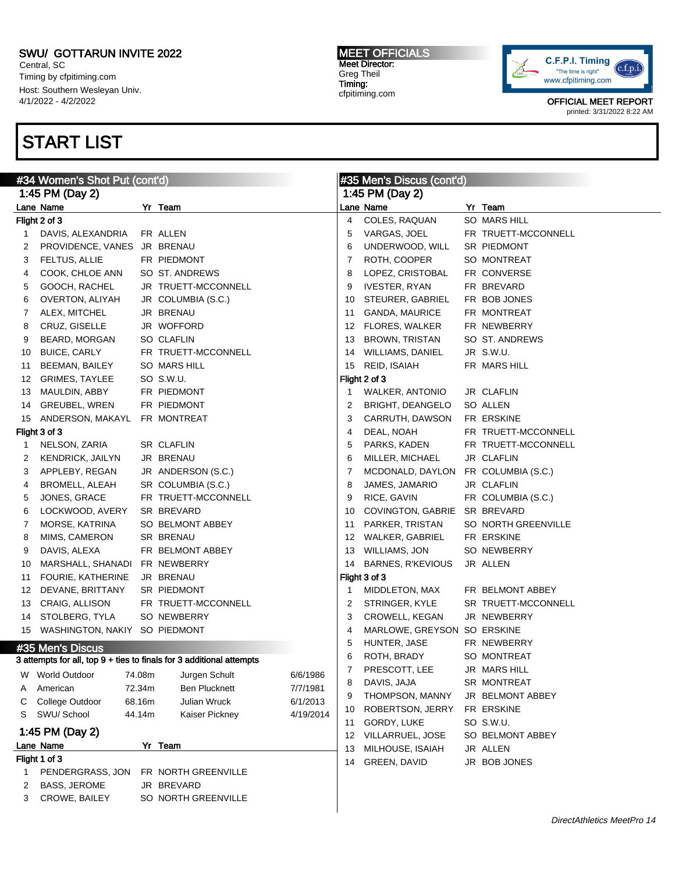Central, SC Timing by cfpitiming.com Host: Southern Wesleyan Univ. 4/1/2022 - 4/2/2022

## START LIST

#### MEET OFFICIALS Meet Director: Greg Theil Timing: cfpitiming.com



| #34 Women's Shot Put (cont'd) |                                  |        |                                                                      | #35 Men's Discus (cont'd) |    |                              |  |                     |  |  |
|-------------------------------|----------------------------------|--------|----------------------------------------------------------------------|---------------------------|----|------------------------------|--|---------------------|--|--|
|                               | 1:45 PM (Day 2)                  |        |                                                                      |                           |    | 1:45 PM (Day 2)              |  |                     |  |  |
|                               | Lane Name                        |        | Yr Team                                                              |                           |    | Lane Name                    |  | Yr Team             |  |  |
|                               | Flight 2 of 3                    |        |                                                                      |                           | 4  | COLES, RAQUAN                |  | SO MARS HILL        |  |  |
| 1                             | DAVIS, ALEXANDRIA                |        | FR ALLEN                                                             |                           | 5  | VARGAS, JOEL                 |  | FR TRUETT-MCCONNELL |  |  |
| 2                             | PROVIDENCE, VANES JR BRENAU      |        |                                                                      |                           | 6  | UNDERWOOD, WILL              |  | SR PIEDMONT         |  |  |
| 3                             | FELTUS, ALLIE                    |        | FR PIEDMONT                                                          |                           | 7  | ROTH, COOPER                 |  | <b>SO MONTREAT</b>  |  |  |
| 4                             | COOK, CHLOE ANN                  |        | SO ST. ANDREWS                                                       |                           | 8  | LOPEZ, CRISTOBAL             |  | FR CONVERSE         |  |  |
| 5                             | GOOCH, RACHEL                    |        | JR TRUETT-MCCONNELL                                                  |                           | 9  | <b>IVESTER, RYAN</b>         |  | FR BREVARD          |  |  |
| 6                             | OVERTON, ALIYAH                  |        | JR COLUMBIA (S.C.)                                                   |                           | 10 | STEURER, GABRIEL             |  | FR BOB JONES        |  |  |
| 7                             | ALEX, MITCHEL                    |        | JR BRENAU                                                            |                           | 11 | GANDA, MAURICE               |  | FR MONTREAT         |  |  |
| 8                             | CRUZ, GISELLE                    |        | JR WOFFORD                                                           |                           | 12 | <b>FLORES, WALKER</b>        |  | FR NEWBERRY         |  |  |
| 9                             | BEARD, MORGAN                    |        | SO CLAFLIN                                                           |                           | 13 | <b>BROWN, TRISTAN</b>        |  | SO ST. ANDREWS      |  |  |
| 10                            | <b>BUICE, CARLY</b>              |        | FR TRUETT-MCCONNELL                                                  |                           | 14 | <b>WILLIAMS, DANIEL</b>      |  | JR S.W.U.           |  |  |
| 11                            | BEEMAN, BAILEY                   |        | <b>SO MARS HILL</b>                                                  |                           | 15 | REID, ISAIAH                 |  | FR MARS HILL        |  |  |
| 12                            | GRIMES, TAYLEE                   |        | SO S.W.U.                                                            |                           |    | Flight 2 of 3                |  |                     |  |  |
| 13                            | MAULDIN, ABBY                    |        | FR PIEDMONT                                                          |                           | 1  | WALKER, ANTONIO              |  | JR CLAFLIN          |  |  |
| 14                            | <b>GREUBEL, WREN</b>             |        | FR PIEDMONT                                                          |                           | 2  | <b>BRIGHT, DEANGELO</b>      |  | SO ALLEN            |  |  |
| 15                            | ANDERSON, MAKAYL                 |        | FR MONTREAT                                                          |                           | 3  | CARRUTH, DAWSON              |  | FR ERSKINE          |  |  |
|                               | Flight 3 of 3                    |        |                                                                      |                           | 4  | DEAL, NOAH                   |  | FR TRUETT-MCCONNELL |  |  |
| 1                             | NELSON, ZARIA                    |        | <b>SR CLAFLIN</b>                                                    |                           | 5  | PARKS, KADEN                 |  | FR TRUETT-MCCONNELL |  |  |
| 2                             | KENDRICK, JAILYN                 |        | JR BRENAU                                                            |                           | 6  | MILLER, MICHAEL              |  | JR CLAFLIN          |  |  |
| 3                             | APPLEBY, REGAN                   |        | JR ANDERSON (S.C.)                                                   |                           | 7  | MCDONALD, DAYLON             |  | FR COLUMBIA (S.C.)  |  |  |
| 4                             | BROMELL, ALEAH                   |        | SR COLUMBIA (S.C.)                                                   |                           | 8  | JAMES, JAMARIO               |  | JR CLAFLIN          |  |  |
| 5                             | JONES, GRACE                     |        | FR TRUETT-MCCONNELL                                                  |                           | 9  | RICE, GAVIN                  |  | FR COLUMBIA (S.C.)  |  |  |
| 6                             | LOCKWOOD, AVERY                  |        | SR BREVARD                                                           |                           | 10 | COVINGTON, GABRIE SR BREVARD |  |                     |  |  |
| 7                             | MORSE, KATRINA                   |        | SO BELMONT ABBEY                                                     |                           | 11 | PARKER, TRISTAN              |  | SO NORTH GREENVILLE |  |  |
| 8                             | MIMS, CAMERON                    |        | <b>SR BRENAU</b>                                                     |                           | 12 | WALKER, GABRIEL              |  | FR ERSKINE          |  |  |
| 9                             | DAVIS, ALEXA                     |        | FR BELMONT ABBEY                                                     |                           | 13 | <b>WILLIAMS, JON</b>         |  | SO NEWBERRY         |  |  |
| 10                            | MARSHALL, SHANADI FR NEWBERRY    |        |                                                                      |                           | 14 | <b>BARNES, R'KEVIOUS</b>     |  | JR ALLEN            |  |  |
| 11                            | FOURIE, KATHERINE                |        | JR BRENAU                                                            |                           |    | Flight 3 of 3                |  |                     |  |  |
| 12                            | DEVANE, BRITTANY                 |        | SR PIEDMONT                                                          |                           | 1  | MIDDLETON, MAX               |  | FR BELMONT ABBEY    |  |  |
| 13                            | CRAIG, ALLISON                   |        | FR TRUETT-MCCONNELL                                                  |                           | 2  | STRINGER, KYLE               |  | SR TRUETT-MCCONNELL |  |  |
| 14                            | STOLBERG, TYLA                   |        | SO NEWBERRY                                                          |                           | 3  | CROWELL, KEGAN               |  | JR NEWBERRY         |  |  |
|                               | 15 WASHINGTON, NAKIY SO PIEDMONT |        |                                                                      |                           | 4  | MARLOWE, GREYSON SO ERSKINE  |  |                     |  |  |
|                               | #35 Men's Discus                 |        |                                                                      |                           | 5  | HUNTER, JASE                 |  | FR NEWBERRY         |  |  |
|                               |                                  |        | 3 attempts for all, top 9 + ties to finals for 3 additional attempts |                           | 6  | ROTH, BRADY                  |  | SO MONTREAT         |  |  |
| w                             | <b>World Outdoor</b>             | 74.08m | Jurgen Schult                                                        | 6/6/1986                  | 7  | PRESCOTT, LEE                |  | JR MARS HILL        |  |  |
| A                             | American                         | 72.34m | <b>Ben Plucknett</b>                                                 | 7/7/1981                  | 8  | DAVIS, JAJA                  |  | SR MONTREAT         |  |  |
| C                             | College Outdoor                  | 68.16m | Julian Wruck                                                         | 6/1/2013                  | 9  | THOMPSON, MANNY              |  | JR BELMONT ABBEY    |  |  |
| S                             | SWU/ School                      | 44.14m | Kaiser Pickney                                                       | 4/19/2014                 | 10 | ROBERTSON, JERRY             |  | FR ERSKINE          |  |  |
|                               |                                  |        |                                                                      |                           | 11 | GORDY, LUKE                  |  | SO S.W.U.           |  |  |
|                               | 1:45 PM (Day 2)                  |        |                                                                      |                           | 12 | VILLARRUEL, JOSE             |  | SO BELMONT ABBEY    |  |  |
|                               | Lane Name                        |        | Yr Team                                                              |                           | 13 | MILHOUSE, ISAIAH             |  | JR ALLEN            |  |  |
|                               | Flight 1 of 3                    |        |                                                                      |                           | 14 | GREEN, DAVID                 |  | JR BOB JONES        |  |  |
| 1                             | PENDERGRASS, JON                 |        | FR NORTH GREENVILLE                                                  |                           |    |                              |  |                     |  |  |
| 2                             | <b>BASS, JEROME</b>              |        | JR BREVARD                                                           |                           |    |                              |  |                     |  |  |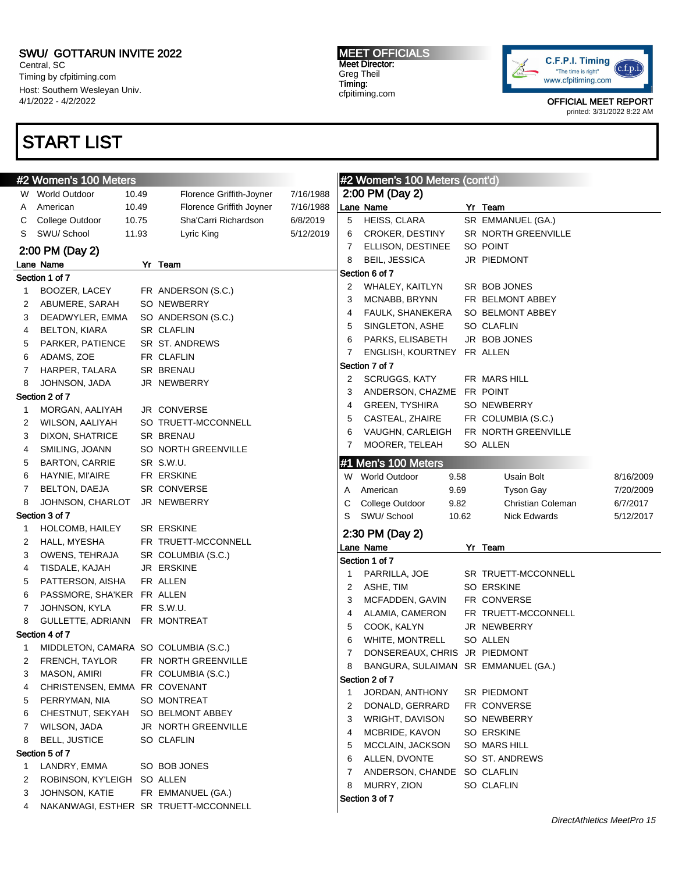Central, SC Timing by cfpitiming.com Host: Southern Wesleyan Univ. 4/1/2022 - 4/2/2022

# START LIST

#### MEET OFFICIALS Meet Director: Greg Theil Timing: cfpitiming.com



|              | #2 Women's 100 Meters                | #2 Women's 100 Meters (cont'd) |                                       |           |    |                                     |       |                     |           |
|--------------|--------------------------------------|--------------------------------|---------------------------------------|-----------|----|-------------------------------------|-------|---------------------|-----------|
|              | W World Outdoor                      | 10.49                          | Florence Griffith-Joyner              | 7/16/1988 |    | 2:00 PM (Day 2)                     |       |                     |           |
| A            | American                             | 10.49                          | Florence Griffith Joyner              | 7/16/1988 |    | Lane Name                           |       | Yr Team             |           |
| С            | College Outdoor                      | 10.75                          | Sha'Carri Richardson                  | 6/8/2019  | 5  | HEISS, CLARA                        |       | SR EMMANUEL (GA.)   |           |
| S            | SWU/School                           | 11.93                          | Lyric King                            | 5/12/2019 | 6  | CROKER, DESTINY                     |       | SR NORTH GREENVILLE |           |
|              | 2:00 PM (Day 2)                      |                                |                                       |           | 7  | ELLISON, DESTINEE                   |       | SO POINT            |           |
|              | Lane Name                            |                                | Yr Team                               |           | 8  | <b>BEIL, JESSICA</b>                |       | JR PIEDMONT         |           |
|              | Section 1 of 7                       |                                |                                       |           |    | Section 6 of 7                      |       |                     |           |
| $\mathbf{1}$ | BOOZER, LACEY                        |                                | FR ANDERSON (S.C.)                    |           | 2  | WHALEY, KAITLYN                     |       | SR BOB JONES        |           |
| 2            | ABUMERE, SARAH                       |                                | SO NEWBERRY                           |           | 3  | MCNABB, BRYNN                       |       | FR BELMONT ABBEY    |           |
| 3            | DEADWYLER, EMMA                      |                                | SO ANDERSON (S.C.)                    |           | 4  | FAULK, SHANEKERA                    |       | SO BELMONT ABBEY    |           |
| 4            | <b>BELTON, KIARA</b>                 |                                | SR CLAFLIN                            |           | 5  | SINGLETON, ASHE                     |       | SO CLAFLIN          |           |
| 5            | PARKER, PATIENCE                     |                                | SR ST. ANDREWS                        |           | 6  | PARKS, ELISABETH                    |       | JR BOB JONES        |           |
| 6            | ADAMS, ZOE                           |                                | FR CLAFLIN                            |           | 7  | ENGLISH, KOURTNEY FR ALLEN          |       |                     |           |
| 7            | HARPER, TALARA                       |                                | SR BRENAU                             |           |    | Section 7 of 7                      |       |                     |           |
| 8            | JOHNSON, JADA                        |                                | JR NEWBERRY                           |           | 2  | SCRUGGS, KATY                       |       | FR MARS HILL        |           |
|              | Section 2 of 7                       |                                |                                       |           | 3  | ANDERSON, CHAZME FR POINT           |       |                     |           |
| 1            | MORGAN, AALIYAH                      |                                | JR CONVERSE                           |           | 4  | <b>GREEN, TYSHIRA</b>               |       | SO NEWBERRY         |           |
| 2            | WILSON, AALIYAH                      |                                | SO TRUETT-MCCONNELL                   |           | 5  | CASTEAL, ZHAIRE                     |       | FR COLUMBIA (S.C.)  |           |
| 3            | DIXON, SHATRICE                      |                                | SR BRENAU                             |           | 6  | VAUGHN, CARLEIGH                    |       | FR NORTH GREENVILLE |           |
| 4            | SMILING, JOANN                       |                                | SO NORTH GREENVILLE                   |           | 7  | MOORER, TELEAH                      |       | SO ALLEN            |           |
| 5            | <b>BARTON, CARRIE</b>                |                                | SR S.W.U.                             |           |    | #1 Men's 100 Meters                 |       |                     |           |
| 6            | HAYNIE, MI'AIRE                      |                                | FR ERSKINE                            |           |    | W World Outdoor                     | 9.58  | Usain Bolt          | 8/16/2009 |
| 7            | BELTON, DAEJA                        |                                | SR CONVERSE                           |           | A  | American                            | 9.69  | Tyson Gay           | 7/20/2009 |
| 8            | JOHNSON, CHARLOT                     |                                | JR NEWBERRY                           |           | С  | College Outdoor                     | 9.82  | Christian Coleman   | 6/7/2017  |
|              | Section 3 of 7                       |                                |                                       |           | S  | SWU/ School                         | 10.62 | Nick Edwards        | 5/12/2017 |
| 1            | HOLCOMB, HAILEY                      |                                | SR ERSKINE                            |           |    | 2:30 PM (Day 2)                     |       |                     |           |
| 2            | HALL, MYESHA                         |                                | FR TRUETT-MCCONNELL                   |           |    | Lane Name                           |       | Yr Team             |           |
| 3            | OWENS, TEHRAJA                       |                                | SR COLUMBIA (S.C.)                    |           |    | Section 1 of 7                      |       |                     |           |
| 4            | TISDALE, KAJAH                       |                                | JR ERSKINE                            |           | -1 | PARRILLA, JOE                       |       | SR TRUETT-MCCONNELL |           |
| 5            | PATTERSON, AISHA                     |                                | FR ALLEN                              |           | 2  | ASHE, TIM                           |       | SO ERSKINE          |           |
| 6            | PASSMORE, SHA'KER FR ALLEN           |                                |                                       |           | 3  | MCFADDEN, GAVIN                     |       | FR CONVERSE         |           |
| 7            | JOHNSON, KYLA                        |                                | FR S.W.U.                             |           | 4  | ALAMIA, CAMERON                     |       | FR TRUETT-MCCONNELL |           |
| 8            | GULLETTE, ADRIANN FR MONTREAT        |                                |                                       |           | 5  | COOK, KALYN                         |       | JR NEWBERRY         |           |
|              | Section 4 of 7                       |                                |                                       |           | 6  | WHITE, MONTRELL                     |       | SO ALLEN            |           |
| 1            | MIDDLETON, CAMARA SO COLUMBIA (S.C.) |                                |                                       |           | 7  | DONSEREAUX, CHRIS JR PIEDMONT       |       |                     |           |
| 2            | FRENCH, TAYLOR                       |                                | FR NORTH GREENVILLE                   |           | 8  | BANGURA, SULAIMAN SR EMMANUEL (GA.) |       |                     |           |
| 3            | MASON, AMIRI                         |                                | FR COLUMBIA (S.C.)                    |           |    | Section 2 of 7                      |       |                     |           |
| 4            | CHRISTENSEN, EMMA FR COVENANT        |                                |                                       |           | 1  | JORDAN, ANTHONY                     |       | SR PIEDMONT         |           |
| 5            | PERRYMAN, NIA                        |                                | SO MONTREAT                           |           | 2  | DONALD, GERRARD                     |       | FR CONVERSE         |           |
| 6            | CHESTNUT, SEKYAH                     |                                | SO BELMONT ABBEY                      |           | 3  | WRIGHT, DAVISON                     |       | SO NEWBERRY         |           |
| 7            | WILSON, JADA                         |                                | JR NORTH GREENVILLE                   |           | 4  | MCBRIDE, KAVON                      |       | SO ERSKINE          |           |
| 8            | <b>BELL, JUSTICE</b>                 |                                | <b>SO CLAFLIN</b>                     |           | 5  | MCCLAIN, JACKSON                    |       | SO MARS HILL        |           |
|              | Section 5 of 7                       |                                |                                       |           | 6  | ALLEN, DVONTE                       |       | SO ST. ANDREWS      |           |
| $\mathbf{1}$ | LANDRY, EMMA                         |                                | SO BOB JONES                          |           | 7  | ANDERSON, CHANDE SO CLAFLIN         |       |                     |           |
| 2            | ROBINSON, KY'LEIGH SO ALLEN          |                                |                                       |           | 8  | MURRY, ZION                         |       | SO CLAFLIN          |           |
| 3            | JOHNSON, KATIE                       |                                | FR EMMANUEL (GA.)                     |           |    | Section 3 of 7                      |       |                     |           |
| 4            |                                      |                                | NAKANWAGI, ESTHER SR TRUETT-MCCONNELL |           |    |                                     |       |                     |           |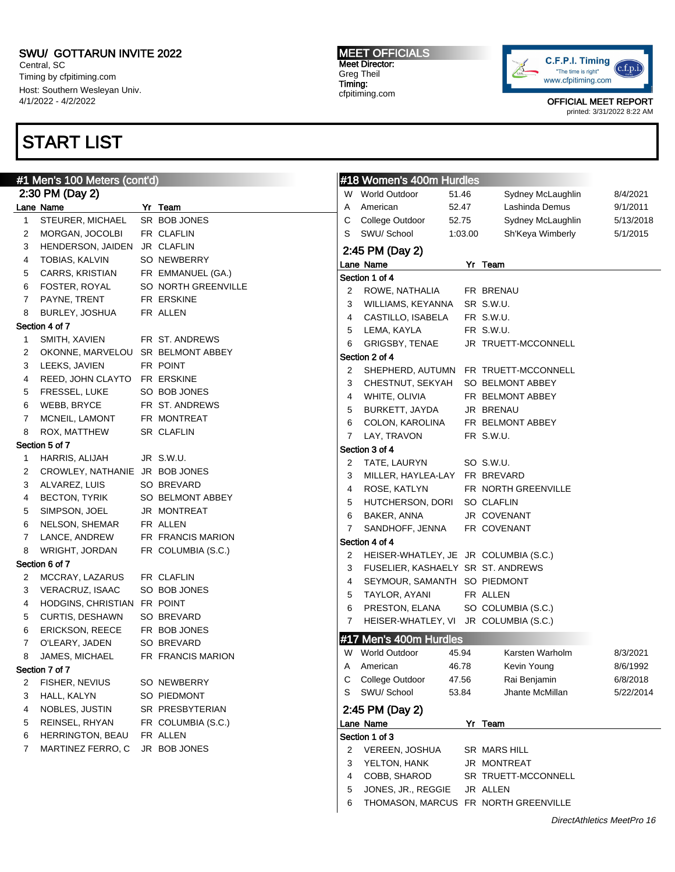Central, SC Timing by cfpitiming.com Host: Southern Wesleyan Univ. 4/1/2022 - 4/2/2022

# START LIST

MEET OFFICIALS Meet Director: Greg Theil Timing: cfpitiming.com



OFFICIAL MEET REPORT

printed: 3/31/2022 8:22 AM

|              | #1 Men's 100 Meters (cont'd)      |                     |   | #18 Women's 400m Hurdles              |         |                                      |           |
|--------------|-----------------------------------|---------------------|---|---------------------------------------|---------|--------------------------------------|-----------|
|              | 2:30 PM (Day 2)                   |                     |   | W World Outdoor                       | 51.46   | Sydney McLaughlin                    | 8/4/2021  |
|              | Lane Name                         | Yr Team             | Α | American                              | 52.47   | Lashinda Demus                       | 9/1/2011  |
| $\mathbf{1}$ | STEURER, MICHAEL                  | SR BOB JONES        | С | College Outdoor                       | 52.75   | Sydney McLaughlin                    | 5/13/2018 |
| 2            | MORGAN, JOCOLBI                   | FR CLAFLIN          | S | SWU/ School                           | 1:03.00 | Sh'Keya Wimberly                     | 5/1/2015  |
| 3            | HENDERSON, JAIDEN                 | JR CLAFLIN          |   | 2:45 PM (Day 2)                       |         |                                      |           |
| 4            | TOBIAS, KALVIN                    | SO NEWBERRY         |   | Lane Name                             |         | Yr Team                              |           |
| 5            | CARRS, KRISTIAN                   | FR EMMANUEL (GA.)   |   | Section 1 of 4                        |         |                                      |           |
| 6            | FOSTER, ROYAL                     | SO NORTH GREENVILLE | 2 | ROWE, NATHALIA                        |         | FR BRENAU                            |           |
| 7            | PAYNE, TRENT                      | FR ERSKINE          | 3 | WILLIAMS, KEYANNA                     |         | SR S.W.U.                            |           |
| 8            | BURLEY, JOSHUA                    | FR ALLEN            | 4 | CASTILLO, ISABELA                     |         | FR S.W.U.                            |           |
|              | Section 4 of 7                    |                     | 5 | LEMA, KAYLA                           |         | FR S.W.U.                            |           |
| 1            | SMITH, XAVIEN                     | FR ST. ANDREWS      | 6 | GRIGSBY, TENAE                        |         | JR TRUETT-MCCONNELL                  |           |
| 2            | OKONNE, MARVELOU SR BELMONT ABBEY |                     |   | Section 2 of 4                        |         |                                      |           |
| 3            | LEEKS, JAVIEN                     | FR POINT            | 2 |                                       |         | SHEPHERD, AUTUMN FR TRUETT-MCCONNELL |           |
| 4            | REED, JOHN CLAYTO FR ERSKINE      |                     | 3 | CHESTNUT, SEKYAH                      |         | SO BELMONT ABBEY                     |           |
| 5            | FRESSEL, LUKE                     | SO BOB JONES        | 4 | WHITE, OLIVIA                         |         | FR BELMONT ABBEY                     |           |
| 6            | WEBB, BRYCE                       | FR ST. ANDREWS      | 5 | BURKETT, JAYDA                        |         | JR BRENAU                            |           |
| 7            | MCNEIL, LAMONT                    | FR MONTREAT         | 6 | COLON, KAROLINA                       |         | FR BELMONT ABBEY                     |           |
| 8            | ROX, MATTHEW                      | <b>SR CLAFLIN</b>   | 7 | LAY, TRAVON                           |         | FR S.W.U.                            |           |
|              | Section 5 of 7                    |                     |   | Section 3 of 4                        |         |                                      |           |
| 1            | HARRIS, ALIJAH                    | JR S.W.U.           | 2 | TATE, LAURYN                          |         | SO S.W.U.                            |           |
| 2            | CROWLEY, NATHANIE JR BOB JONES    |                     | 3 | MILLER, HAYLEA-LAY                    |         | FR BREVARD                           |           |
| 3            | ALVAREZ, LUIS                     | SO BREVARD          | 4 | ROSE, KATLYN                          |         | FR NORTH GREENVILLE                  |           |
| 4            | <b>BECTON, TYRIK</b>              | SO BELMONT ABBEY    | 5 | HUTCHERSON, DORI                      |         | SO CLAFLIN                           |           |
| 5            | SIMPSON, JOEL                     | JR MONTREAT         | 6 | BAKER, ANNA                           |         | JR COVENANT                          |           |
| 6            | NELSON, SHEMAR                    | FR ALLEN            | 7 | SANDHOFF, JENNA                       |         | FR COVENANT                          |           |
| 7            | LANCE, ANDREW                     | FR FRANCIS MARION   |   | Section 4 of 4                        |         |                                      |           |
| 8            | WRIGHT, JORDAN                    | FR COLUMBIA (S.C.)  | 2 | HEISER-WHATLEY, JE JR COLUMBIA (S.C.) |         |                                      |           |
|              | Section 6 of 7                    |                     | 3 | FUSELIER, KASHAELY SR ST. ANDREWS     |         |                                      |           |
| 2            | MCCRAY, LAZARUS                   | FR CLAFLIN          | 4 | SEYMOUR, SAMANTH SO PIEDMONT          |         |                                      |           |
| 3            | <b>VERACRUZ, ISAAC</b>            | SO BOB JONES        | 5 | TAYLOR, AYANI                         |         | FR ALLEN                             |           |
| 4            | HODGINS, CHRISTIAN FR POINT       |                     | 6 | PRESTON, ELANA                        |         | SO COLUMBIA (S.C.)                   |           |
| 5            | CURTIS, DESHAWN                   | SO BREVARD          | 7 | HEISER-WHATLEY, VI JR COLUMBIA (S.C.) |         |                                      |           |
| 6            | <b>ERICKSON, REECE</b>            | FR BOB JONES        |   |                                       |         |                                      |           |
| 7            | O'LEARY, JADEN                    | SO BREVARD          |   | #17 Men's 400m Hurdles                |         |                                      |           |
| 8            | JAMES, MICHAEL                    | FR FRANCIS MARION   |   | W World Outdoor                       | 45.94   | Karsten Warholm                      | 8/3/2021  |
|              | Section 7 of 7                    |                     |   | A American                            | 46.78   | Kevin Young                          | 8/6/1992  |
| 2            | <b>FISHER, NEVIUS</b>             | SO NEWBERRY         | C | College Outdoor                       | 47.56   | Rai Benjamin                         | 6/8/2018  |
| 3            | HALL, KALYN                       | SO PIEDMONT         | S | SWU/ School                           | 53.84   | Jhante McMillan                      | 5/22/2014 |
| 4            | NOBLES, JUSTIN                    | SR PRESBYTERIAN     |   | 2:45 PM (Day 2)                       |         |                                      |           |
| 5            | REINSEL, RHYAN                    | FR COLUMBIA (S.C.)  |   | Lane Name                             |         | Yr Team                              |           |
| 6            | <b>HERRINGTON, BEAU</b>           | FR ALLEN            |   | Section 1 of 3                        |         |                                      |           |
| 7            | MARTINEZ FERRO, C                 | JR BOB JONES        | 2 | VEREEN, JOSHUA                        |         | SR MARS HILL                         |           |
|              |                                   |                     | 3 | YELTON, HANK                          |         | JR MONTREAT                          |           |
|              |                                   |                     | 4 | COBB, SHAROD                          |         | SR TRUETT-MCCONNELL                  |           |
|              |                                   |                     | 5 | JONES, JR., REGGIE                    |         | JR ALLEN                             |           |
|              |                                   |                     | 6 |                                       |         | THOMASON, MARCUS FR NORTH GREENVILLE |           |
|              |                                   |                     |   |                                       |         |                                      |           |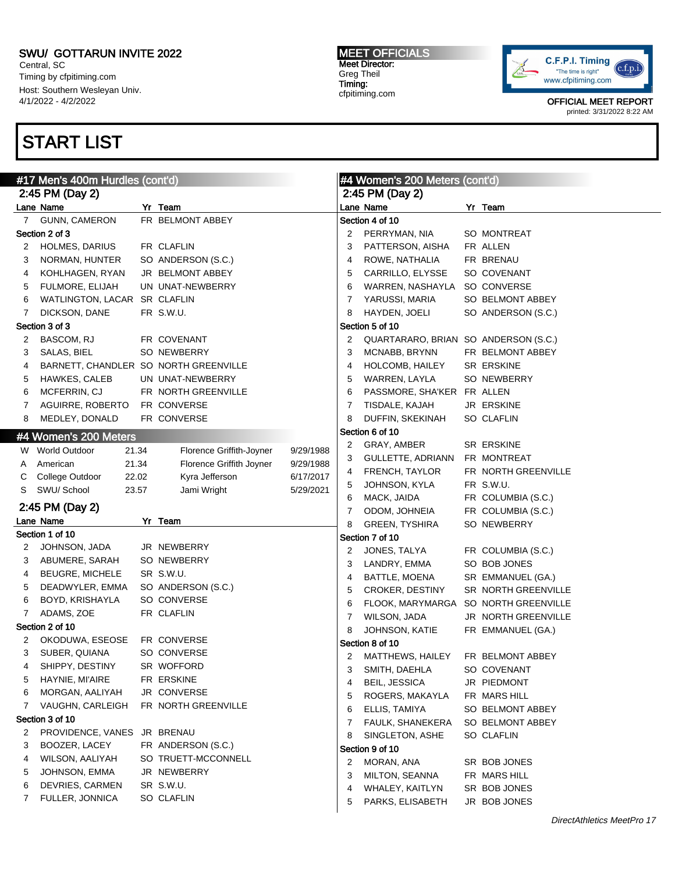Central, SC Timing by cfpitiming.com Host: Southern Wesleyan Univ. 4/1/2022 - 4/2/2022

# START LIST

#### MEET OFFICIALS Meet Director: Greg Theil Timing: cfpitiming.com



| #17 Men's 400m Hurdles (cont'd) |                                       |  |                          |           | #4 Women's 200 Meters (cont'd) |                                      |  |                     |  |
|---------------------------------|---------------------------------------|--|--------------------------|-----------|--------------------------------|--------------------------------------|--|---------------------|--|
|                                 | 2:45 PM (Day 2)                       |  |                          |           | 2:45 PM (Day 2)                |                                      |  |                     |  |
|                                 | Lane Name                             |  | Yr Team                  |           |                                | Lane Name                            |  | Yr Team             |  |
| $7^{\circ}$                     | <b>GUNN, CAMERON</b>                  |  | FR BELMONT ABBEY         |           |                                | Section 4 of 10                      |  |                     |  |
|                                 | Section 2 of 3                        |  |                          |           | 2                              | PERRYMAN, NIA                        |  | SO MONTREAT         |  |
| 2                               | <b>HOLMES, DARIUS</b>                 |  | FR CLAFLIN               |           | 3                              | PATTERSON, AISHA                     |  | FR ALLEN            |  |
| 3                               | NORMAN, HUNTER                        |  | SO ANDERSON (S.C.)       |           | 4                              | ROWE, NATHALIA                       |  | FR BRENAU           |  |
| 4                               | KOHLHAGEN, RYAN                       |  | JR BELMONT ABBEY         |           | 5                              | CARRILLO, ELYSSE                     |  | SO COVENANT         |  |
| 5                               | FULMORE, ELIJAH                       |  | UN UNAT-NEWBERRY         |           | 6                              | WARREN, NASHAYLA SO CONVERSE         |  |                     |  |
| 6                               | WATLINGTON, LACAR SR CLAFLIN          |  |                          |           | 7                              | YARUSSI, MARIA                       |  | SO BELMONT ABBEY    |  |
| 7                               | DICKSON, DANE                         |  | FR S.W.U.                |           | 8                              | HAYDEN, JOELI                        |  | SO ANDERSON (S.C.)  |  |
|                                 | Section 3 of 3                        |  |                          |           | Section 5 of 10                |                                      |  |                     |  |
| 2                               | BASCOM, RJ                            |  | FR COVENANT              |           | 2                              | QUARTARARO, BRIAN SO ANDERSON (S.C.) |  |                     |  |
| 3                               | SALAS, BIEL                           |  | SO NEWBERRY              |           | 3                              | MCNABB, BRYNN                        |  | FR BELMONT ABBEY    |  |
| 4                               | BARNETT, CHANDLER SO NORTH GREENVILLE |  |                          |           | 4                              | HOLCOMB, HAILEY                      |  | <b>SR ERSKINE</b>   |  |
| 5                               | HAWKES, CALEB                         |  | UN UNAT-NEWBERRY         |           | 5                              | WARREN, LAYLA                        |  | SO NEWBERRY         |  |
| 6                               | MCFERRIN, CJ                          |  | FR NORTH GREENVILLE      |           | 6                              | PASSMORE, SHA'KER FR ALLEN           |  |                     |  |
| 7                               | AGUIRRE, ROBERTO                      |  | FR CONVERSE              |           | 7                              | TISDALE, KAJAH                       |  | <b>JR ERSKINE</b>   |  |
| 8                               | MEDLEY, DONALD                        |  | FR CONVERSE              |           | 8                              | DUFFIN, SKEKINAH                     |  | SO CLAFLIN          |  |
|                                 | #4 Women's 200 Meters                 |  |                          |           | Section 6 of 10                |                                      |  |                     |  |
|                                 | W World Outdoor<br>21.34              |  | Florence Griffith-Joyner | 9/29/1988 | 2                              | GRAY, AMBER                          |  | SR ERSKINE          |  |
| A                               | 21.34<br>American                     |  | Florence Griffith Joyner | 9/29/1988 | 3                              | GULLETTE, ADRIANN FR MONTREAT        |  |                     |  |
| C                               | College Outdoor<br>22.02              |  | Kyra Jefferson           | 6/17/2017 | 4                              | FRENCH, TAYLOR                       |  | FR NORTH GREENVILLE |  |
| S                               | SWU/ School<br>23.57                  |  | Jami Wright              | 5/29/2021 | 5                              | JOHNSON, KYLA                        |  | FR S.W.U.           |  |
|                                 |                                       |  |                          |           | 6                              | MACK, JAIDA                          |  | FR COLUMBIA (S.C.)  |  |
|                                 | 2:45 PM (Day 2)                       |  |                          |           | 7                              | ODOM, JOHNEIA                        |  | FR COLUMBIA (S.C.)  |  |
|                                 | Lane Name                             |  | Yr Team                  |           | 8                              | <b>GREEN, TYSHIRA</b>                |  | SO NEWBERRY         |  |
|                                 | Section 1 of 10                       |  |                          |           | Section 7 of 10                |                                      |  |                     |  |
| 2                               | JOHNSON, JADA                         |  | JR NEWBERRY              |           | 2                              | JONES, TALYA                         |  | FR COLUMBIA (S.C.)  |  |
| 3                               | ABUMERE, SARAH                        |  | SO NEWBERRY              |           | 3                              | LANDRY, EMMA                         |  | SO BOB JONES        |  |
| 4                               | <b>BEUGRE, MICHELE</b>                |  | SR S.W.U.                |           | 4                              | BATTLE, MOENA                        |  | SR EMMANUEL (GA.)   |  |
| 5                               | DEADWYLER, EMMA                       |  | SO ANDERSON (S.C.)       |           | 5                              | CROKER, DESTINY                      |  | SR NORTH GREENVILLE |  |
| 6                               | BOYD, KRISHAYLA                       |  | SO CONVERSE              |           | 6                              | FLOOK, MARYMARGA SO NORTH GREENVILLE |  |                     |  |
| 7                               | ADAMS, ZOE                            |  | FR CLAFLIN               |           | 7                              | WILSON, JADA                         |  | JR NORTH GREENVILLE |  |
|                                 | Section 2 of 10                       |  |                          |           | 8                              | JOHNSON, KATIE                       |  | FR EMMANUEL (GA.)   |  |
| 2                               | OKODUWA, ESEOSE                       |  | FR CONVERSE              |           |                                | Section 8 of 10                      |  |                     |  |
| 3                               | SUBER, QUIANA                         |  | SO CONVERSE              |           | 2                              | MATTHEWS, HAILEY                     |  | FR BELMONT ABBEY    |  |
| 4                               | SHIPPY, DESTINY                       |  | SR WOFFORD               |           | 3                              | SMITH, DAEHLA                        |  | SO COVENANT         |  |
| 5                               | HAYNIE, MI'AIRE                       |  | FR ERSKINE               |           | 4                              | <b>BEIL, JESSICA</b>                 |  | JR PIEDMONT         |  |
| 6                               | MORGAN, AALIYAH                       |  | JR CONVERSE              |           | 5                              | ROGERS, MAKAYLA                      |  | FR MARS HILL        |  |
| 7                               | VAUGHN, CARLEIGH                      |  | FR NORTH GREENVILLE      |           | 6                              | ELLIS, TAMIYA                        |  | SO BELMONT ABBEY    |  |
|                                 | Section 3 of 10                       |  |                          |           | 7                              | <b>FAULK, SHANEKERA</b>              |  | SO BELMONT ABBEY    |  |
| 2                               | PROVIDENCE, VANES                     |  | JR BRENAU                |           | 8                              | SINGLETON, ASHE                      |  | SO CLAFLIN          |  |
| 3                               | BOOZER, LACEY                         |  | FR ANDERSON (S.C.)       |           |                                | Section 9 of 10                      |  |                     |  |
| 4                               | WILSON, AALIYAH                       |  | SO TRUETT-MCCONNELL      |           | 2                              | MORAN, ANA                           |  | SR BOB JONES        |  |
| 5                               | JOHNSON, EMMA                         |  | JR NEWBERRY              |           | 3                              | MILTON, SEANNA                       |  | FR MARS HILL        |  |
| 6                               | <b>DEVRIES, CARMEN</b>                |  | SR S.W.U.                |           | 4                              | WHALEY, KAITLYN                      |  | SR BOB JONES        |  |
| 7                               | FULLER, JONNICA                       |  | SO CLAFLIN               |           | 5                              | PARKS, ELISABETH                     |  | JR BOB JONES        |  |
|                                 |                                       |  |                          |           |                                |                                      |  |                     |  |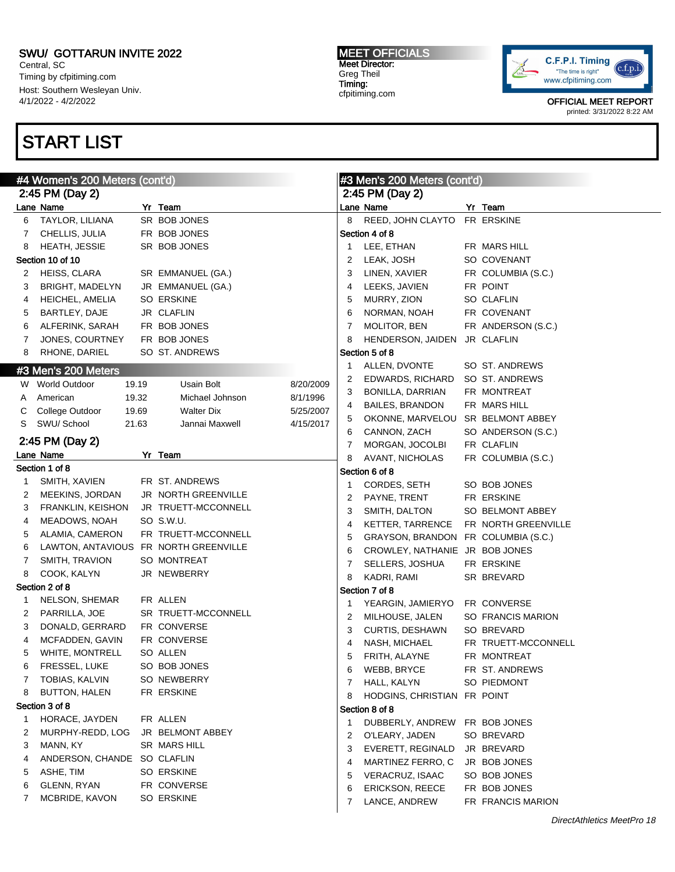Central, SC Timing by cfpitiming.com Host: Southern Wesleyan Univ. 4/1/2022 - 4/2/2022

## START LIST

#### MEET OFFICIALS Meet Director: Greg Theil Timing: cfpitiming.com



| #4 Women's 200 Meters (cont'd) |                                 |       |                                  | #3 Men's 200 Meters (cont'd) |   |                                     |  |                     |  |  |
|--------------------------------|---------------------------------|-------|----------------------------------|------------------------------|---|-------------------------------------|--|---------------------|--|--|
|                                | 2:45 PM (Day 2)                 |       |                                  |                              |   | 2:45 PM (Day 2)                     |  |                     |  |  |
|                                | Lane Name                       |       | Yr Team                          |                              |   | Lane Name                           |  | Yr Team             |  |  |
| 6                              | TAYLOR, LILIANA                 |       | SR BOB JONES                     |                              | 8 | REED, JOHN CLAYTO FR ERSKINE        |  |                     |  |  |
| 7                              | CHELLIS, JULIA                  |       | FR BOB JONES                     |                              |   | Section 4 of 8                      |  |                     |  |  |
| 8                              | HEATH, JESSIE                   |       | SR BOB JONES                     |                              | 1 | LEE, ETHAN                          |  | FR MARS HILL        |  |  |
|                                | Section 10 of 10                |       |                                  |                              | 2 | LEAK, JOSH                          |  | SO COVENANT         |  |  |
| 2                              | HEISS, CLARA                    |       | SR EMMANUEL (GA.)                |                              | 3 | LINEN, XAVIER                       |  | FR COLUMBIA (S.C.)  |  |  |
| 3                              | <b>BRIGHT, MADELYN</b>          |       | JR EMMANUEL (GA.)                |                              | 4 | LEEKS, JAVIEN                       |  | FR POINT            |  |  |
| 4                              | HEICHEL, AMELIA                 |       | SO ERSKINE                       |                              | 5 | MURRY, ZION                         |  | SO CLAFLIN          |  |  |
| 5                              | BARTLEY, DAJE                   |       | JR CLAFLIN                       |                              | 6 | NORMAN, NOAH                        |  | FR COVENANT         |  |  |
| 6                              | ALFERINK, SARAH                 |       | FR BOB JONES                     |                              | 7 | MOLITOR, BEN                        |  | FR ANDERSON (S.C.)  |  |  |
| 7                              | JONES, COURTNEY                 |       | FR BOB JONES                     |                              | 8 | HENDERSON, JAIDEN JR CLAFLIN        |  |                     |  |  |
| 8                              | RHONE, DARIEL                   |       | SO ST. ANDREWS                   |                              |   | Section 5 of 8                      |  |                     |  |  |
|                                | #3 Men's 200 Meters             |       |                                  |                              | 1 | ALLEN, DVONTE                       |  | SO ST. ANDREWS      |  |  |
|                                | W World Outdoor                 | 19.19 | Usain Bolt                       | 8/20/2009                    | 2 | EDWARDS, RICHARD                    |  | SO ST. ANDREWS      |  |  |
| A                              | American                        | 19.32 | Michael Johnson                  | 8/1/1996                     | 3 | BONILLA, DARRIAN                    |  | FR MONTREAT         |  |  |
| С                              | College Outdoor                 | 19.69 | <b>Walter Dix</b>                | 5/25/2007                    | 4 | <b>BAILES, BRANDON</b>              |  | FR MARS HILL        |  |  |
| S                              | SWU/ School                     | 21.63 | Jannai Maxwell                   | 4/15/2017                    | 5 | OKONNE, MARVELOU SR BELMONT ABBEY   |  |                     |  |  |
|                                | 2:45 PM (Day 2)                 |       |                                  |                              | 6 | CANNON, ZACH                        |  | SO ANDERSON (S.C.)  |  |  |
|                                | Lane Name                       |       |                                  |                              | 7 | MORGAN, JOCOLBI                     |  | FR CLAFLIN          |  |  |
|                                |                                 |       | Yr Team                          |                              | 8 | AVANT, NICHOLAS                     |  | FR COLUMBIA (S.C.)  |  |  |
|                                | Section 1 of 8<br>SMITH, XAVIEN |       | FR ST. ANDREWS                   |                              |   | Section 6 of 8                      |  |                     |  |  |
| 1                              |                                 |       | JR NORTH GREENVILLE              |                              | 1 | CORDES, SETH                        |  | SO BOB JONES        |  |  |
| 2                              | MEEKINS, JORDAN                 |       |                                  |                              | 2 | PAYNE, TRENT                        |  | FR ERSKINE          |  |  |
| 3                              | FRANKLIN, KEISHON               |       | JR TRUETT-MCCONNELL              |                              | 3 | SMITH, DALTON                       |  | SO BELMONT ABBEY    |  |  |
| 4                              | MEADOWS, NOAH                   |       | SO S.W.U.<br>FR TRUETT-MCCONNELL |                              | 4 | KETTER, TARRENCE                    |  | FR NORTH GREENVILLE |  |  |
| 5                              | ALAMIA, CAMERON                 |       | FR NORTH GREENVILLE              |                              | 5 | GRAYSON, BRANDON FR COLUMBIA (S.C.) |  |                     |  |  |
| 6                              | LAWTON, ANTAVIOUS               |       |                                  |                              | 6 | CROWLEY, NATHANIE JR BOB JONES      |  |                     |  |  |
| 7                              | SMITH, TRAVION                  |       | SO MONTREAT                      |                              | 7 | SELLERS, JOSHUA                     |  | FR ERSKINE          |  |  |
| 8                              | COOK, KALYN                     |       | JR NEWBERRY                      |                              | 8 | KADRI, RAMI                         |  | SR BREVARD          |  |  |
|                                | Section 2 of 8                  |       |                                  |                              |   | Section 7 of 8                      |  |                     |  |  |
| 1                              | NELSON, SHEMAR                  |       | FR ALLEN                         |                              | 1 | YEARGIN, JAMIERYO FR CONVERSE       |  |                     |  |  |
| 2                              | PARRILLA, JOE                   |       | SR TRUETT-MCCONNELL              |                              | 2 | MILHOUSE, JALEN                     |  | SO FRANCIS MARION   |  |  |
| 3                              | DONALD, GERRARD                 |       | FR CONVERSE                      |                              | 3 | CURTIS, DESHAWN                     |  | SO BREVARD          |  |  |
| 4                              | MCFADDEN, GAVIN                 |       | FR CONVERSE                      |                              | 4 | NASH, MICHAEL                       |  | FR TRUETT-MCCONNELL |  |  |
| 5                              | WHITE, MONTRELL                 |       | SO ALLEN                         |                              | 5 | FRITH, ALAYNE                       |  | FR MONTREAT         |  |  |
| 6                              | FRESSEL, LUKE                   |       | SO BOB JONES                     |                              | 6 | WEBB, BRYCE                         |  | FR ST. ANDREWS      |  |  |
| 7                              | TOBIAS, KALVIN                  |       | SO NEWBERRY                      |                              | 7 | HALL, KALYN                         |  | SO PIEDMONT         |  |  |
| 8                              | <b>BUTTON, HALEN</b>            |       | FR ERSKINE                       |                              | 8 | HODGINS, CHRISTIAN FR POINT         |  |                     |  |  |
|                                | Section 3 of 8                  |       |                                  |                              |   | Section 8 of 8                      |  |                     |  |  |
| 1                              | HORACE, JAYDEN                  |       | FR ALLEN                         |                              | 1 | DUBBERLY, ANDREW FR BOB JONES       |  |                     |  |  |
| 2                              | MURPHY-REDD, LOG                |       | JR BELMONT ABBEY                 |                              | 2 | O'LEARY, JADEN                      |  | SO BREVARD          |  |  |
| 3                              | MANN, KY                        |       | SR MARS HILL                     |                              | 3 | EVERETT, REGINALD                   |  | JR BREVARD          |  |  |
| 4                              | ANDERSON, CHANDE SO CLAFLIN     |       |                                  |                              | 4 | MARTINEZ FERRO, C                   |  | JR BOB JONES        |  |  |
| 5                              | ASHE, TIM                       |       | SO ERSKINE                       |                              | 5 | VERACRUZ, ISAAC                     |  | SO BOB JONES        |  |  |
| 6                              | GLENN, RYAN                     |       | FR CONVERSE                      |                              | 6 | <b>ERICKSON, REECE</b>              |  | FR BOB JONES        |  |  |
| 7                              | MCBRIDE, KAVON                  |       | SO ERSKINE                       |                              | 7 | LANCE, ANDREW                       |  | FR FRANCIS MARION   |  |  |
|                                |                                 |       |                                  |                              |   |                                     |  |                     |  |  |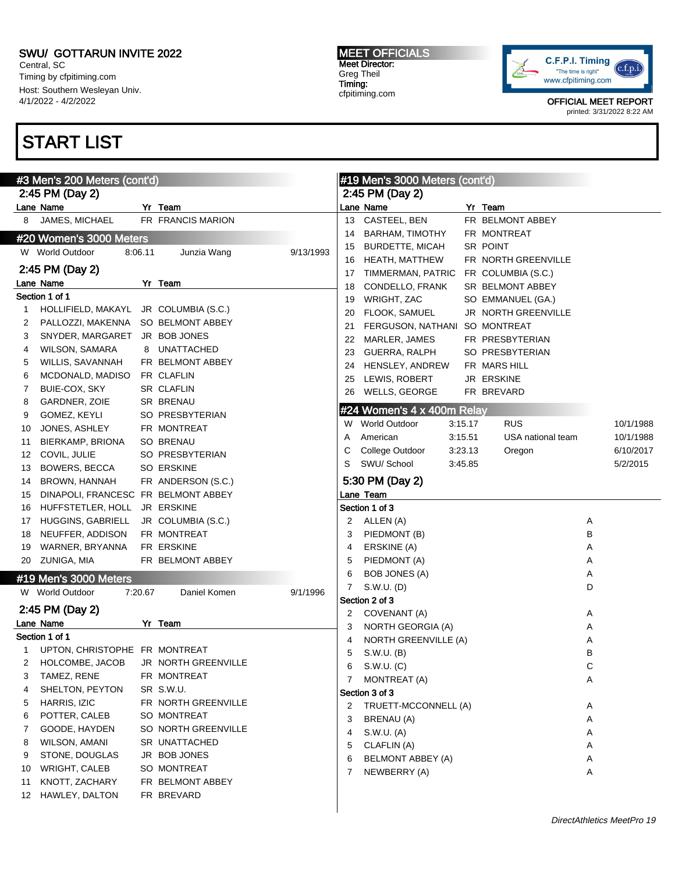Central, SC Timing by cfpitiming.com Host: Southern Wesleyan Univ. 4/1/2022 - 4/2/2022

# START LIST

#### MEET OFFICIALS Meet Director: Greg Theil Timing: cfpitiming.com



|    | #3 Men's 200 Meters (cont'd)          |         |                     |           |    | #19 Men's 3000 Meters (cont'd) |         |                     |   |           |
|----|---------------------------------------|---------|---------------------|-----------|----|--------------------------------|---------|---------------------|---|-----------|
|    | 2:45 PM (Day 2)                       |         |                     |           |    | 2:45 PM (Day 2)                |         |                     |   |           |
|    | Lane Name                             |         | Yr Team             |           |    | Lane Name                      |         | Yr Team             |   |           |
| 8  | JAMES, MICHAEL                        |         | FR FRANCIS MARION   |           | 13 | CASTEEL, BEN                   |         | FR BELMONT ABBEY    |   |           |
|    | #20 Women's 3000 Meters               |         |                     |           | 14 | <b>BARHAM, TIMOTHY</b>         |         | FR MONTREAT         |   |           |
|    | W World Outdoor                       | 8:06.11 | Junzia Wang         | 9/13/1993 | 15 | <b>BURDETTE, MICAH</b>         |         | SR POINT            |   |           |
|    | 2:45 PM (Day 2)                       |         |                     |           | 16 | HEATH, MATTHEW                 |         | FR NORTH GREENVILLE |   |           |
|    | Lane Name                             |         | Yr Team             |           | 17 | TIMMERMAN, PATRIC              |         | FR COLUMBIA (S.C.)  |   |           |
|    | Section 1 of 1                        |         |                     |           | 18 | CONDELLO, FRANK                |         | SR BELMONT ABBEY    |   |           |
| 1  | HOLLIFIELD, MAKAYL JR COLUMBIA (S.C.) |         |                     |           | 19 | WRIGHT, ZAC                    |         | SO EMMANUEL (GA.)   |   |           |
| 2  | PALLOZZI, MAKENNA SO BELMONT ABBEY    |         |                     |           | 20 | FLOOK, SAMUEL                  |         | JR NORTH GREENVILLE |   |           |
| 3  | SNYDER, MARGARET JR BOB JONES         |         |                     |           | 21 | FERGUSON, NATHANI              |         | SO MONTREAT         |   |           |
| 4  | WILSON, SAMARA                        |         | 8 UNATTACHED        |           | 22 | MARLER, JAMES                  |         | FR PRESBYTERIAN     |   |           |
| 5  | WILLIS, SAVANNAH                      |         | FR BELMONT ABBEY    |           | 23 | GUERRA, RALPH                  |         | SO PRESBYTERIAN     |   |           |
| 6  | MCDONALD, MADISO                      |         | FR CLAFLIN          |           | 24 | HENSLEY, ANDREW                |         | FR MARS HILL        |   |           |
| 7  | BUIE-COX, SKY                         |         | SR CLAFLIN          |           | 25 | LEWIS, ROBERT                  |         | JR ERSKINE          |   |           |
| 8  | GARDNER, ZOIE                         |         | <b>SR BRENAU</b>    |           | 26 | WELLS, GEORGE                  |         | FR BREVARD          |   |           |
| 9  | GOMEZ, KEYLI                          |         | SO PRESBYTERIAN     |           |    | #24 Women's 4 x 400m Relay     |         |                     |   |           |
| 10 | JONES, ASHLEY                         |         | FR MONTREAT         |           | W  | <b>World Outdoor</b>           | 3:15.17 | <b>RUS</b>          |   | 10/1/1988 |
| 11 | BIERKAMP, BRIONA                      |         | <b>SO BRENAU</b>    |           | Α  | American                       | 3:15.51 | USA national team   |   | 10/1/1988 |
| 12 | COVIL, JULIE                          |         | SO PRESBYTERIAN     |           | С  | College Outdoor                | 3:23.13 | Oregon              |   | 6/10/2017 |
| 13 | BOWERS, BECCA                         |         | <b>SO ERSKINE</b>   |           | S  | SWU/ School                    | 3:45.85 |                     |   | 5/2/2015  |
| 14 | BROWN, HANNAH                         |         | FR ANDERSON (S.C.)  |           |    | 5:30 PM (Day 2)                |         |                     |   |           |
| 15 | DINAPOLI, FRANCESC FR BELMONT ABBEY   |         |                     |           |    | Lane Team                      |         |                     |   |           |
| 16 | HUFFSTETLER, HOLL                     |         | JR ERSKINE          |           |    | Section 1 of 3                 |         |                     |   |           |
| 17 | HUGGINS, GABRIELL                     |         | JR COLUMBIA (S.C.)  |           | 2  | ALLEN (A)                      |         |                     | Α |           |
| 18 | NEUFFER, ADDISON                      |         | FR MONTREAT         |           | 3  | PIEDMONT (B)                   |         |                     | B |           |
| 19 | WARNER, BRYANNA                       |         | FR ERSKINE          |           | 4  | ERSKINE (A)                    |         |                     | Α |           |
|    | 20 ZUNIGA, MIA                        |         | FR BELMONT ABBEY    |           | 5  | PIEDMONT (A)                   |         |                     | Α |           |
|    | #19 Men's 3000 Meters                 |         |                     |           | 6  | BOB JONES (A)                  |         |                     | Α |           |
|    | W World Outdoor                       |         |                     | 9/1/1996  | 7  | S.W.U. (D)                     |         |                     | D |           |
|    |                                       | 7:20.67 | Daniel Komen        |           |    | Section 2 of 3                 |         |                     |   |           |
|    | 2:45 PM (Day 2)                       |         |                     |           | 2  | COVENANT (A)                   |         |                     | Α |           |
|    | Lane Name                             |         | Yr Team             |           | 3  | NORTH GEORGIA (A)              |         |                     | Α |           |
|    | Section 1 of 1                        |         |                     |           | 4  | NORTH GREENVILLE (A)           |         |                     | Α |           |
| 1  | UPTON, CHRISTOPHE FR MONTREAT         |         |                     |           | 5  | S.W.U. (B)                     |         |                     | B |           |
| 2  | HOLCOMBE, JACOB                       |         | JR NORTH GREENVILLE |           | 6  | S.W.U. (C)                     |         |                     | С |           |
| 3  | TAMEZ, RENE                           |         | FR MONTREAT         |           |    | 7 MONTREAT (A)                 |         |                     | Α |           |
| 4  | SHELTON, PEYTON                       |         | SR S.W.U.           |           |    | Section 3 of 3                 |         |                     |   |           |
| 5  | HARRIS, IZIC                          |         | FR NORTH GREENVILLE |           | 2  | TRUETT-MCCONNELL (A)           |         |                     | Α |           |
| 6  | POTTER, CALEB                         |         | SO MONTREAT         |           | 3  | BRENAU (A)                     |         |                     | Α |           |
| 7  | GOODE, HAYDEN                         |         | SO NORTH GREENVILLE |           | 4  | S.W.U. (A)                     |         |                     | Α |           |
| 8  | <b>WILSON, AMANI</b>                  |         | SR UNATTACHED       |           | 5  | CLAFLIN (A)                    |         |                     | Α |           |
| 9  | STONE, DOUGLAS                        |         | JR BOB JONES        |           | 6  | BELMONT ABBEY (A)              |         |                     | Α |           |
| 10 | WRIGHT, CALEB                         |         | SO MONTREAT         |           | 7  | NEWBERRY (A)                   |         |                     | Α |           |
| 11 | KNOTT, ZACHARY                        |         | FR BELMONT ABBEY    |           |    |                                |         |                     |   |           |
| 12 | HAWLEY, DALTON                        |         | FR BREVARD          |           |    |                                |         |                     |   |           |
|    |                                       |         |                     |           |    |                                |         |                     |   |           |